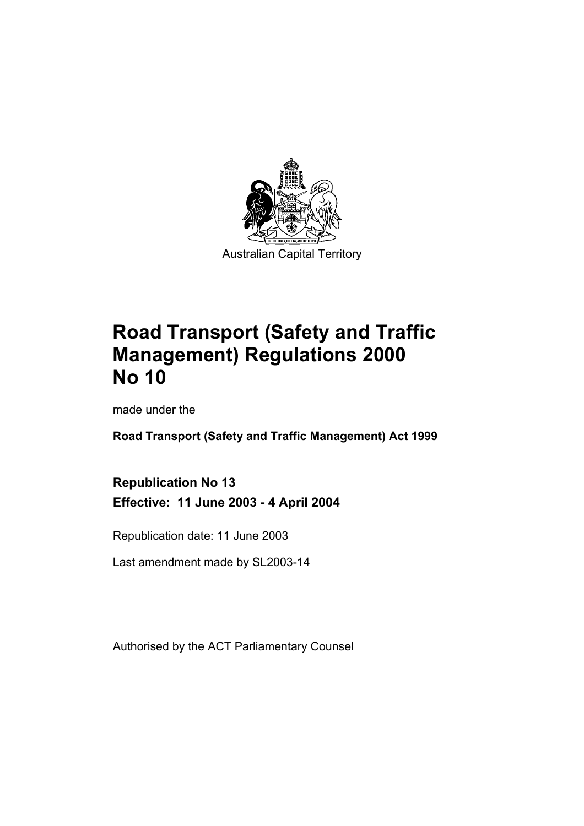

# **Road Transport (Safety and Traffic Management) Regulations 2000 No 10**

made under the

**Road Transport (Safety and Traffic Management) Act 1999** 

**Republication No 13 Effective: 11 June 2003 - 4 April 2004** 

Republication date: 11 June 2003

Last amendment made by SL2003-14

Authorised by the ACT Parliamentary Counsel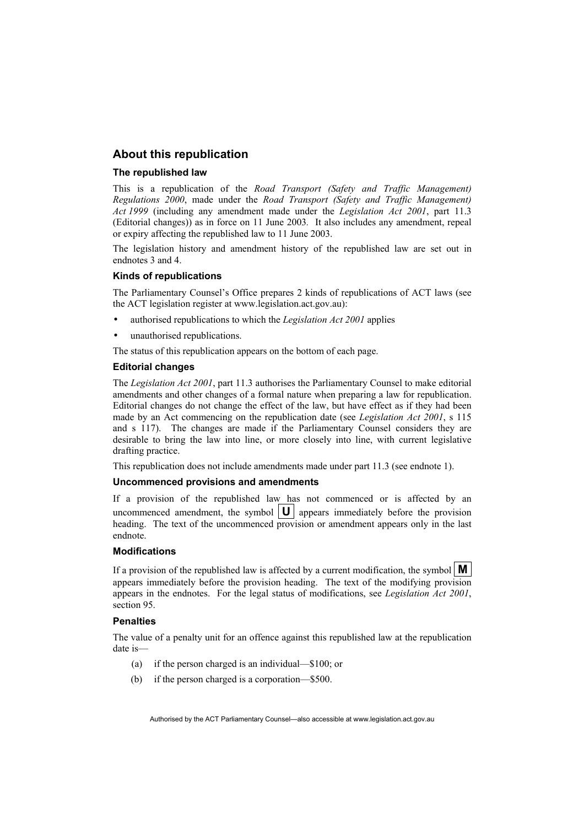#### **About this republication**

#### **The republished law**

This is a republication of the *Road Transport (Safety and Traffic Management) Regulations 2000*, made under the *Road Transport (Safety and Traffic Management) Act 1999* (including any amendment made under the *Legislation Act 2001*, part 11.3 (Editorial changes)) as in force on 11 June 2003*.* It also includes any amendment, repeal or expiry affecting the republished law to 11 June 2003.

The legislation history and amendment history of the republished law are set out in endnotes 3 and 4.

#### **Kinds of republications**

The Parliamentary Counsel's Office prepares 2 kinds of republications of ACT laws (see the ACT legislation register at www.legislation.act.gov.au):

- authorised republications to which the *Legislation Act 2001* applies
- unauthorised republications.

The status of this republication appears on the bottom of each page.

#### **Editorial changes**

The *Legislation Act 2001*, part 11.3 authorises the Parliamentary Counsel to make editorial amendments and other changes of a formal nature when preparing a law for republication. Editorial changes do not change the effect of the law, but have effect as if they had been made by an Act commencing on the republication date (see *Legislation Act 2001*, s 115 and s 117). The changes are made if the Parliamentary Counsel considers they are desirable to bring the law into line, or more closely into line, with current legislative drafting practice.

This republication does not include amendments made under part 11.3 (see endnote 1).

#### **Uncommenced provisions and amendments**

If a provision of the republished law has not commenced or is affected by an uncommenced amendment, the symbol  $\boxed{U}$  appears immediately before the provision heading. The text of the uncommenced provision or amendment appears only in the last endnote.

#### **Modifications**

If a provision of the republished law is affected by a current modification, the symbol  $\mathbf{M}$ appears immediately before the provision heading. The text of the modifying provision appears in the endnotes. For the legal status of modifications, see *Legislation Act 2001*, section 95.

#### **Penalties**

The value of a penalty unit for an offence against this republished law at the republication date is—

- (a) if the person charged is an individual—\$100; or
- (b) if the person charged is a corporation—\$500.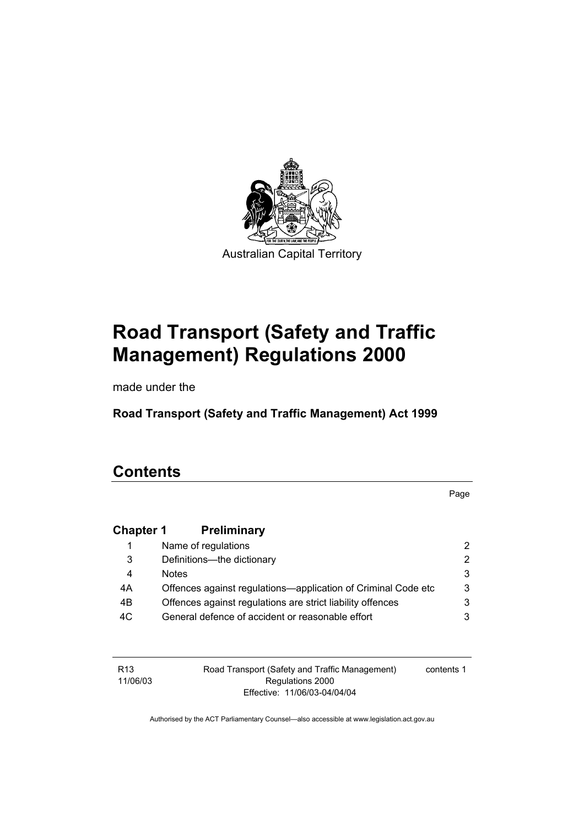

# **Road Transport (Safety and Traffic Management) Regulations 2000**

made under the

**Road Transport (Safety and Traffic Management) Act 1999** 

### **Contents**

Page

### **Chapter 1 Preliminary**

|    | Name of regulations                                           |   |
|----|---------------------------------------------------------------|---|
| 3  | Definitions-the dictionary                                    |   |
| 4  | <b>Notes</b>                                                  |   |
| 4A | Offences against regulations—application of Criminal Code etc | 3 |
| 4B | Offences against regulations are strict liability offences    |   |
| 4C | General defence of accident or reasonable effort              |   |
|    |                                                               |   |

| R13      |
|----------|
| 11/06/03 |

Road Transport (Safety and Traffic Management) Regulations 2000 Effective: 11/06/03-04/04/04

contents 1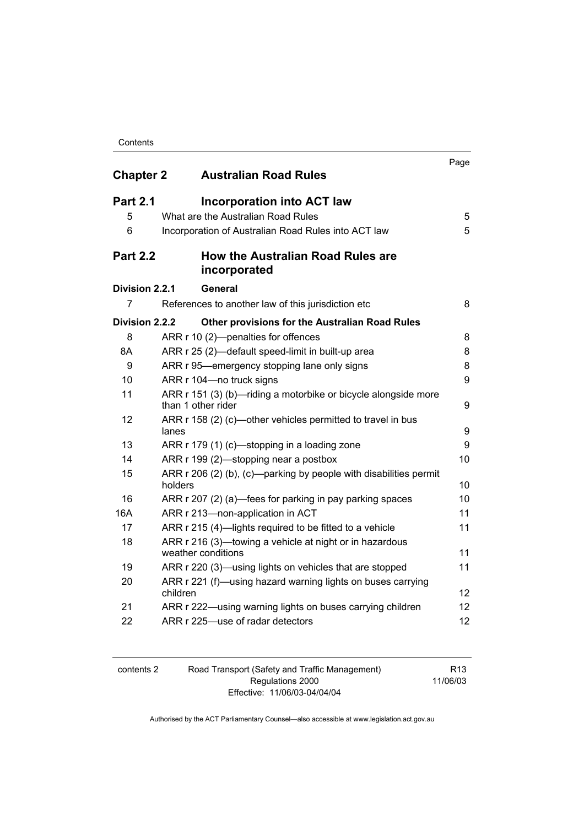| Contents |
|----------|
|          |

| <b>Chapter 2</b>          | <b>Australian Road Rules</b>                                                                                                   | Page   |
|---------------------------|--------------------------------------------------------------------------------------------------------------------------------|--------|
| <b>Part 2.1</b><br>5<br>6 | <b>Incorporation into ACT law</b><br>What are the Australian Road Rules<br>Incorporation of Australian Road Rules into ACT law | 5<br>5 |
| <b>Part 2.2</b>           | <b>How the Australian Road Rules are</b><br>incorporated                                                                       |        |
| Division 2.2.1            | General                                                                                                                        |        |
| 7                         | References to another law of this jurisdiction etc                                                                             | 8      |
| Division 2.2.2            | <b>Other provisions for the Australian Road Rules</b>                                                                          |        |
| 8                         | ARR r 10 (2)-penalties for offences                                                                                            | 8      |
| 8A                        | ARR r 25 (2)-default speed-limit in built-up area                                                                              | 8      |
| 9                         | ARR r 95-emergency stopping lane only signs                                                                                    | 8      |
| 10                        | ARR r 104-no truck signs                                                                                                       | 9      |
| 11                        | ARR r 151 (3) (b)—riding a motorbike or bicycle alongside more<br>than 1 other rider                                           | 9      |
| 12                        | ARR r 158 (2) (c)—other vehicles permitted to travel in bus<br>lanes                                                           | 9      |
| 13                        | ARR r 179 (1) (c)-stopping in a loading zone                                                                                   | 9      |
| 14                        | ARR r 199 (2)—stopping near a postbox                                                                                          | 10     |
| 15                        | ARR r 206 (2) (b), (c)—parking by people with disabilities permit<br>holders                                                   | 10     |
| 16                        | ARR r 207 (2) (a)—fees for parking in pay parking spaces                                                                       | 10     |
| 16A                       | ARR r 213-non-application in ACT                                                                                               | 11     |
| 17                        | ARR r 215 (4)-lights required to be fitted to a vehicle                                                                        | 11     |
| 18                        | ARR r 216 (3)—towing a vehicle at night or in hazardous<br>weather conditions                                                  | 11     |
| 19                        | ARR r 220 (3)—using lights on vehicles that are stopped                                                                        | 11     |
| 20                        | ARR r 221 (f)—using hazard warning lights on buses carrying<br>children                                                        | 12     |
| 21                        | ARR r 222—using warning lights on buses carrying children                                                                      | 12     |
| 22                        | ARR r 225-use of radar detectors                                                                                               | 12     |

| contents 2 | Road Transport (Safety and Traffic Management) | R <sub>13</sub> |
|------------|------------------------------------------------|-----------------|
|            | Regulations 2000                               | 11/06/03        |
|            | Effective: 11/06/03-04/04/04                   |                 |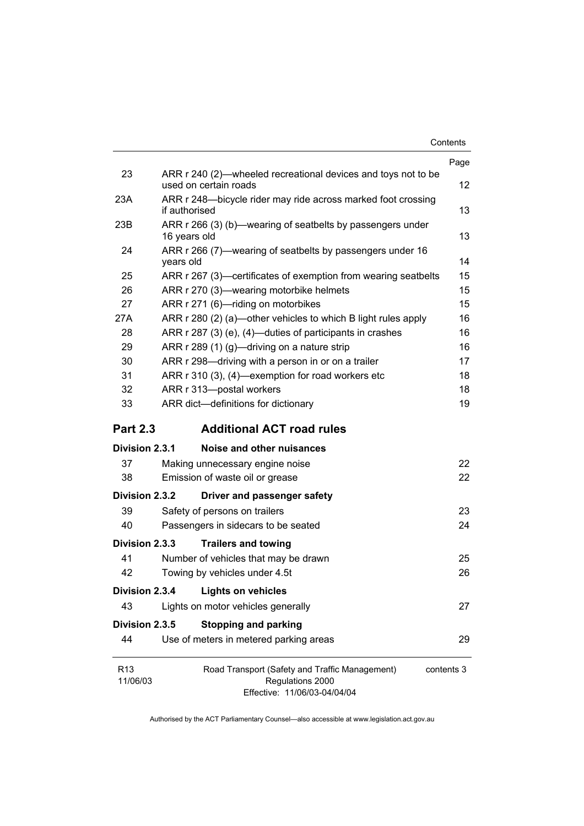| Contents |  |
|----------|--|
|          |  |

|                             |                                                                                                                  | Page |
|-----------------------------|------------------------------------------------------------------------------------------------------------------|------|
| 23                          | ARR r 240 (2)—wheeled recreational devices and toys not to be<br>used on certain roads                           | 12   |
| 23A                         | ARR r 248-bicycle rider may ride across marked foot crossing<br>if authorised                                    | 13   |
| 23B                         | ARR r 266 (3) (b)—wearing of seatbelts by passengers under<br>16 years old                                       | 13   |
| 24                          | ARR r 266 (7)—wearing of seatbelts by passengers under 16<br>years old                                           | 14   |
| 25                          | ARR r 267 (3)—certificates of exemption from wearing seatbelts                                                   | 15   |
| 26                          | ARR r 270 (3)—wearing motorbike helmets                                                                          | 15   |
| 27                          | ARR r 271 (6)-riding on motorbikes                                                                               | 15   |
| 27A                         | ARR r 280 (2) (a)-other vehicles to which B light rules apply                                                    | 16   |
| 28                          | ARR r 287 (3) (e), (4)—duties of participants in crashes                                                         | 16   |
| 29                          | ARR r 289 (1) (g)-driving on a nature strip                                                                      | 16   |
| 30                          | ARR r 298—driving with a person in or on a trailer                                                               | 17   |
| 31                          | ARR r 310 (3), (4)—exemption for road workers etc                                                                | 18   |
| 32                          | ARR r 313-postal workers                                                                                         | 18   |
| 33                          | ARR dict-definitions for dictionary                                                                              | 19   |
| <b>Part 2.3</b>             | <b>Additional ACT road rules</b>                                                                                 |      |
| Division 2.3.1              | Noise and other nuisances                                                                                        |      |
| 37                          | Making unnecessary engine noise                                                                                  | 22   |
| 38                          | Emission of waste oil or grease                                                                                  | 22   |
| Division 2.3.2              | Driver and passenger safety                                                                                      |      |
| 39                          | Safety of persons on trailers                                                                                    | 23   |
| 40                          | Passengers in sidecars to be seated                                                                              | 24   |
| Division 2.3.3              | <b>Trailers and towing</b>                                                                                       |      |
| 41                          | Number of vehicles that may be drawn                                                                             | 25   |
| 42                          | Towing by vehicles under 4.5t                                                                                    | 26   |
| Division 2.3.4              | <b>Lights on vehicles</b>                                                                                        |      |
| 43                          | Lights on motor vehicles generally                                                                               | 27   |
| Division 2.3.5              | <b>Stopping and parking</b>                                                                                      |      |
| 44                          | Use of meters in metered parking areas                                                                           | 29   |
| R <sub>13</sub><br>11/06/03 | Road Transport (Safety and Traffic Management)<br>contents 3<br>Regulations 2000<br>Effective: 11/06/03-04/04/04 |      |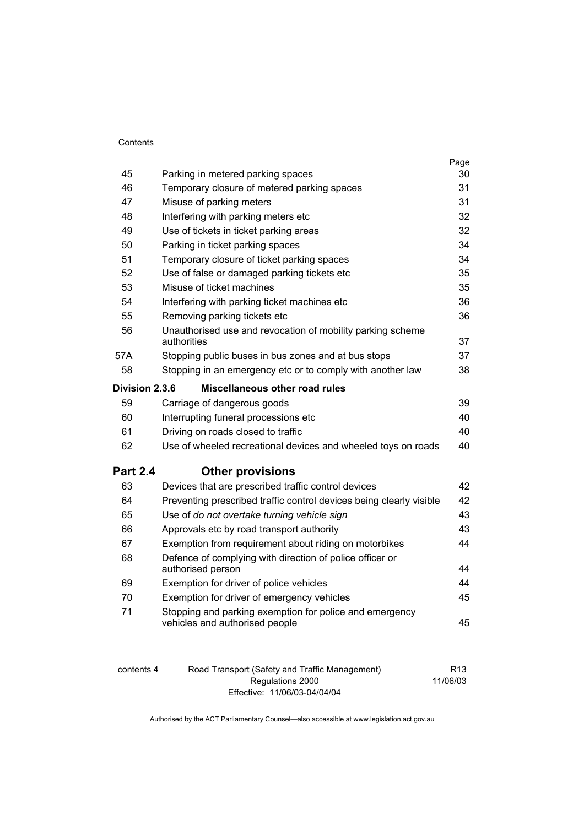| 45                    | Parking in metered parking spaces                                                         | Page<br>30 |
|-----------------------|-------------------------------------------------------------------------------------------|------------|
| 46                    | Temporary closure of metered parking spaces                                               | 31         |
| 47                    | Misuse of parking meters                                                                  | 31         |
| 48                    | Interfering with parking meters etc                                                       | 32         |
| 49                    | Use of tickets in ticket parking areas                                                    | 32         |
| 50                    | Parking in ticket parking spaces                                                          | 34         |
| 51                    | Temporary closure of ticket parking spaces                                                | 34         |
| 52                    | Use of false or damaged parking tickets etc                                               | 35         |
| 53                    | Misuse of ticket machines                                                                 | 35         |
| 54                    | Interfering with parking ticket machines etc                                              | 36         |
| 55                    | Removing parking tickets etc                                                              | 36         |
| 56                    | Unauthorised use and revocation of mobility parking scheme<br>authorities                 | 37         |
| 57A                   | Stopping public buses in bus zones and at bus stops                                       | 37         |
| 58                    | Stopping in an emergency etc or to comply with another law                                | 38         |
| <b>Division 2.3.6</b> | Miscellaneous other road rules                                                            |            |
| 59                    | Carriage of dangerous goods                                                               | 39         |
| 60                    | Interrupting funeral processions etc                                                      | 40         |
| 61                    | Driving on roads closed to traffic                                                        | 40         |
| 62                    | Use of wheeled recreational devices and wheeled toys on roads                             | 40         |
| <b>Part 2.4</b>       | <b>Other provisions</b>                                                                   |            |
| 63                    | Devices that are prescribed traffic control devices                                       | 42         |
| 64                    | Preventing prescribed traffic control devices being clearly visible                       | 42         |
| 65                    | Use of do not overtake turning vehicle sign                                               | 43         |
| 66                    | Approvals etc by road transport authority                                                 | 43         |
| 67                    | Exemption from requirement about riding on motorbikes                                     | 44         |
| 68                    | Defence of complying with direction of police officer or<br>authorised person             | 44         |
| 69                    | Exemption for driver of police vehicles                                                   | 44         |
| 70                    | Exemption for driver of emergency vehicles                                                | 45         |
| 71                    | Stopping and parking exemption for police and emergency<br>vehicles and authorised people | 45         |

| contents 4 | Road Transport (Safety and Traffic Management) | R13      |
|------------|------------------------------------------------|----------|
|            | Regulations 2000                               | 11/06/03 |
|            | Effective: 11/06/03-04/04/04                   |          |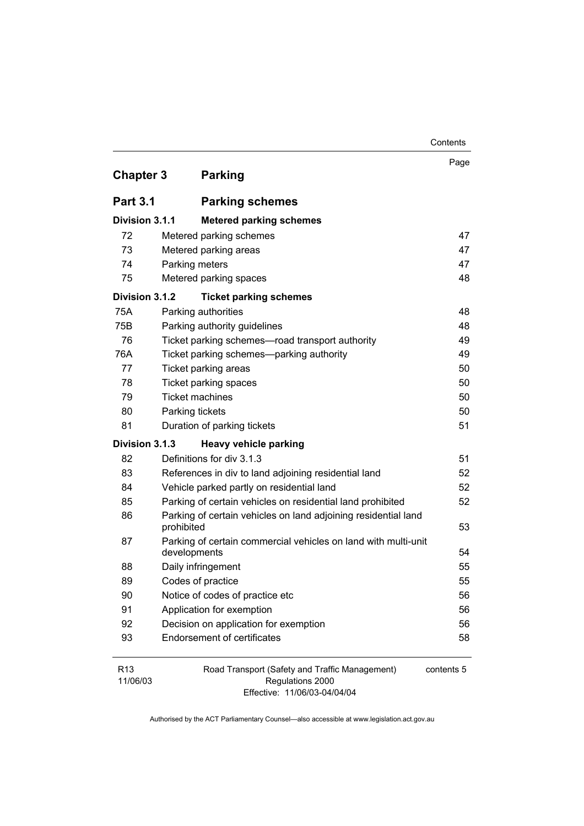| <b>Chapter 3</b> | <b>Parking</b>                                                                 | Page       |
|------------------|--------------------------------------------------------------------------------|------------|
| <b>Part 3.1</b>  | <b>Parking schemes</b>                                                         |            |
| Division 3.1.1   | <b>Metered parking schemes</b>                                                 |            |
| 72               | Metered parking schemes                                                        | 47         |
| 73               | Metered parking areas                                                          | 47         |
| 74               | Parking meters                                                                 | 47         |
| 75               | Metered parking spaces                                                         | 48         |
| Division 3.1.2   | <b>Ticket parking schemes</b>                                                  |            |
| 75A              | Parking authorities                                                            | 48         |
| 75B              | Parking authority guidelines                                                   | 48         |
| 76               | Ticket parking schemes-road transport authority                                | 49         |
| 76A              | Ticket parking schemes—parking authority                                       | 49         |
| 77               | Ticket parking areas                                                           | 50         |
| 78               | Ticket parking spaces                                                          | 50         |
| 79               | <b>Ticket machines</b>                                                         | 50         |
| 80               | Parking tickets                                                                | 50         |
| 81               | Duration of parking tickets                                                    | 51         |
| Division 3.1.3   | Heavy vehicle parking                                                          |            |
| 82               | Definitions for div 3.1.3                                                      | 51         |
| 83               | References in div to land adjoining residential land                           | 52         |
| 84               | Vehicle parked partly on residential land                                      | 52         |
| 85               | Parking of certain vehicles on residential land prohibited                     | 52         |
| 86               | Parking of certain vehicles on land adjoining residential land<br>prohibited   | 53         |
| 87               | Parking of certain commercial vehicles on land with multi-unit<br>developments | 54         |
| 88               | Daily infringement                                                             | 55         |
| 89               | Codes of practice                                                              | 55         |
| 90               | Notice of codes of practice etc                                                | 56         |
| 91               | Application for exemption                                                      | 56         |
| 92               | Decision on application for exemption                                          | 56         |
| 93               | <b>Endorsement of certificates</b>                                             | 58         |
| R <sub>13</sub>  | Road Transport (Safety and Traffic Management)                                 | contents 5 |

11/06/03

Regulations 2000 Effective: 11/06/03-04/04/04

**Contents**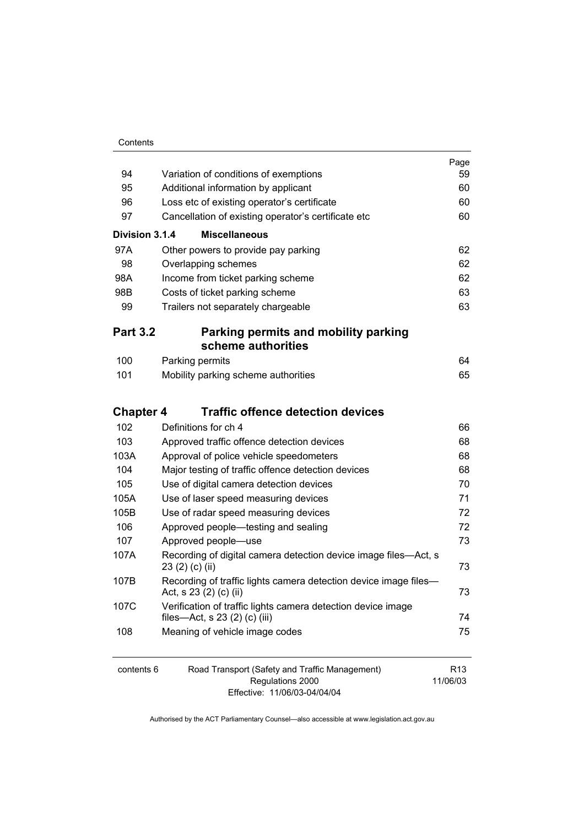| 94               | Variation of conditions of exemptions                                                      | Page<br>59 |
|------------------|--------------------------------------------------------------------------------------------|------------|
| 95               | Additional information by applicant                                                        | 60         |
| 96               | Loss etc of existing operator's certificate                                                | 60         |
| 97               | Cancellation of existing operator's certificate etc                                        | 60         |
|                  |                                                                                            |            |
| Division 3.1.4   | <b>Miscellaneous</b>                                                                       |            |
| 97A              | Other powers to provide pay parking                                                        | 62         |
| 98               | Overlapping schemes                                                                        | 62         |
| 98A              | Income from ticket parking scheme                                                          | 62         |
| 98B              | Costs of ticket parking scheme                                                             | 63         |
| 99               | Trailers not separately chargeable                                                         | 63         |
| <b>Part 3.2</b>  | Parking permits and mobility parking<br>scheme authorities                                 |            |
| 100              | Parking permits                                                                            | 64         |
| 101              | Mobility parking scheme authorities                                                        | 65         |
| <b>Chapter 4</b> | <b>Traffic offence detection devices</b>                                                   |            |
| 102              | Definitions for ch 4                                                                       | 66         |
| 103              | Approved traffic offence detection devices                                                 | 68         |
| 103A             | Approval of police vehicle speedometers                                                    | 68         |
| 104              | Major testing of traffic offence detection devices                                         | 68         |
| 105              | Use of digital camera detection devices                                                    | 70         |
| 105A             | Use of laser speed measuring devices                                                       | 71         |
| 105B             | Use of radar speed measuring devices                                                       | 72         |
| 106              | Approved people—testing and sealing                                                        | 72         |
| 107              | Approved people-use                                                                        | 73         |
| 107A             | Recording of digital camera detection device image files-Act, s<br>23 (2) (c) (ii)         | 73         |
| 107B             | Recording of traffic lights camera detection device image files-<br>Act, s 23 (2) (c) (ii) | 73         |
| 107C             | Verification of traffic lights camera detection device image                               |            |
|                  | files-Act, s 23 (2) (c) (iii)                                                              | 74         |
| 108              | Meaning of vehicle image codes                                                             | 75         |
|                  |                                                                                            |            |

| contents 6 | Road Transport (Safety and Traffic Management) | R <sub>13</sub> |
|------------|------------------------------------------------|-----------------|
|            | Regulations 2000                               | 11/06/03        |
|            | Effective: 11/06/03-04/04/04                   |                 |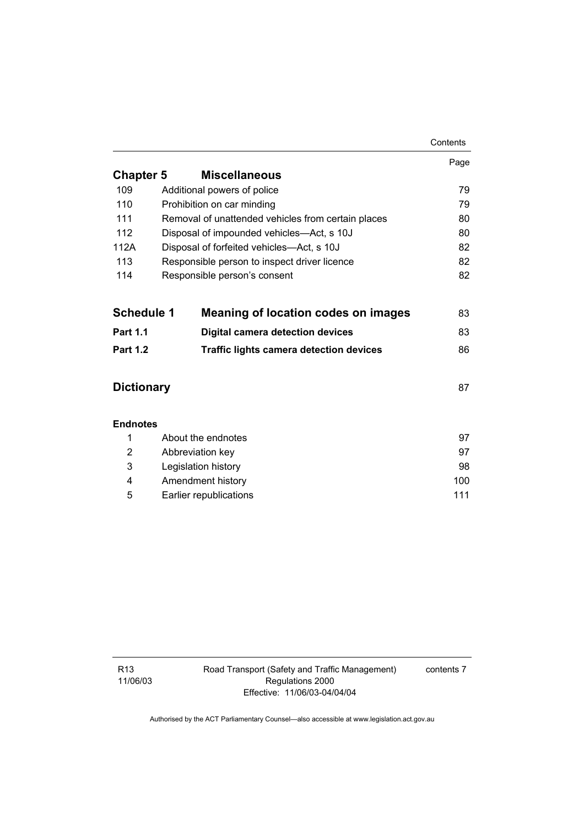|                   |                                                    | Contents |
|-------------------|----------------------------------------------------|----------|
|                   |                                                    | Page     |
| <b>Chapter 5</b>  | <b>Miscellaneous</b>                               |          |
| 109               | Additional powers of police                        | 79       |
| 110               | Prohibition on car minding                         | 79       |
| 111               | Removal of unattended vehicles from certain places | 80       |
| 112               | Disposal of impounded vehicles—Act, s 10J          | 80       |
| 112A              | Disposal of forfeited vehicles—Act, s 10J          |          |
| 113               | Responsible person to inspect driver licence       | 82       |
| 114               | Responsible person's consent                       | 82       |
| <b>Schedule 1</b> | <b>Meaning of location codes on images</b>         | 83       |
| <b>Part 1.1</b>   | <b>Digital camera detection devices</b>            | 83       |
| <b>Part 1.2</b>   | <b>Traffic lights camera detection devices</b>     | 86       |
| <b>Dictionary</b> |                                                    | 87       |
| <b>Endnotes</b>   |                                                    |          |
| 1                 | About the endnotes                                 | 97       |
| 2                 | Abbreviation key                                   | 97       |
| 3                 | Legislation history                                | 98       |
| 4                 | Amendment history                                  | 100      |
| 5                 | Earlier republications                             | 111      |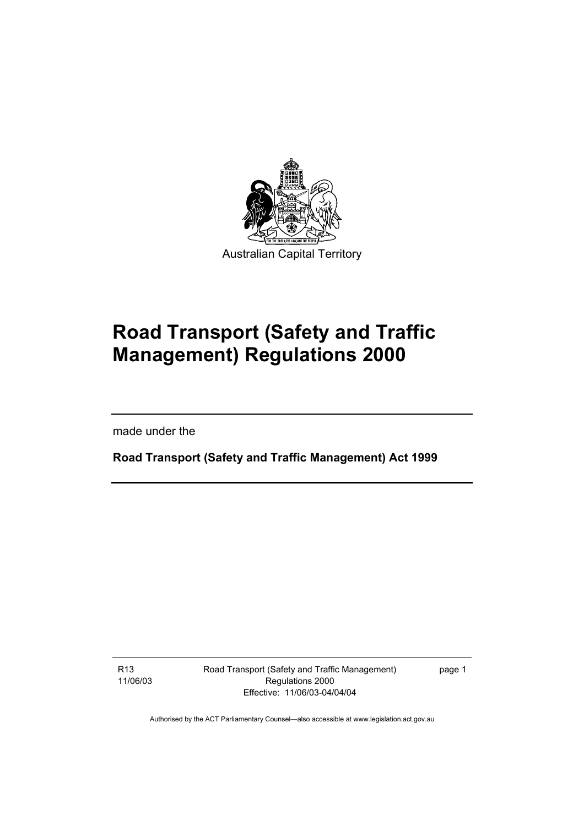

# **Road Transport (Safety and Traffic Management) Regulations 2000**

made under the

**Road Transport (Safety and Traffic Management) Act 1999** 

R13 11/06/03 Road Transport (Safety and Traffic Management) Regulations 2000 Effective: 11/06/03-04/04/04

page 1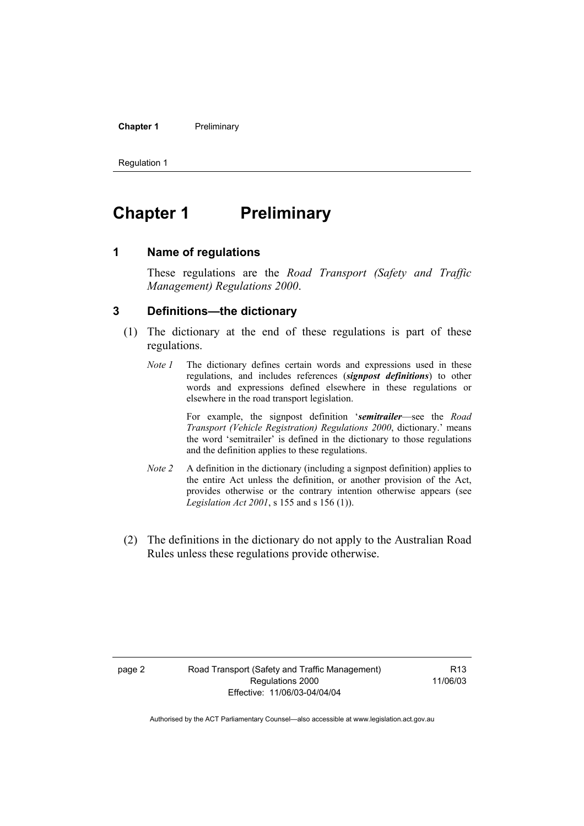#### **Chapter 1** Preliminary

Regulation 1

### **Chapter 1** Preliminary

#### **1 Name of regulations**

These regulations are the *Road Transport (Safety and Traffic Management) Regulations 2000*.

#### **3 Definitions—the dictionary**

- (1) The dictionary at the end of these regulations is part of these regulations.
	- *Note 1* The dictionary defines certain words and expressions used in these regulations, and includes references (*signpost definitions*) to other words and expressions defined elsewhere in these regulations or elsewhere in the road transport legislation.

 For example, the signpost definition '*semitrailer*—see the *Road Transport (Vehicle Registration) Regulations 2000*, dictionary.' means the word 'semitrailer' is defined in the dictionary to those regulations and the definition applies to these regulations.

- *Note 2* A definition in the dictionary (including a signpost definition) applies to the entire Act unless the definition, or another provision of the Act, provides otherwise or the contrary intention otherwise appears (see *Legislation Act 2001*, s 155 and s 156 (1)).
- (2) The definitions in the dictionary do not apply to the Australian Road Rules unless these regulations provide otherwise.

R13 11/06/03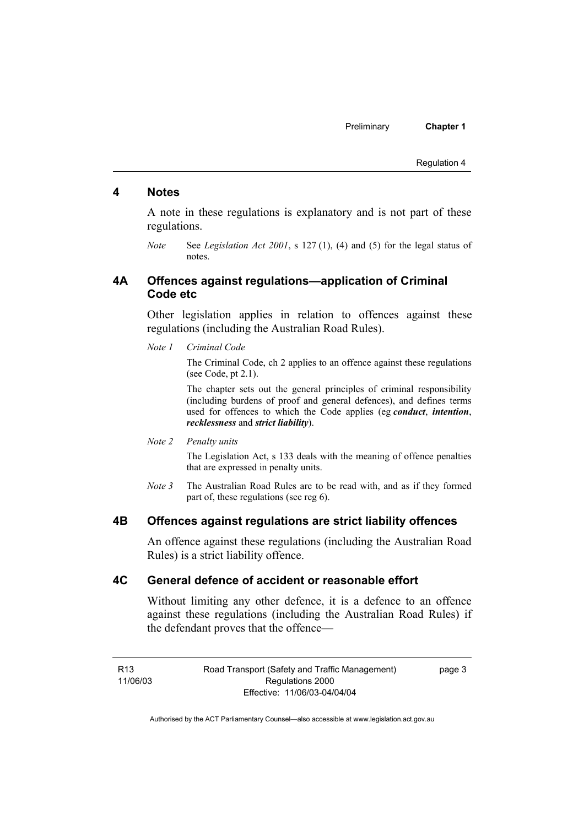Preliminary **Chapter 1** 

Regulation 4

#### **4 Notes**

A note in these regulations is explanatory and is not part of these regulations.

*Note* See *Legislation Act 2001*, s 127 (1), (4) and (5) for the legal status of notes.

#### **4A Offences against regulations—application of Criminal Code etc**

Other legislation applies in relation to offences against these regulations (including the Australian Road Rules).

*Note 1 Criminal Code*

The Criminal Code, ch 2 applies to an offence against these regulations (see Code, pt 2.1).

The chapter sets out the general principles of criminal responsibility (including burdens of proof and general defences), and defines terms used for offences to which the Code applies (eg *conduct*, *intention*, *recklessness* and *strict liability*).

*Note 2 Penalty units* 

The Legislation Act, s 133 deals with the meaning of offence penalties that are expressed in penalty units.

*Note 3* The Australian Road Rules are to be read with, and as if they formed part of, these regulations (see reg 6).

#### **4B Offences against regulations are strict liability offences**

An offence against these regulations (including the Australian Road Rules) is a strict liability offence.

#### **4C General defence of accident or reasonable effort**

Without limiting any other defence, it is a defence to an offence against these regulations (including the Australian Road Rules) if the defendant proves that the offence—

R13 11/06/03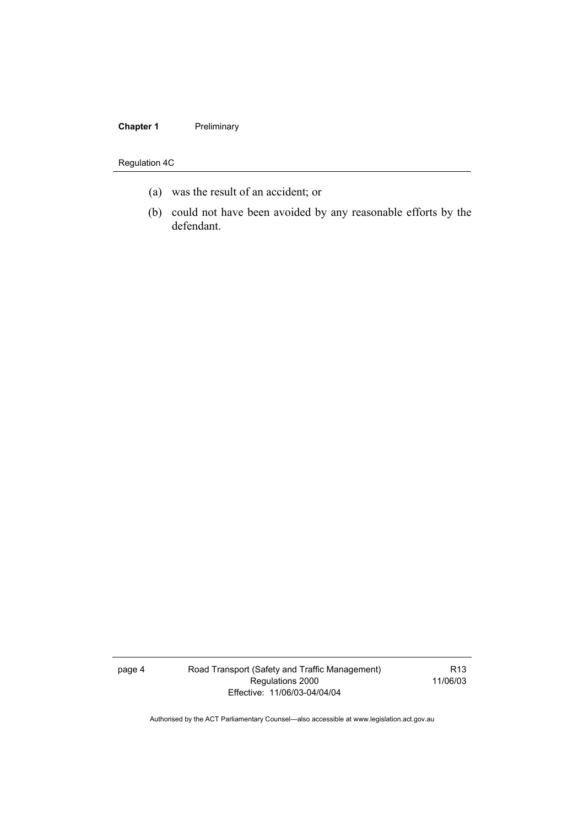#### **Chapter 1** Preliminary

#### Regulation 4C

- (a) was the result of an accident; or
- (b) could not have been avoided by any reasonable efforts by the defendant.

page 4 Road Transport (Safety and Traffic Management) Regulations 2000 Effective: 11/06/03-04/04/04

R13 11/06/03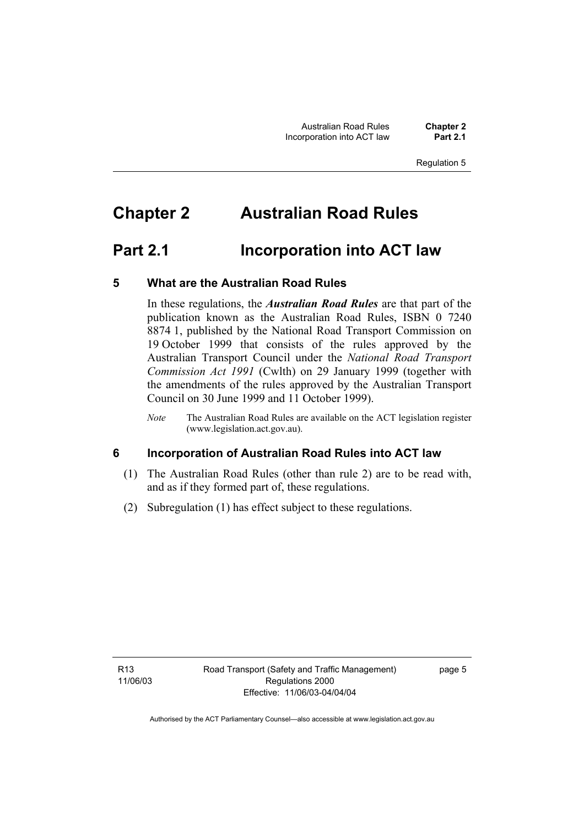Australian Road Rules **Chapter 2 Incorporation into ACT law** 

Regulation 5

### **Chapter 2 Australian Road Rules**

### **Part 2.1 Incorporation into ACT law**

#### **5 What are the Australian Road Rules**

In these regulations, the *Australian Road Rules* are that part of the publication known as the Australian Road Rules, ISBN 0 7240 8874 1, published by the National Road Transport Commission on 19 October 1999 that consists of the rules approved by the Australian Transport Council under the *National Road Transport Commission Act 1991* (Cwlth) on 29 January 1999 (together with the amendments of the rules approved by the Australian Transport Council on 30 June 1999 and 11 October 1999).

*Note* The Australian Road Rules are available on the ACT legislation register (www.legislation.act.gov.au).

#### **6 Incorporation of Australian Road Rules into ACT law**

- (1) The Australian Road Rules (other than rule 2) are to be read with, and as if they formed part of, these regulations.
- (2) Subregulation (1) has effect subject to these regulations.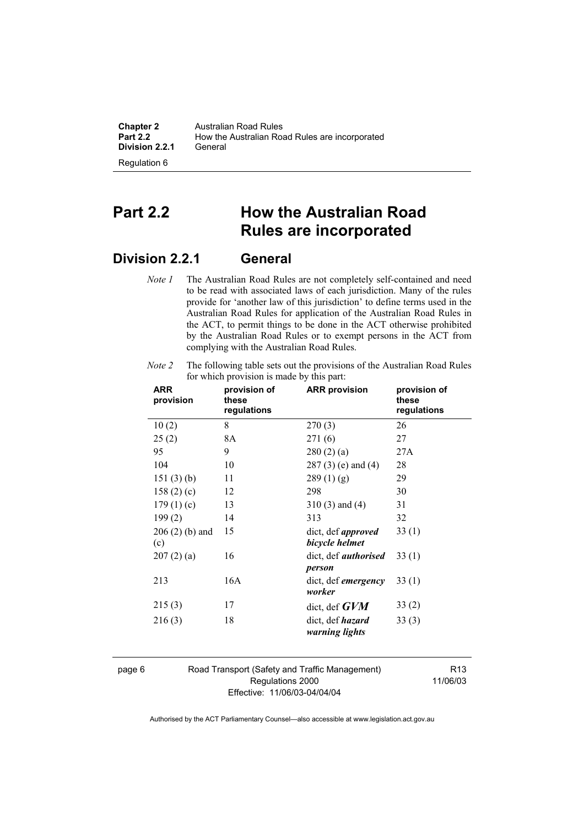| <b>Chapter 2</b> | Australian Road Rules                          |
|------------------|------------------------------------------------|
| <b>Part 2.2</b>  | How the Australian Road Rules are incorporated |
| Division 2.2.1   | General                                        |

### **Part 2.2 How the Australian Road Rules are incorporated**

#### **Division 2.2.1 General**

Regulation 6

*Note 1* The Australian Road Rules are not completely self-contained and need to be read with associated laws of each jurisdiction. Many of the rules provide for 'another law of this jurisdiction' to define terms used in the Australian Road Rules for application of the Australian Road Rules in the ACT, to permit things to be done in the ACT otherwise prohibited by the Australian Road Rules or to exempt persons in the ACT from complying with the Australian Road Rules.

| <b>ARR</b><br>provision | provision of<br>these<br>regulations | <b>ARR</b> provision                        | provision of<br>these<br>regulations |
|-------------------------|--------------------------------------|---------------------------------------------|--------------------------------------|
| 10(2)                   | 8                                    | 270(3)                                      | 26                                   |
| 25(2)                   | 8A                                   | 271(6)                                      | 27                                   |
| 95                      | 9                                    | 280(2)(a)                                   | 27A                                  |
| 104                     | 10                                   | 287 (3) (e) and (4)                         | 28                                   |
| 151(3)(b)               | 11                                   | 289(1)(g)                                   | 29                                   |
| 158 $(2)$ $(c)$         | 12                                   | 298                                         | 30                                   |
| 179(1)(c)               | 13                                   | $310(3)$ and $(4)$                          | 31                                   |
| 199(2)                  | 14                                   | 313                                         | 32                                   |
| $206(2)$ (b) and<br>(c) | 15                                   | dict, def <i>approved</i><br>bicycle helmet | 33(1)                                |
| 207(2)(a)               | 16                                   | dict, def <i>authorised</i><br>person       | 33(1)                                |
| 213                     | 16A                                  | dict, def <i>emergency</i><br>worker        | 33(1)                                |
| 215(3)                  | 17                                   | dict, def $GVM$                             | 33(2)                                |
| 216(3)                  | 18                                   | dict, def <i>hazard</i><br>warning lights   | 33(3)                                |

*Note 2* The following table sets out the provisions of the Australian Road Rules for which provision is made by this part:

page 6 Road Transport (Safety and Traffic Management) Regulations 2000 Effective: 11/06/03-04/04/04

R13 11/06/03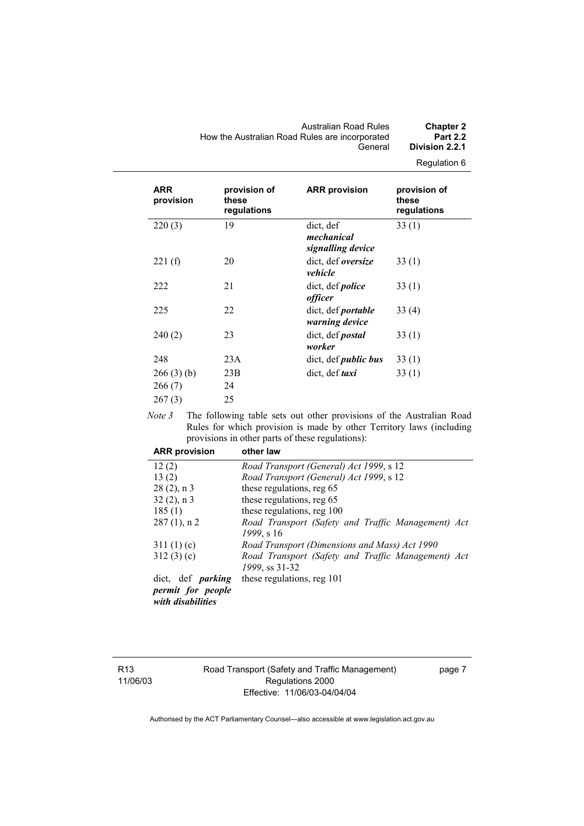Australian Road Rules **Chapter 2**  How the Australian Road Rules are incorporated<br>General Division 2.2.1

Regulation 6

| <b>ARR</b><br>provision | provision of<br>these<br>regulations | <b>ARR provision</b>                               | provision of<br>these<br>regulations |
|-------------------------|--------------------------------------|----------------------------------------------------|--------------------------------------|
| 220(3)                  | 19                                   | dict, def<br>mechanical<br>signalling device       | 33(1)                                |
| 221(f)                  | 20                                   | dict, def oversize<br>vehicle                      | 33(1)                                |
| 222                     | 21                                   | dict, def <i>police</i><br><i>officer</i>          | 33(1)                                |
| 225                     | 22                                   | dict, def <i>portable</i><br><i>warning device</i> | 33(4)                                |
| 240(2)                  | 23                                   | dict, def <i>postal</i><br>worker                  | 33(1)                                |
| 248                     | 23A                                  | dict, def <i>public bus</i>                        | 33(1)                                |
| 266(3)(b)               | 23B                                  | dict, def <i>taxi</i>                              | 33(1)                                |
| 266(7)                  | 24                                   |                                                    |                                      |
| 267(3)                  | 25                                   |                                                    |                                      |

*Note 3* The following table sets out other provisions of the Australian Road Rules for which provision is made by other Territory laws (including provisions in other parts of these regulations):

| <b>ARR provision</b>                   | other law                                          |
|----------------------------------------|----------------------------------------------------|
| 12(2)                                  | Road Transport (General) Act 1999, s 12            |
| 13(2)                                  | Road Transport (General) Act 1999, s 12            |
| $28(2)$ , n 3                          | these regulations, reg 65                          |
| $32(2)$ , n 3                          | these regulations, reg 65                          |
| 185(1)                                 | these regulations, reg 100                         |
| $287(1)$ , n 2                         | Road Transport (Safety and Traffic Management) Act |
|                                        | 1999, s 16                                         |
| 311(1)(c)                              | Road Transport (Dimensions and Mass) Act 1990      |
| 312(3)(c)                              | Road Transport (Safety and Traffic Management) Act |
|                                        | 1999, ss 31-32                                     |
| dict, def <i>parking</i>               | these regulations, reg 101                         |
| permit for people<br>with disabilities |                                                    |

R13 11/06/03

#### Road Transport (Safety and Traffic Management) Regulations 2000 Effective: 11/06/03-04/04/04

page 7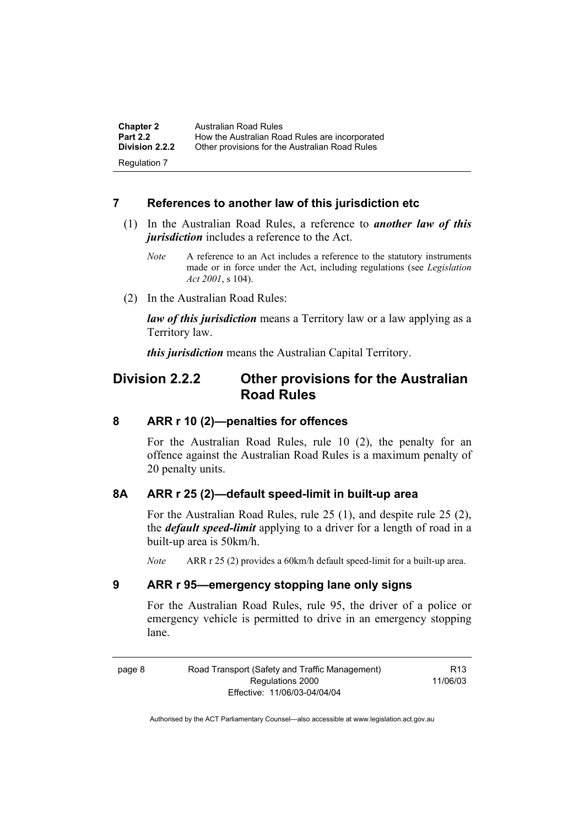| <b>Chapter 2</b>                      | Australian Road Rules                          |
|---------------------------------------|------------------------------------------------|
| <b>Part 2.2</b>                       | How the Australian Road Rules are incorporated |
| <b>Division 2.2.2</b><br>Regulation 7 | Other provisions for the Australian Road Rules |

#### **7 References to another law of this jurisdiction etc**

- (1) In the Australian Road Rules, a reference to *another law of this jurisdiction* includes a reference to the Act.
	- *Note* A reference to an Act includes a reference to the statutory instruments made or in force under the Act, including regulations (see *Legislation Act 2001*, s 104).
- (2) In the Australian Road Rules:

*law of this jurisdiction* means a Territory law or a law applying as a Territory law.

*this jurisdiction* means the Australian Capital Territory.

### **Division 2.2.2 Other provisions for the Australian Road Rules**

#### **8 ARR r 10 (2)—penalties for offences**

For the Australian Road Rules, rule 10 (2), the penalty for an offence against the Australian Road Rules is a maximum penalty of 20 penalty units.

#### **8A ARR r 25 (2)—default speed-limit in built-up area**

For the Australian Road Rules, rule 25 (1), and despite rule 25 (2), the *default speed-limit* applying to a driver for a length of road in a built-up area is 50km/h.

*Note* ARR r 25 (2) provides a 60km/h default speed-limit for a built-up area.

#### **9 ARR r 95—emergency stopping lane only signs**

For the Australian Road Rules, rule 95, the driver of a police or emergency vehicle is permitted to drive in an emergency stopping lane.

page 8 Road Transport (Safety and Traffic Management) Regulations 2000 Effective: 11/06/03-04/04/04 R13 11/06/03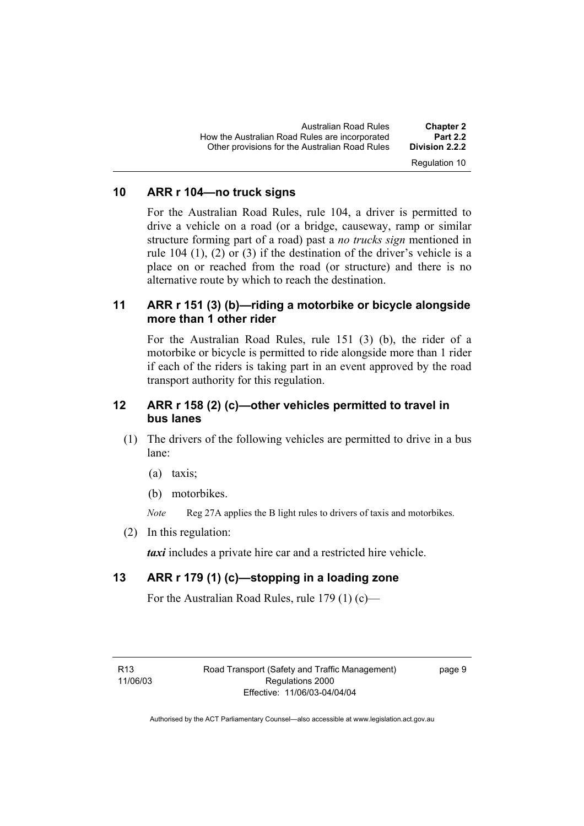| <b>Part 2.2</b><br>How the Australian Road Rules are incorporated                 |  |
|-----------------------------------------------------------------------------------|--|
| Other provisions for the Australian Road Rules<br>Division 2.2.2<br>Regulation 10 |  |

#### **10 ARR r 104—no truck signs**

For the Australian Road Rules, rule 104, a driver is permitted to drive a vehicle on a road (or a bridge, causeway, ramp or similar structure forming part of a road) past a *no trucks sign* mentioned in rule 104 (1), (2) or (3) if the destination of the driver's vehicle is a place on or reached from the road (or structure) and there is no alternative route by which to reach the destination.

#### **11 ARR r 151 (3) (b)—riding a motorbike or bicycle alongside more than 1 other rider**

For the Australian Road Rules, rule 151 (3) (b), the rider of a motorbike or bicycle is permitted to ride alongside more than 1 rider if each of the riders is taking part in an event approved by the road transport authority for this regulation.

#### **12 ARR r 158 (2) (c)—other vehicles permitted to travel in bus lanes**

- (1) The drivers of the following vehicles are permitted to drive in a bus lane:
	- (a) taxis;
	- (b) motorbikes.

*Note* Reg 27A applies the B light rules to drivers of taxis and motorbikes.

(2) In this regulation:

*taxi* includes a private hire car and a restricted hire vehicle.

#### **13 ARR r 179 (1) (c)—stopping in a loading zone**

For the Australian Road Rules, rule 179 (1) (c)—

R13 11/06/03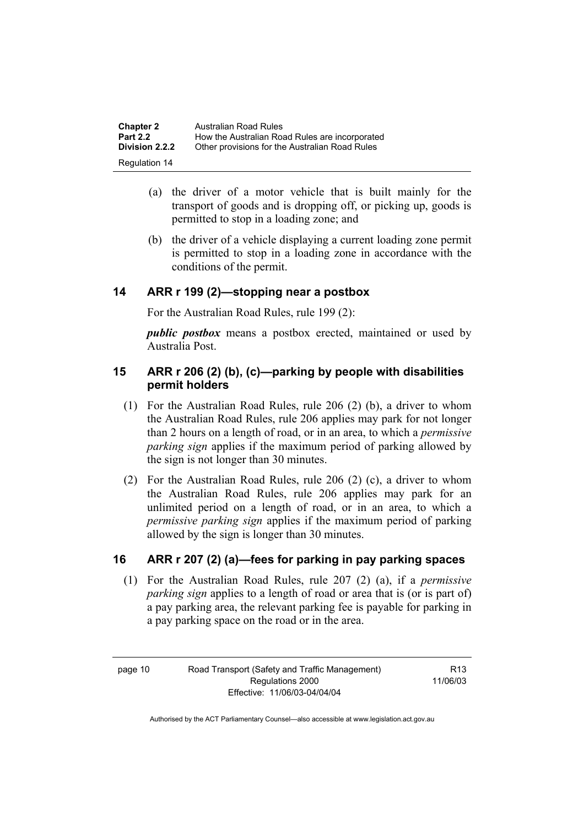| <b>Chapter 2</b>      | Australian Road Rules                          |
|-----------------------|------------------------------------------------|
| <b>Part 2.2</b>       | How the Australian Road Rules are incorporated |
| <b>Division 2.2.2</b> | Other provisions for the Australian Road Rules |
| Regulation 14         |                                                |

- (a) the driver of a motor vehicle that is built mainly for the transport of goods and is dropping off, or picking up, goods is permitted to stop in a loading zone; and
- (b) the driver of a vehicle displaying a current loading zone permit is permitted to stop in a loading zone in accordance with the conditions of the permit.

#### **14 ARR r 199 (2)—stopping near a postbox**

For the Australian Road Rules, rule 199 (2):

*public postbox* means a postbox erected, maintained or used by Australia Post.

#### **15 ARR r 206 (2) (b), (c)—parking by people with disabilities permit holders**

- (1) For the Australian Road Rules, rule 206 (2) (b), a driver to whom the Australian Road Rules, rule 206 applies may park for not longer than 2 hours on a length of road, or in an area, to which a *permissive parking sign* applies if the maximum period of parking allowed by the sign is not longer than 30 minutes.
- (2) For the Australian Road Rules, rule 206 (2) (c), a driver to whom the Australian Road Rules, rule 206 applies may park for an unlimited period on a length of road, or in an area, to which a *permissive parking sign* applies if the maximum period of parking allowed by the sign is longer than 30 minutes.

#### **16 ARR r 207 (2) (a)—fees for parking in pay parking spaces**

 (1) For the Australian Road Rules, rule 207 (2) (a), if a *permissive parking sign* applies to a length of road or area that is (or is part of) a pay parking area, the relevant parking fee is payable for parking in a pay parking space on the road or in the area.

R13 11/06/03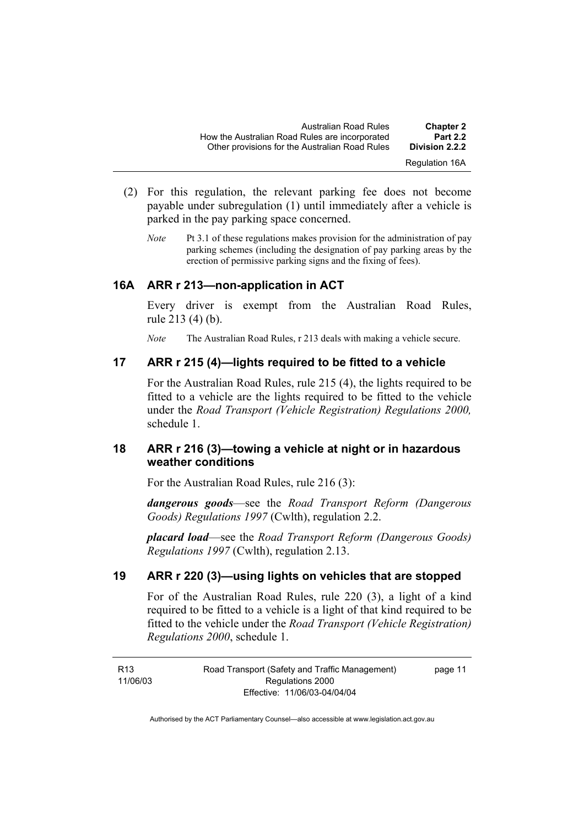| <b>Chapter 2</b><br><b>Part 2.2</b> | Australian Road Rules<br>How the Australian Road Rules are incorporated |
|-------------------------------------|-------------------------------------------------------------------------|
| Division 2.2.2                      | Other provisions for the Australian Road Rules                          |
| <b>Regulation 16A</b>               |                                                                         |

- (2) For this regulation, the relevant parking fee does not become payable under subregulation (1) until immediately after a vehicle is parked in the pay parking space concerned.
	- *Note* Pt 3.1 of these regulations makes provision for the administration of pay parking schemes (including the designation of pay parking areas by the erection of permissive parking signs and the fixing of fees).

#### **16A ARR r 213—non-application in ACT**

Every driver is exempt from the Australian Road Rules, rule 213 (4) (b).

*Note* The Australian Road Rules, r 213 deals with making a vehicle secure.

#### **17 ARR r 215 (4)—lights required to be fitted to a vehicle**

For the Australian Road Rules, rule 215 (4), the lights required to be fitted to a vehicle are the lights required to be fitted to the vehicle under the *Road Transport (Vehicle Registration) Regulations 2000,*  schedule 1.

#### **18 ARR r 216 (3)—towing a vehicle at night or in hazardous weather conditions**

For the Australian Road Rules, rule 216 (3):

*dangerous goods*—see the *Road Transport Reform (Dangerous Goods) Regulations 1997* (Cwlth), regulation 2.2.

*placard load*—see the *Road Transport Reform (Dangerous Goods) Regulations 1997* (Cwlth), regulation 2.13.

#### **19 ARR r 220 (3)—using lights on vehicles that are stopped**

For of the Australian Road Rules, rule 220 (3), a light of a kind required to be fitted to a vehicle is a light of that kind required to be fitted to the vehicle under the *Road Transport (Vehicle Registration) Regulations 2000*, schedule 1.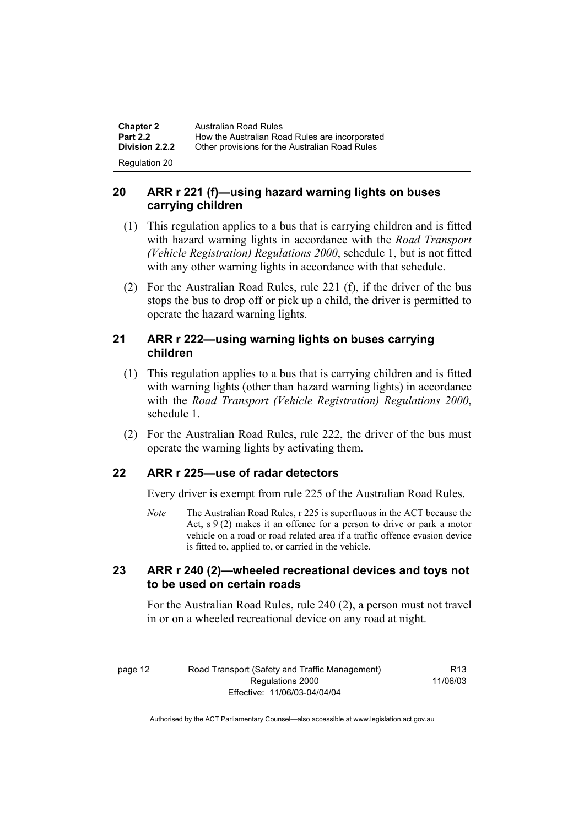| <b>Chapter 2</b><br><b>Part 2.2</b> | Australian Road Rules<br>How the Australian Road Rules are incorporated |
|-------------------------------------|-------------------------------------------------------------------------|
| <b>Division 2.2.2</b>               | Other provisions for the Australian Road Rules                          |
| Regulation 20                       |                                                                         |

#### **20 ARR r 221 (f)—using hazard warning lights on buses carrying children**

- (1) This regulation applies to a bus that is carrying children and is fitted with hazard warning lights in accordance with the *Road Transport (Vehicle Registration) Regulations 2000*, schedule 1, but is not fitted with any other warning lights in accordance with that schedule.
- (2) For the Australian Road Rules, rule 221 (f), if the driver of the bus stops the bus to drop off or pick up a child, the driver is permitted to operate the hazard warning lights.

#### **21 ARR r 222—using warning lights on buses carrying children**

- (1) This regulation applies to a bus that is carrying children and is fitted with warning lights (other than hazard warning lights) in accordance with the *Road Transport (Vehicle Registration) Regulations 2000*, schedule 1.
- (2) For the Australian Road Rules, rule 222, the driver of the bus must operate the warning lights by activating them.

#### **22 ARR r 225—use of radar detectors**

Every driver is exempt from rule 225 of the Australian Road Rules.

*Note* The Australian Road Rules, r 225 is superfluous in the ACT because the Act,  $s \theta(2)$  makes it an offence for a person to drive or park a motor vehicle on a road or road related area if a traffic offence evasion device is fitted to, applied to, or carried in the vehicle.

#### **23 ARR r 240 (2)—wheeled recreational devices and toys not to be used on certain roads**

For the Australian Road Rules, rule 240 (2), a person must not travel in or on a wheeled recreational device on any road at night.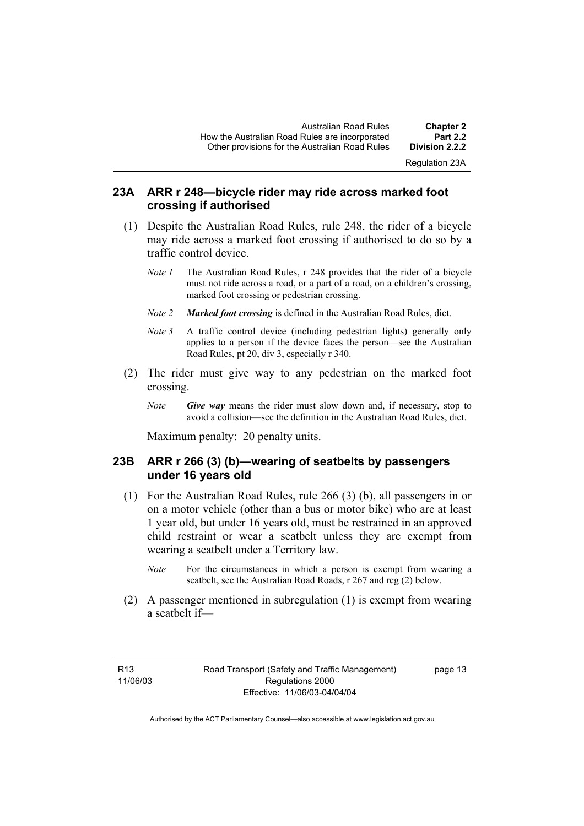#### **23A ARR r 248—bicycle rider may ride across marked foot crossing if authorised**

- (1) Despite the Australian Road Rules, rule 248, the rider of a bicycle may ride across a marked foot crossing if authorised to do so by a traffic control device.
	- *Note 1* The Australian Road Rules, r 248 provides that the rider of a bicycle must not ride across a road, or a part of a road, on a children's crossing, marked foot crossing or pedestrian crossing.
	- *Note 2 Marked foot crossing* is defined in the Australian Road Rules, dict.
	- *Note 3* A traffic control device (including pedestrian lights) generally only applies to a person if the device faces the person—see the Australian Road Rules, pt 20, div 3, especially r 340.
- (2) The rider must give way to any pedestrian on the marked foot crossing.
	- *Note Give way* means the rider must slow down and, if necessary, stop to avoid a collision—see the definition in the Australian Road Rules, dict.

Maximum penalty: 20 penalty units.

#### **23B ARR r 266 (3) (b)—wearing of seatbelts by passengers under 16 years old**

- (1) For the Australian Road Rules, rule 266 (3) (b), all passengers in or on a motor vehicle (other than a bus or motor bike) who are at least 1 year old, but under 16 years old, must be restrained in an approved child restraint or wear a seatbelt unless they are exempt from wearing a seatbelt under a Territory law.
	- *Note* For the circumstances in which a person is exempt from wearing a seatbelt, see the Australian Road Roads, r 267 and reg (2) below.
- (2) A passenger mentioned in subregulation (1) is exempt from wearing a seatbelt if—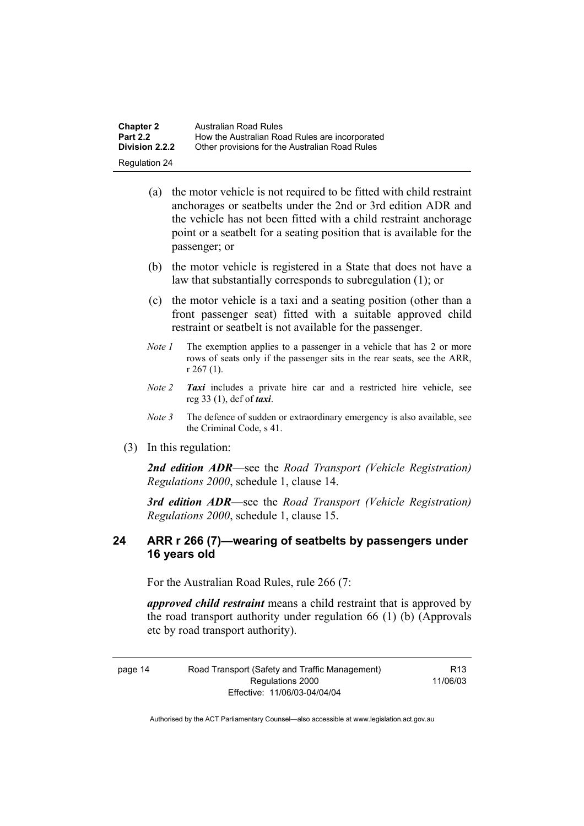| <b>Chapter 2</b>     | Australian Road Rules                          |
|----------------------|------------------------------------------------|
| <b>Part 2.2</b>      | How the Australian Road Rules are incorporated |
| Division 2.2.2       | Other provisions for the Australian Road Rules |
| <b>Regulation 24</b> |                                                |

- (a) the motor vehicle is not required to be fitted with child restraint anchorages or seatbelts under the 2nd or 3rd edition ADR and the vehicle has not been fitted with a child restraint anchorage point or a seatbelt for a seating position that is available for the passenger; or
- (b) the motor vehicle is registered in a State that does not have a law that substantially corresponds to subregulation (1); or
- (c) the motor vehicle is a taxi and a seating position (other than a front passenger seat) fitted with a suitable approved child restraint or seatbelt is not available for the passenger.
- *Note 1* The exemption applies to a passenger in a vehicle that has 2 or more rows of seats only if the passenger sits in the rear seats, see the ARR, r 267 (1).
- *Note 2 Taxi* includes a private hire car and a restricted hire vehicle, see reg 33 (1), def of *taxi*.
- *Note 3* The defence of sudden or extraordinary emergency is also available, see the Criminal Code, s 41.
- (3) In this regulation:

*2nd edition ADR*—see the *Road Transport (Vehicle Registration) Regulations 2000*, schedule 1, clause 14.

*3rd edition ADR*—see the *Road Transport (Vehicle Registration) Regulations 2000*, schedule 1, clause 15.

#### **24 ARR r 266 (7)—wearing of seatbelts by passengers under 16 years old**

For the Australian Road Rules, rule 266 (7:

*approved child restraint* means a child restraint that is approved by the road transport authority under regulation 66 (1) (b) (Approvals etc by road transport authority).

page 14 Road Transport (Safety and Traffic Management) Regulations 2000 Effective: 11/06/03-04/04/04 R13 11/06/03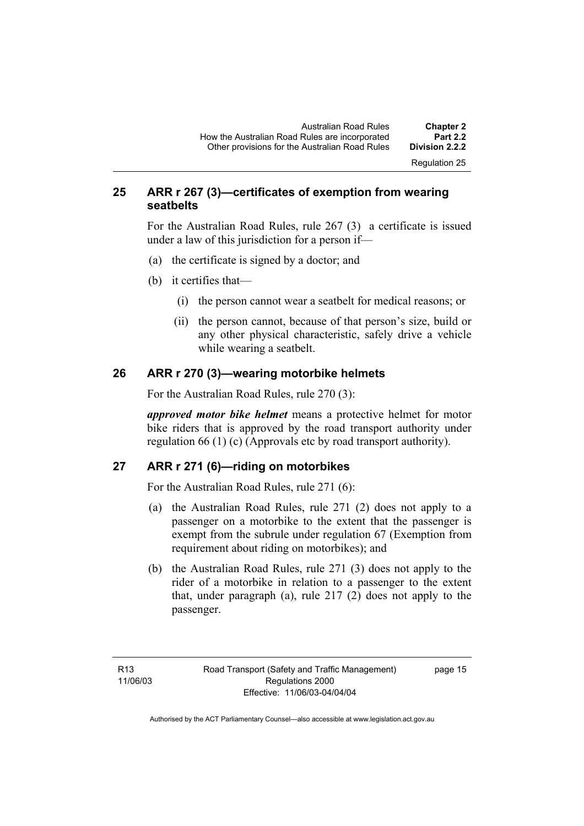#### **25 ARR r 267 (3)—certificates of exemption from wearing seatbelts**

For the Australian Road Rules, rule 267 (3) a certificate is issued under a law of this jurisdiction for a person if—

- (a) the certificate is signed by a doctor; and
- (b) it certifies that—
	- (i) the person cannot wear a seatbelt for medical reasons; or
	- (ii) the person cannot, because of that person's size, build or any other physical characteristic, safely drive a vehicle while wearing a seatbelt.

#### **26 ARR r 270 (3)—wearing motorbike helmets**

For the Australian Road Rules, rule 270 (3):

*approved motor bike helmet* means a protective helmet for motor bike riders that is approved by the road transport authority under regulation 66 (1) (c) (Approvals etc by road transport authority).

#### **27 ARR r 271 (6)—riding on motorbikes**

For the Australian Road Rules, rule 271 (6):

- (a) the Australian Road Rules, rule 271 (2) does not apply to a passenger on a motorbike to the extent that the passenger is exempt from the subrule under regulation 67 (Exemption from requirement about riding on motorbikes); and
- (b) the Australian Road Rules, rule 271 (3) does not apply to the rider of a motorbike in relation to a passenger to the extent that, under paragraph (a), rule 217 (2) does not apply to the passenger.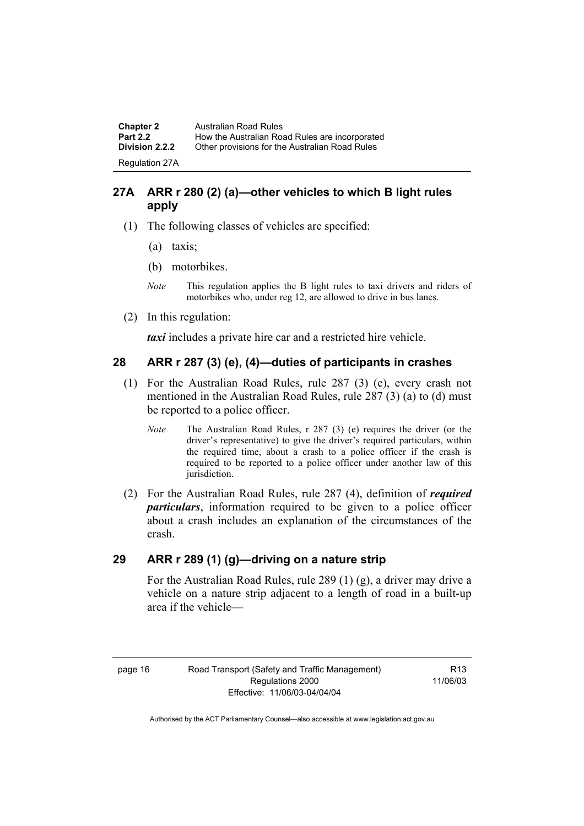**Chapter 2 Australian Road Rules**<br>**Part 2.2 How the Australian Road Part 2.2 How the Australian Road Rules are incorporated Division 2.2.2** Other provisions for the Australian Road Rules **Other provisions for the Australian Road Rules** Regulation 27A

#### **27A ARR r 280 (2) (a)—other vehicles to which B light rules apply**

- (1) The following classes of vehicles are specified:
	- (a) taxis;
	- (b) motorbikes.
	- *Note* This regulation applies the B light rules to taxi drivers and riders of motorbikes who, under reg 12, are allowed to drive in bus lanes.
- (2) In this regulation:

*taxi* includes a private hire car and a restricted hire vehicle.

#### **28 ARR r 287 (3) (e), (4)—duties of participants in crashes**

- (1) For the Australian Road Rules, rule 287 (3) (e), every crash not mentioned in the Australian Road Rules, rule 287 (3) (a) to (d) must be reported to a police officer.
	- *Note* The Australian Road Rules, r 287 (3) (e) requires the driver (or the driver's representative) to give the driver's required particulars, within the required time, about a crash to a police officer if the crash is required to be reported to a police officer under another law of this jurisdiction.
- (2) For the Australian Road Rules, rule 287 (4), definition of *required particulars*, information required to be given to a police officer about a crash includes an explanation of the circumstances of the crash.

#### **29 ARR r 289 (1) (g)—driving on a nature strip**

For the Australian Road Rules, rule 289 (1) (g), a driver may drive a vehicle on a nature strip adjacent to a length of road in a built-up area if the vehicle—

R13 11/06/03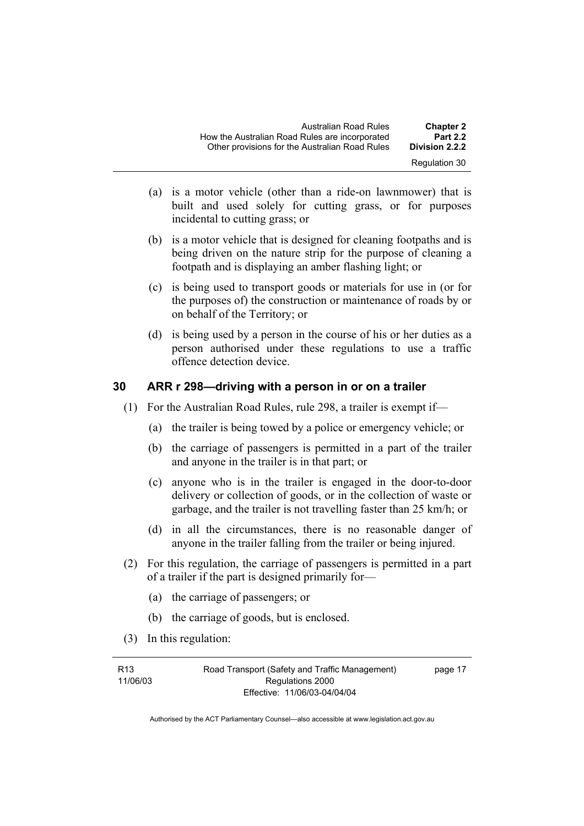| Australian Road Rules                          | <b>Chapter 2</b> |
|------------------------------------------------|------------------|
| How the Australian Road Rules are incorporated | <b>Part 2.2</b>  |
| Other provisions for the Australian Road Rules | Division 2.2.2   |
|                                                | Regulation 30    |

- (a) is a motor vehicle (other than a ride-on lawnmower) that is built and used solely for cutting grass, or for purposes incidental to cutting grass; or
- (b) is a motor vehicle that is designed for cleaning footpaths and is being driven on the nature strip for the purpose of cleaning a footpath and is displaying an amber flashing light; or
- (c) is being used to transport goods or materials for use in (or for the purposes of) the construction or maintenance of roads by or on behalf of the Territory; or
- (d) is being used by a person in the course of his or her duties as a person authorised under these regulations to use a traffic offence detection device.

#### **30 ARR r 298—driving with a person in or on a trailer**

- (1) For the Australian Road Rules, rule 298, a trailer is exempt if—
	- (a) the trailer is being towed by a police or emergency vehicle; or
	- (b) the carriage of passengers is permitted in a part of the trailer and anyone in the trailer is in that part; or
	- (c) anyone who is in the trailer is engaged in the door-to-door delivery or collection of goods, or in the collection of waste or garbage, and the trailer is not travelling faster than 25 km/h; or
	- (d) in all the circumstances, there is no reasonable danger of anyone in the trailer falling from the trailer or being injured.
- (2) For this regulation, the carriage of passengers is permitted in a part of a trailer if the part is designed primarily for—
	- (a) the carriage of passengers; or
	- (b) the carriage of goods, but is enclosed.
- (3) In this regulation:

| R13      | Road Transport (Safety and Traffic Management) | page 17 |
|----------|------------------------------------------------|---------|
| 11/06/03 | Regulations 2000                               |         |
|          | Effective: 11/06/03-04/04/04                   |         |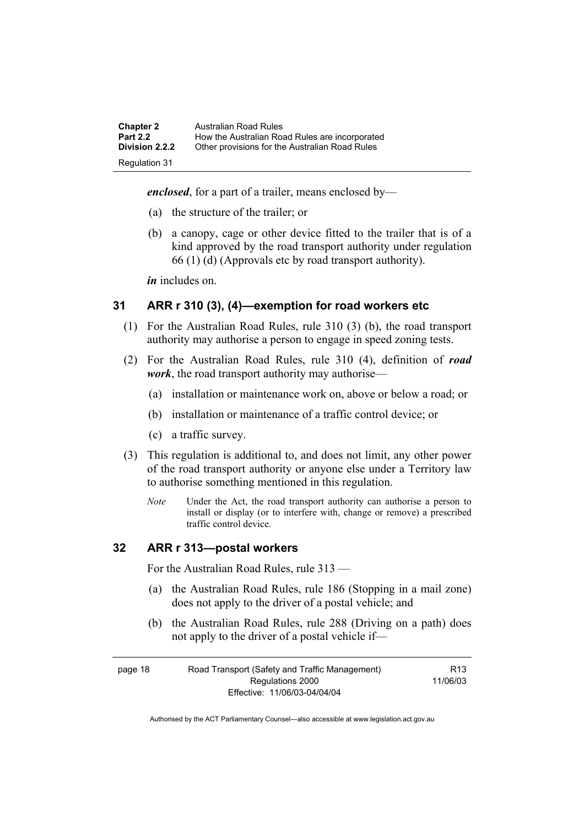| <b>Chapter 2</b>      | Australian Road Rules                          |
|-----------------------|------------------------------------------------|
| <b>Part 2.2</b>       | How the Australian Road Rules are incorporated |
| <b>Division 2.2.2</b> | Other provisions for the Australian Road Rules |
| Regulation 31         |                                                |

*enclosed*, for a part of a trailer, means enclosed by—

- (a) the structure of the trailer; or
- (b) a canopy, cage or other device fitted to the trailer that is of a kind approved by the road transport authority under regulation 66 (1) (d) (Approvals etc by road transport authority).

*in* includes on.

#### **31 ARR r 310 (3), (4)—exemption for road workers etc**

- (1) For the Australian Road Rules, rule 310 (3) (b), the road transport authority may authorise a person to engage in speed zoning tests.
- (2) For the Australian Road Rules, rule 310 (4), definition of *road work*, the road transport authority may authorise—
	- (a) installation or maintenance work on, above or below a road; or
	- (b) installation or maintenance of a traffic control device; or
	- (c) a traffic survey.
- (3) This regulation is additional to, and does not limit, any other power of the road transport authority or anyone else under a Territory law to authorise something mentioned in this regulation.
	- *Note* Under the Act, the road transport authority can authorise a person to install or display (or to interfere with, change or remove) a prescribed traffic control device.

#### **32 ARR r 313—postal workers**

For the Australian Road Rules, rule 313 —

- (a) the Australian Road Rules, rule 186 (Stopping in a mail zone) does not apply to the driver of a postal vehicle; and
- (b) the Australian Road Rules, rule 288 (Driving on a path) does not apply to the driver of a postal vehicle if—

| page 18 | Road Transport (Safety and Traffic Management) | R <sub>13</sub> |
|---------|------------------------------------------------|-----------------|
|         | Regulations 2000                               | 11/06/03        |
|         | Effective: 11/06/03-04/04/04                   |                 |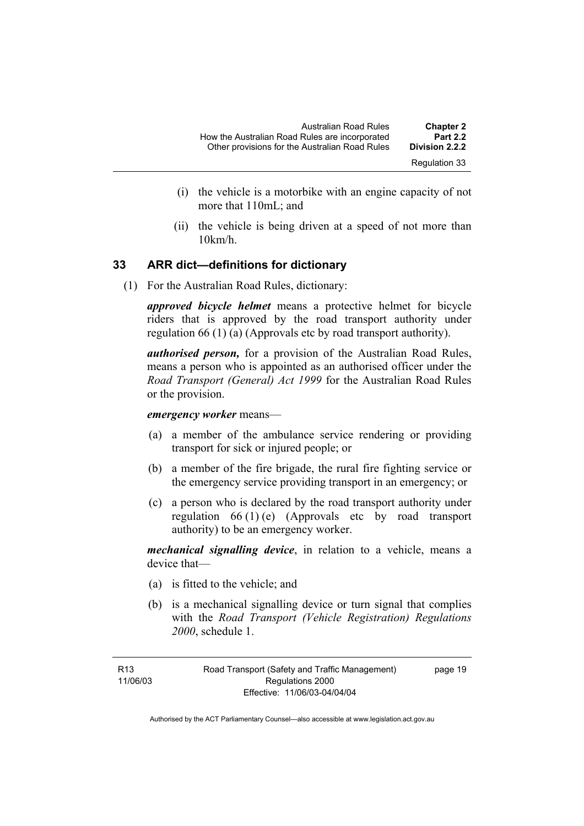| <b>Chapter 2</b> | Australian Road Rules                          |
|------------------|------------------------------------------------|
| <b>Part 2.2</b>  | How the Australian Road Rules are incorporated |
| Division 2.2.2   | Other provisions for the Australian Road Rules |
| Regulation 33    |                                                |

- (i) the vehicle is a motorbike with an engine capacity of not more that 110mL; and
- (ii) the vehicle is being driven at a speed of not more than 10km/h.

#### **33 ARR dict—definitions for dictionary**

(1) For the Australian Road Rules, dictionary:

*approved bicycle helmet* means a protective helmet for bicycle riders that is approved by the road transport authority under regulation 66 (1) (a) (Approvals etc by road transport authority).

*authorised person,* for a provision of the Australian Road Rules, means a person who is appointed as an authorised officer under the *Road Transport (General) Act 1999* for the Australian Road Rules or the provision.

*emergency worker* means—

- (a) a member of the ambulance service rendering or providing transport for sick or injured people; or
- (b) a member of the fire brigade, the rural fire fighting service or the emergency service providing transport in an emergency; or
- (c) a person who is declared by the road transport authority under regulation 66 (1) (e) (Approvals etc by road transport authority) to be an emergency worker.

*mechanical signalling device*, in relation to a vehicle, means a device that—

- (a) is fitted to the vehicle; and
- (b) is a mechanical signalling device or turn signal that complies with the *Road Transport (Vehicle Registration) Regulations 2000*, schedule 1.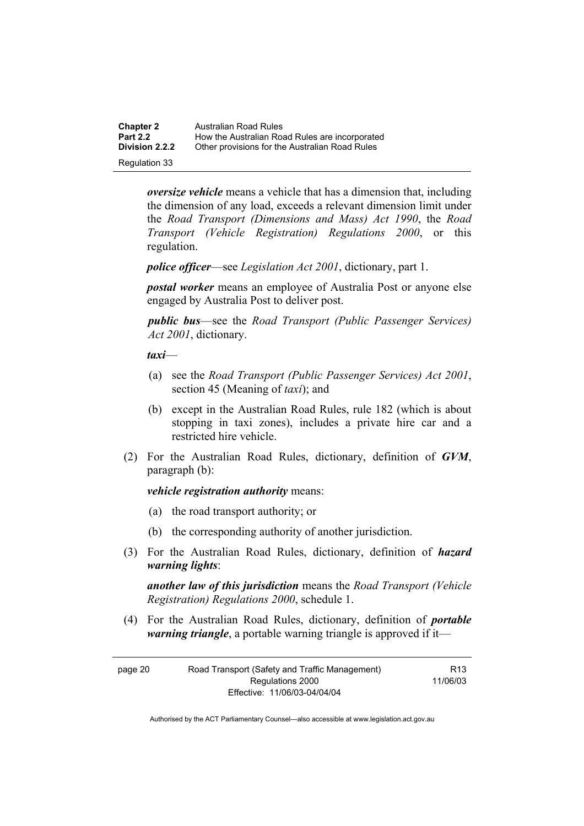| <b>Chapter 2</b>      | Australian Road Rules                          |
|-----------------------|------------------------------------------------|
| <b>Part 2.2</b>       | How the Australian Road Rules are incorporated |
| <b>Division 2.2.2</b> | Other provisions for the Australian Road Rules |
| Regulation 33         |                                                |

*oversize vehicle* means a vehicle that has a dimension that, including the dimension of any load, exceeds a relevant dimension limit under the *Road Transport (Dimensions and Mass) Act 1990*, the *Road Transport (Vehicle Registration) Regulations 2000*, or this regulation.

*police officer*—see *Legislation Act 2001*, dictionary, part 1.

*postal worker* means an employee of Australia Post or anyone else engaged by Australia Post to deliver post.

*public bus*—see the *Road Transport (Public Passenger Services) Act 2001*, dictionary.

*taxi*—

- (a) see the *Road Transport (Public Passenger Services) Act 2001*, section 45 (Meaning of *taxi*); and
- (b) except in the Australian Road Rules, rule 182 (which is about stopping in taxi zones), includes a private hire car and a restricted hire vehicle.
- (2) For the Australian Road Rules, dictionary, definition of *GVM*, paragraph (b):

*vehicle registration authority* means:

- (a) the road transport authority; or
- (b) the corresponding authority of another jurisdiction.
- (3) For the Australian Road Rules, dictionary, definition of *hazard warning lights*:

*another law of this jurisdiction* means the *Road Transport (Vehicle Registration) Regulations 2000*, schedule 1.

 (4) For the Australian Road Rules, dictionary, definition of *portable warning triangle*, a portable warning triangle is approved if it—

| page 20 | Road Transport (Safety and Traffic Management) | R <sub>13</sub> |
|---------|------------------------------------------------|-----------------|
|         | Regulations 2000                               | 11/06/03        |
|         | Effective: 11/06/03-04/04/04                   |                 |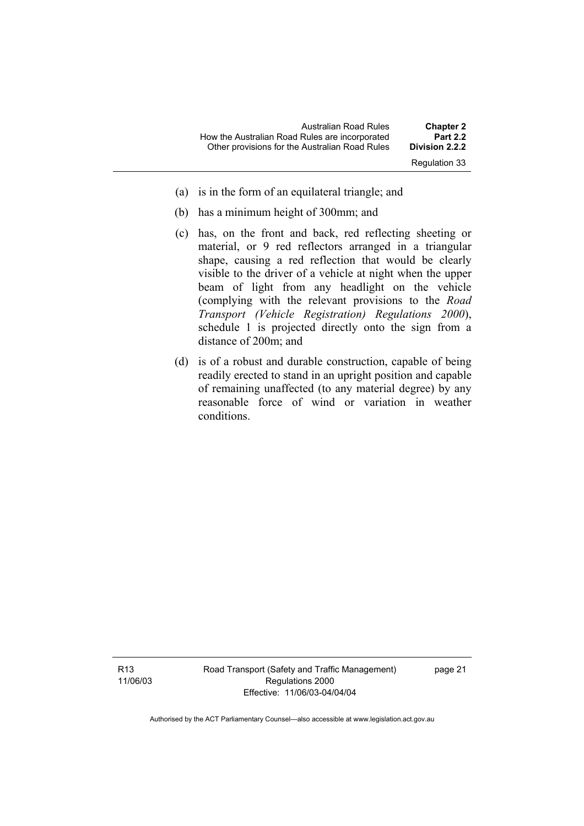- (a) is in the form of an equilateral triangle; and
- (b) has a minimum height of 300mm; and
- (c) has, on the front and back, red reflecting sheeting or material, or 9 red reflectors arranged in a triangular shape, causing a red reflection that would be clearly visible to the driver of a vehicle at night when the upper beam of light from any headlight on the vehicle (complying with the relevant provisions to the *Road Transport (Vehicle Registration) Regulations 2000*), schedule 1 is projected directly onto the sign from a distance of 200m; and
- (d) is of a robust and durable construction, capable of being readily erected to stand in an upright position and capable of remaining unaffected (to any material degree) by any reasonable force of wind or variation in weather conditions.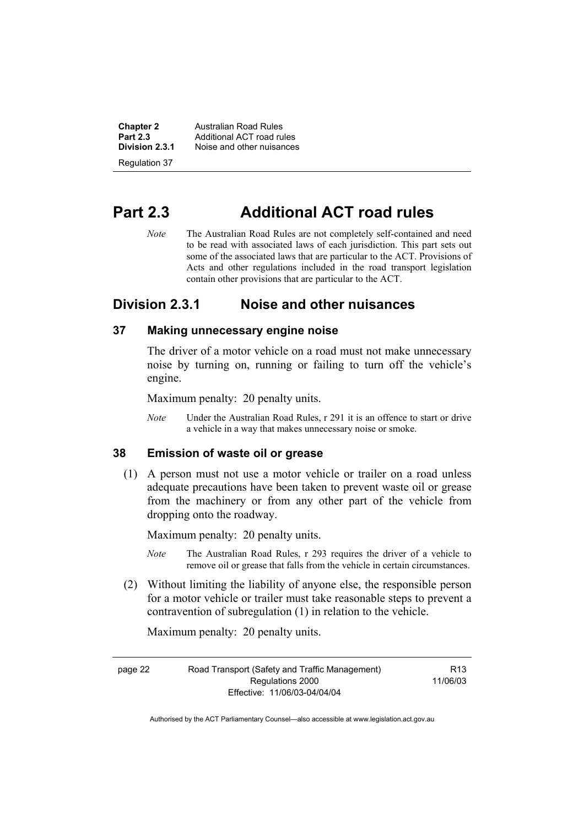**Chapter 2 Australian Road Rules**<br>**Part 2.3 Additional ACT road rules Part 2.3 Additional ACT road rules**<br>**Division 2.3.1** Noise and other nuisances **Division 2.3.1** Noise and other nuisances Regulation 37

## **Part 2.3 Additional ACT road rules**

*Note* The Australian Road Rules are not completely self-contained and need to be read with associated laws of each jurisdiction. This part sets out some of the associated laws that are particular to the ACT. Provisions of Acts and other regulations included in the road transport legislation contain other provisions that are particular to the ACT.

#### **Division 2.3.1 Noise and other nuisances**

#### **37 Making unnecessary engine noise**

The driver of a motor vehicle on a road must not make unnecessary noise by turning on, running or failing to turn off the vehicle's engine.

Maximum penalty: 20 penalty units.

*Note* Under the Australian Road Rules, r 291 it is an offence to start or drive a vehicle in a way that makes unnecessary noise or smoke.

#### **38 Emission of waste oil or grease**

 (1) A person must not use a motor vehicle or trailer on a road unless adequate precautions have been taken to prevent waste oil or grease from the machinery or from any other part of the vehicle from dropping onto the roadway.

Maximum penalty: 20 penalty units.

- *Note* The Australian Road Rules, r 293 requires the driver of a vehicle to remove oil or grease that falls from the vehicle in certain circumstances.
- (2) Without limiting the liability of anyone else, the responsible person for a motor vehicle or trailer must take reasonable steps to prevent a contravention of subregulation (1) in relation to the vehicle.

Maximum penalty: 20 penalty units.

page 22 Road Transport (Safety and Traffic Management) Regulations 2000 Effective: 11/06/03-04/04/04

R13 11/06/03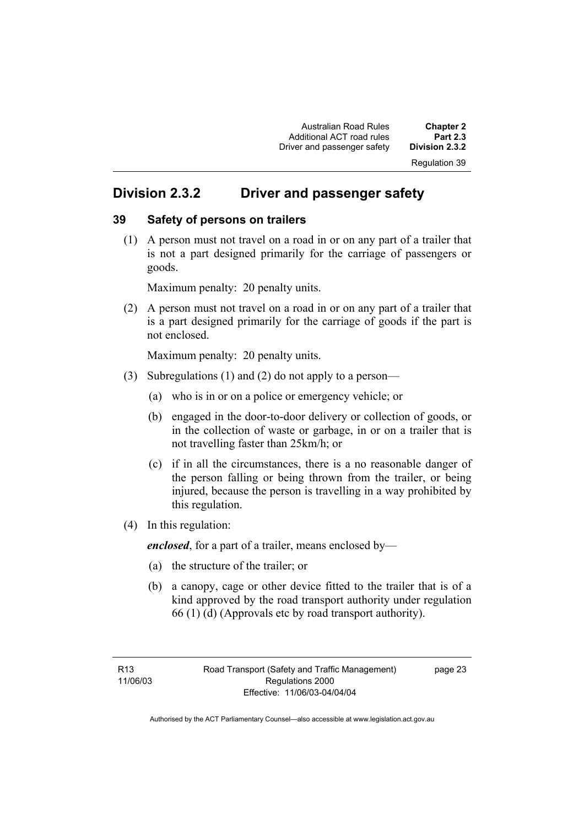Australian Road Rules **Chapter 2**  Additional ACT road rules **Part 2.3**  Driver and passenger safety

Regulation 39

### **Division 2.3.2 Driver and passenger safety**

#### **39 Safety of persons on trailers**

 (1) A person must not travel on a road in or on any part of a trailer that is not a part designed primarily for the carriage of passengers or goods.

Maximum penalty: 20 penalty units.

 (2) A person must not travel on a road in or on any part of a trailer that is a part designed primarily for the carriage of goods if the part is not enclosed.

Maximum penalty: 20 penalty units.

- (3) Subregulations (1) and (2) do not apply to a person—
	- (a) who is in or on a police or emergency vehicle; or
	- (b) engaged in the door-to-door delivery or collection of goods, or in the collection of waste or garbage, in or on a trailer that is not travelling faster than 25km/h; or
	- (c) if in all the circumstances, there is a no reasonable danger of the person falling or being thrown from the trailer, or being injured, because the person is travelling in a way prohibited by this regulation.
- (4) In this regulation:

*enclosed*, for a part of a trailer, means enclosed by—

- (a) the structure of the trailer; or
- (b) a canopy, cage or other device fitted to the trailer that is of a kind approved by the road transport authority under regulation 66 (1) (d) (Approvals etc by road transport authority).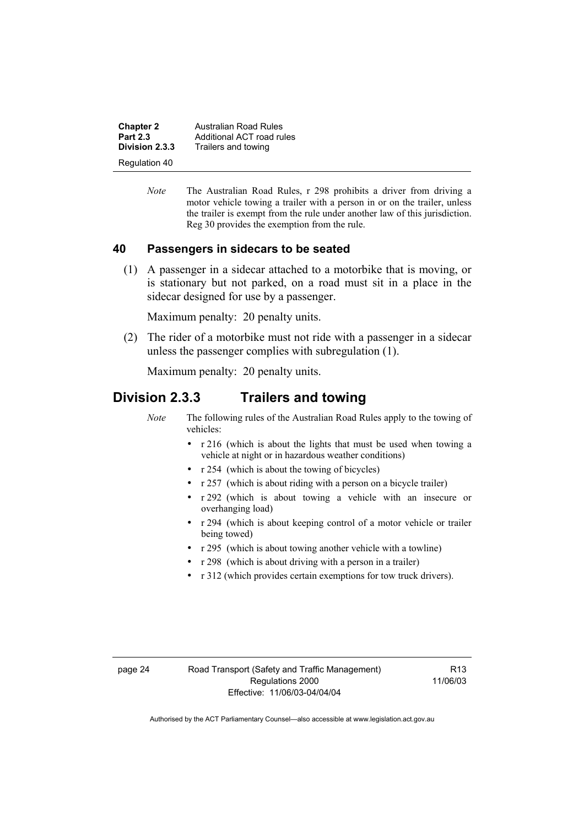**Chapter 2** Australian Road Rules<br>**Part 2.3** Additional ACT road rules **Part 2.3 Additional ACT road rules**<br>**Division 2.3.3** Trailers and towing **Division 2.3.3** Trailers and towing Regulation 40

> *Note* The Australian Road Rules, r 298 prohibits a driver from driving a motor vehicle towing a trailer with a person in or on the trailer, unless the trailer is exempt from the rule under another law of this jurisdiction. Reg 30 provides the exemption from the rule.

#### **40 Passengers in sidecars to be seated**

 (1) A passenger in a sidecar attached to a motorbike that is moving, or is stationary but not parked, on a road must sit in a place in the sidecar designed for use by a passenger.

Maximum penalty: 20 penalty units.

 (2) The rider of a motorbike must not ride with a passenger in a sidecar unless the passenger complies with subregulation (1).

Maximum penalty: 20 penalty units.

#### **Division 2.3.3 Trailers and towing**

*Note* The following rules of the Australian Road Rules apply to the towing of vehicles:

- r 216 (which is about the lights that must be used when towing a vehicle at night or in hazardous weather conditions)
- r 254 (which is about the towing of bicycles)
- r 257 (which is about riding with a person on a bicycle trailer)
- r 292 (which is about towing a vehicle with an insecure or overhanging load)
- r 294 (which is about keeping control of a motor vehicle or trailer being towed)
- r 295 (which is about towing another vehicle with a towline)
- r 298 (which is about driving with a person in a trailer)
- r 312 (which provides certain exemptions for tow truck drivers).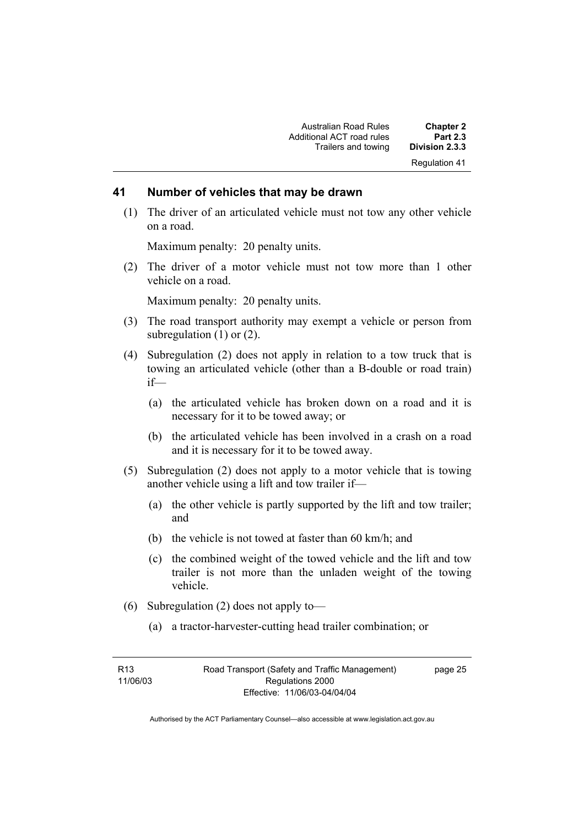#### **41 Number of vehicles that may be drawn**

 (1) The driver of an articulated vehicle must not tow any other vehicle on a road.

Maximum penalty: 20 penalty units.

 (2) The driver of a motor vehicle must not tow more than 1 other vehicle on a road.

Maximum penalty: 20 penalty units.

- (3) The road transport authority may exempt a vehicle or person from subregulation (1) or (2).
- (4) Subregulation (2) does not apply in relation to a tow truck that is towing an articulated vehicle (other than a B-double or road train) if—
	- (a) the articulated vehicle has broken down on a road and it is necessary for it to be towed away; or
	- (b) the articulated vehicle has been involved in a crash on a road and it is necessary for it to be towed away.
- (5) Subregulation (2) does not apply to a motor vehicle that is towing another vehicle using a lift and tow trailer if—
	- (a) the other vehicle is partly supported by the lift and tow trailer; and
	- (b) the vehicle is not towed at faster than 60 km/h; and
	- (c) the combined weight of the towed vehicle and the lift and tow trailer is not more than the unladen weight of the towing vehicle.
- (6) Subregulation (2) does not apply to—
	- (a) a tractor-harvester-cutting head trailer combination; or

page 25

R13 11/06/03 Road Transport (Safety and Traffic Management) Regulations 2000 Effective: 11/06/03-04/04/04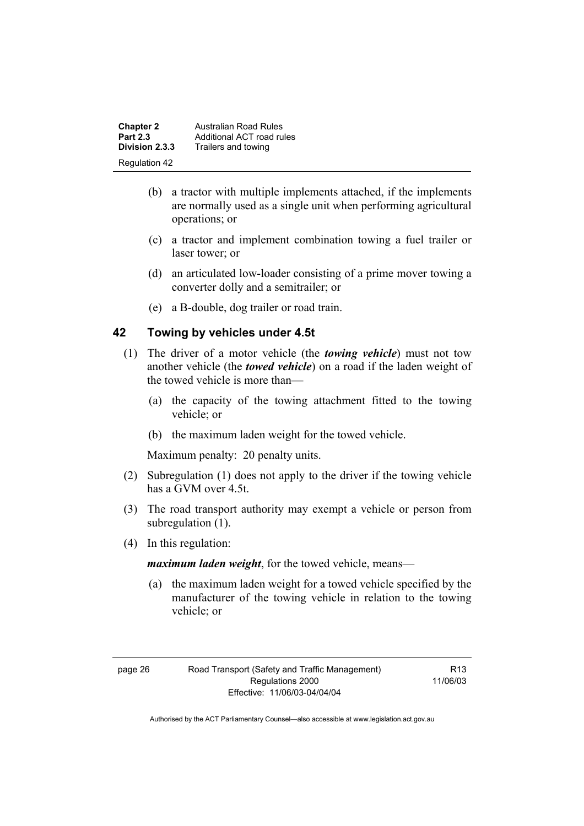| <b>Chapter 2</b> | Australian Road Rules     |
|------------------|---------------------------|
| <b>Part 2.3</b>  | Additional ACT road rules |
| Division 2.3.3   | Trailers and towing       |
| Regulation 42    |                           |

- (b) a tractor with multiple implements attached, if the implements are normally used as a single unit when performing agricultural operations; or
- (c) a tractor and implement combination towing a fuel trailer or laser tower; or
- (d) an articulated low-loader consisting of a prime mover towing a converter dolly and a semitrailer; or
- (e) a B-double, dog trailer or road train.

#### **42 Towing by vehicles under 4.5t**

- (1) The driver of a motor vehicle (the *towing vehicle*) must not tow another vehicle (the *towed vehicle*) on a road if the laden weight of the towed vehicle is more than—
	- (a) the capacity of the towing attachment fitted to the towing vehicle; or
	- (b) the maximum laden weight for the towed vehicle.

Maximum penalty: 20 penalty units.

- (2) Subregulation (1) does not apply to the driver if the towing vehicle has a GVM over 4.5t.
- (3) The road transport authority may exempt a vehicle or person from subregulation  $(1)$ .
- (4) In this regulation:

*maximum laden weight*, for the towed vehicle, means—

 (a) the maximum laden weight for a towed vehicle specified by the manufacturer of the towing vehicle in relation to the towing vehicle; or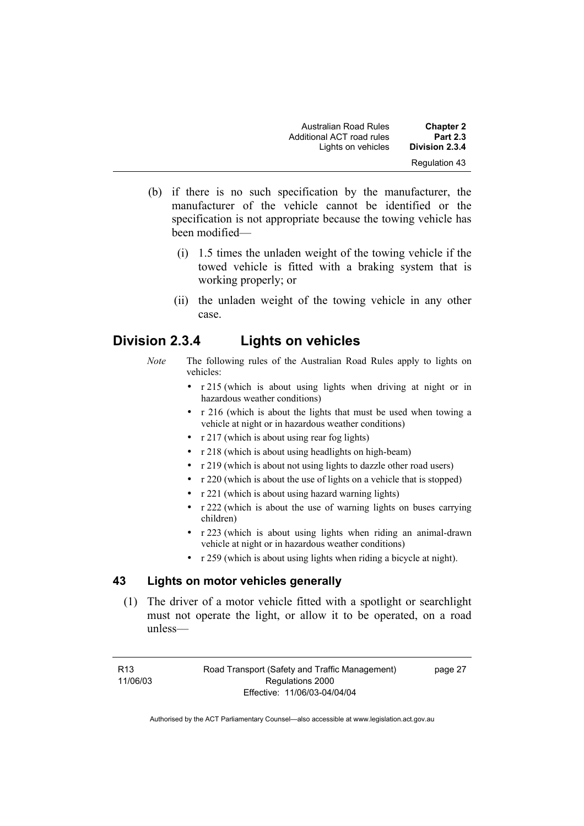| <b>Australian Road Rules</b> | <b>Chapter 2</b> |
|------------------------------|------------------|
| Additional ACT road rules    | <b>Part 2.3</b>  |
| Lights on vehicles           | Division 2.3.4   |
|                              | Regulation 43    |

- (b) if there is no such specification by the manufacturer, the manufacturer of the vehicle cannot be identified or the specification is not appropriate because the towing vehicle has been modified—
	- (i) 1.5 times the unladen weight of the towing vehicle if the towed vehicle is fitted with a braking system that is working properly; or
	- (ii) the unladen weight of the towing vehicle in any other case.

# **Division 2.3.4 Lights on vehicles**

- *Note* The following rules of the Australian Road Rules apply to lights on vehicles:
	- r 215 (which is about using lights when driving at night or in hazardous weather conditions)
	- r 216 (which is about the lights that must be used when towing a vehicle at night or in hazardous weather conditions)
	- r 217 (which is about using rear fog lights)
	- r 218 (which is about using headlights on high-beam)
	- r 219 (which is about not using lights to dazzle other road users)
	- r 220 (which is about the use of lights on a vehicle that is stopped)
	- r 221 (which is about using hazard warning lights)
	- r 222 (which is about the use of warning lights on buses carrying children)
	- r 223 (which is about using lights when riding an animal-drawn vehicle at night or in hazardous weather conditions)
	- r 259 (which is about using lights when riding a bicycle at night).

# **43 Lights on motor vehicles generally**

 (1) The driver of a motor vehicle fitted with a spotlight or searchlight must not operate the light, or allow it to be operated, on a road unless—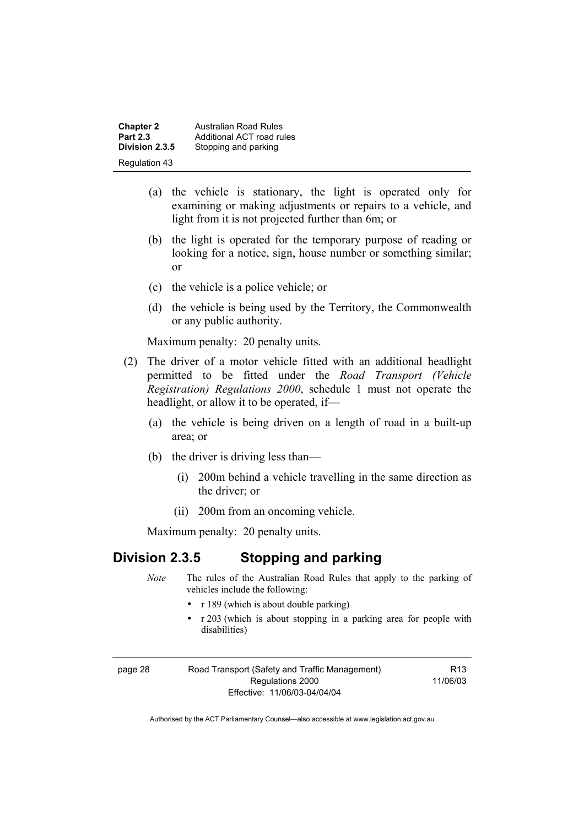| <b>Chapter 2</b> | <b>Australian Road Rules</b> |
|------------------|------------------------------|
| <b>Part 2.3</b>  | Additional ACT road rules    |
| Division 2.3.5   | Stopping and parking         |
| Regulation 43    |                              |

- (a) the vehicle is stationary, the light is operated only for examining or making adjustments or repairs to a vehicle, and light from it is not projected further than 6m; or
- (b) the light is operated for the temporary purpose of reading or looking for a notice, sign, house number or something similar; or
- (c) the vehicle is a police vehicle; or
- (d) the vehicle is being used by the Territory, the Commonwealth or any public authority.

Maximum penalty: 20 penalty units.

- (2) The driver of a motor vehicle fitted with an additional headlight permitted to be fitted under the *Road Transport (Vehicle Registration) Regulations 2000*, schedule 1 must not operate the headlight, or allow it to be operated, if—
	- (a) the vehicle is being driven on a length of road in a built-up area; or
	- (b) the driver is driving less than—
		- (i) 200m behind a vehicle travelling in the same direction as the driver; or
		- (ii) 200m from an oncoming vehicle.

Maximum penalty: 20 penalty units.

# **Division 2.3.5 Stopping and parking**

- *Note* The rules of the Australian Road Rules that apply to the parking of vehicles include the following:
	- r 189 (which is about double parking)
	- r 203 (which is about stopping in a parking area for people with disabilities)

| page 28 | Road Transport (Safety and Traffic Management) | R <sub>13</sub> |
|---------|------------------------------------------------|-----------------|
|         | Regulations 2000                               | 11/06/03        |
|         | Effective: 11/06/03-04/04/04                   |                 |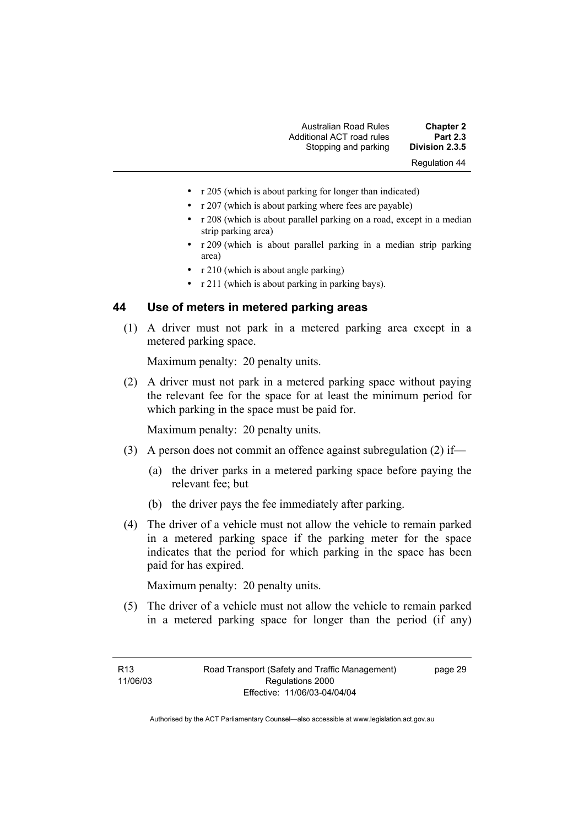| <b>Chapter 2</b>     | Australian Road Rules     |
|----------------------|---------------------------|
| <b>Part 2.3</b>      | Additional ACT road rules |
| Division 2.3.5       | Stopping and parking      |
| <b>Regulation 44</b> |                           |

- r 205 (which is about parking for longer than indicated)
- r 207 (which is about parking where fees are payable)
- r 208 (which is about parallel parking on a road, except in a median strip parking area)
- r 209 (which is about parallel parking in a median strip parking area)
- r 210 (which is about angle parking)
- r 211 (which is about parking in parking bays).

### **44 Use of meters in metered parking areas**

 (1) A driver must not park in a metered parking area except in a metered parking space.

Maximum penalty: 20 penalty units.

 (2) A driver must not park in a metered parking space without paying the relevant fee for the space for at least the minimum period for which parking in the space must be paid for.

Maximum penalty: 20 penalty units.

- (3) A person does not commit an offence against subregulation (2) if—
	- (a) the driver parks in a metered parking space before paying the relevant fee; but
	- (b) the driver pays the fee immediately after parking.
- (4) The driver of a vehicle must not allow the vehicle to remain parked in a metered parking space if the parking meter for the space indicates that the period for which parking in the space has been paid for has expired.

Maximum penalty: 20 penalty units.

 (5) The driver of a vehicle must not allow the vehicle to remain parked in a metered parking space for longer than the period (if any)

page 29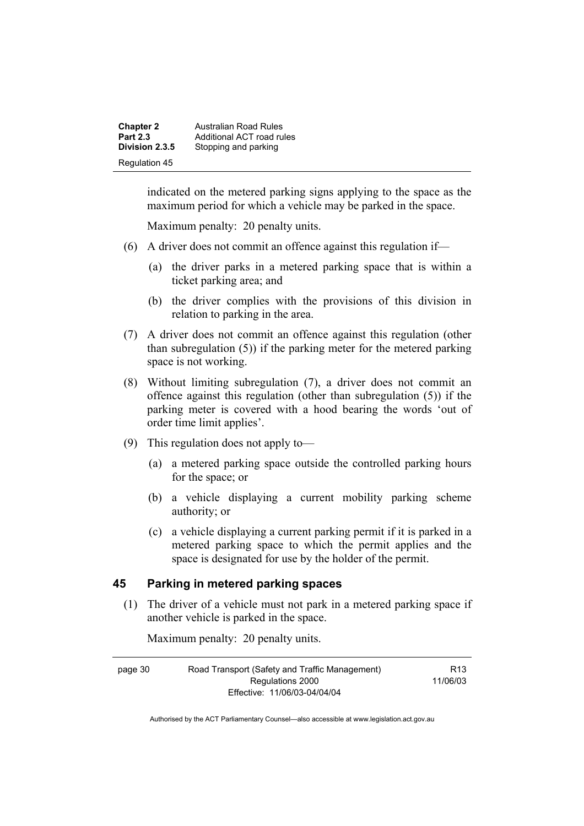| <b>Chapter 2</b> | <b>Australian Road Rules</b> |
|------------------|------------------------------|
| <b>Part 2.3</b>  | Additional ACT road rules    |
| Division 2.3.5   | Stopping and parking         |
| Regulation 45    |                              |

indicated on the metered parking signs applying to the space as the maximum period for which a vehicle may be parked in the space.

Maximum penalty: 20 penalty units.

- (6) A driver does not commit an offence against this regulation if—
	- (a) the driver parks in a metered parking space that is within a ticket parking area; and
	- (b) the driver complies with the provisions of this division in relation to parking in the area.
- (7) A driver does not commit an offence against this regulation (other than subregulation (5)) if the parking meter for the metered parking space is not working.
- (8) Without limiting subregulation (7), a driver does not commit an offence against this regulation (other than subregulation (5)) if the parking meter is covered with a hood bearing the words 'out of order time limit applies'.
- (9) This regulation does not apply to—
	- (a) a metered parking space outside the controlled parking hours for the space; or
	- (b) a vehicle displaying a current mobility parking scheme authority; or
	- (c) a vehicle displaying a current parking permit if it is parked in a metered parking space to which the permit applies and the space is designated for use by the holder of the permit.

# **45 Parking in metered parking spaces**

 (1) The driver of a vehicle must not park in a metered parking space if another vehicle is parked in the space.

Maximum penalty: 20 penalty units.

| page 30                      | Road Transport (Safety and Traffic Management) | R <sub>13</sub> |
|------------------------------|------------------------------------------------|-----------------|
|                              | Regulations 2000                               | 11/06/03        |
| Effective: 11/06/03-04/04/04 |                                                |                 |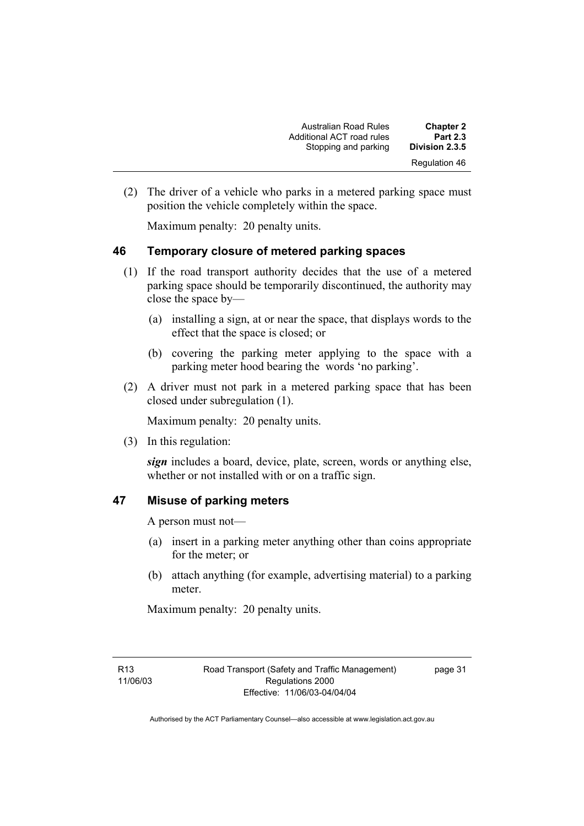Australian Road Rules **Chapter 2**  Additional ACT road rules **Part 2.3**  Stopping and parking Regulation 46

 (2) The driver of a vehicle who parks in a metered parking space must position the vehicle completely within the space.

Maximum penalty: 20 penalty units.

### **46 Temporary closure of metered parking spaces**

- (1) If the road transport authority decides that the use of a metered parking space should be temporarily discontinued, the authority may close the space by—
	- (a) installing a sign, at or near the space, that displays words to the effect that the space is closed; or
	- (b) covering the parking meter applying to the space with a parking meter hood bearing the words 'no parking'.
- (2) A driver must not park in a metered parking space that has been closed under subregulation (1).

Maximum penalty: 20 penalty units.

(3) In this regulation:

*sign* includes a board, device, plate, screen, words or anything else, whether or not installed with or on a traffic sign.

# **47 Misuse of parking meters**

A person must not—

- (a) insert in a parking meter anything other than coins appropriate for the meter; or
- (b) attach anything (for example, advertising material) to a parking meter.

Maximum penalty: 20 penalty units.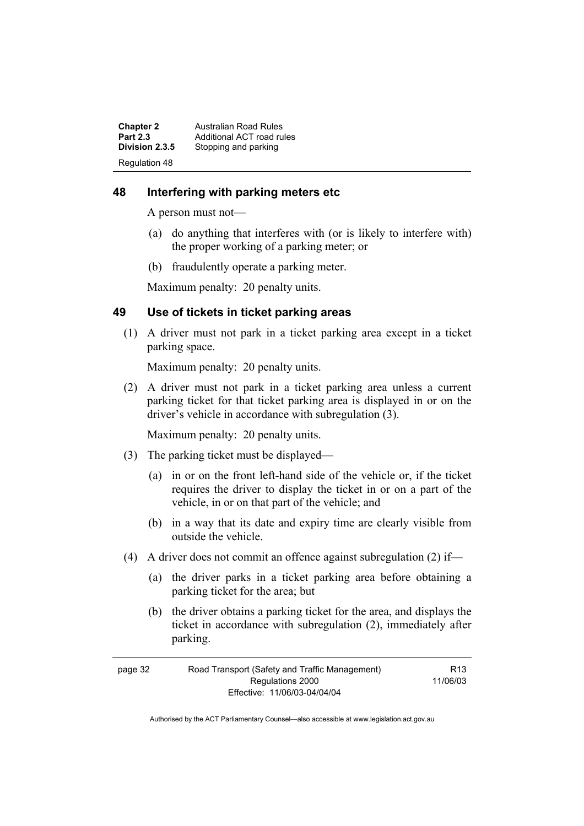| <b>Chapter 2</b> | <b>Australian Road Rules</b> |
|------------------|------------------------------|
| <b>Part 2.3</b>  | Additional ACT road rules    |
| Division 2.3.5   | Stopping and parking         |
| Regulation 48    |                              |

# **48 Interfering with parking meters etc**

A person must not—

- (a) do anything that interferes with (or is likely to interfere with) the proper working of a parking meter; or
- (b) fraudulently operate a parking meter.

Maximum penalty: 20 penalty units.

### **49 Use of tickets in ticket parking areas**

 (1) A driver must not park in a ticket parking area except in a ticket parking space.

Maximum penalty: 20 penalty units.

 (2) A driver must not park in a ticket parking area unless a current parking ticket for that ticket parking area is displayed in or on the driver's vehicle in accordance with subregulation (3).

Maximum penalty: 20 penalty units.

- (3) The parking ticket must be displayed—
	- (a) in or on the front left-hand side of the vehicle or, if the ticket requires the driver to display the ticket in or on a part of the vehicle, in or on that part of the vehicle; and
	- (b) in a way that its date and expiry time are clearly visible from outside the vehicle.
- (4) A driver does not commit an offence against subregulation (2) if—
	- (a) the driver parks in a ticket parking area before obtaining a parking ticket for the area; but
	- (b) the driver obtains a parking ticket for the area, and displays the ticket in accordance with subregulation (2), immediately after parking.

| page 32 | Road Transport (Safety and Traffic Management) | R <sub>13</sub> |
|---------|------------------------------------------------|-----------------|
|         | Regulations 2000                               | 11/06/03        |
|         | Effective: 11/06/03-04/04/04                   |                 |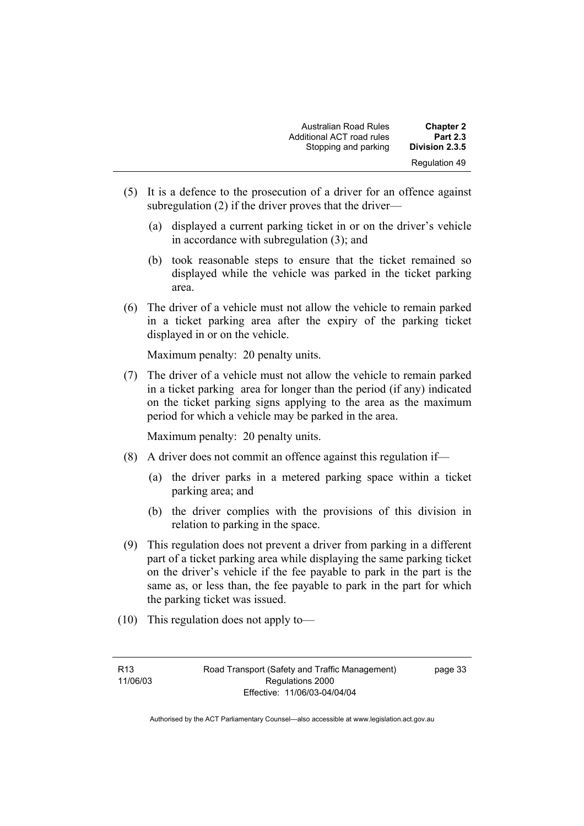| <b>Chapter 2</b> | <b>Australian Road Rules</b> |
|------------------|------------------------------|
| <b>Part 2.3</b>  | Additional ACT road rules    |
| Division 2.3.5   | Stopping and parking         |
| Regulation 49    |                              |

- (5) It is a defence to the prosecution of a driver for an offence against subregulation (2) if the driver proves that the driver—
	- (a) displayed a current parking ticket in or on the driver's vehicle in accordance with subregulation (3); and
	- (b) took reasonable steps to ensure that the ticket remained so displayed while the vehicle was parked in the ticket parking area.
- (6) The driver of a vehicle must not allow the vehicle to remain parked in a ticket parking area after the expiry of the parking ticket displayed in or on the vehicle.

Maximum penalty: 20 penalty units.

 (7) The driver of a vehicle must not allow the vehicle to remain parked in a ticket parking area for longer than the period (if any) indicated on the ticket parking signs applying to the area as the maximum period for which a vehicle may be parked in the area.

Maximum penalty: 20 penalty units.

- (8) A driver does not commit an offence against this regulation if—
	- (a) the driver parks in a metered parking space within a ticket parking area; and
	- (b) the driver complies with the provisions of this division in relation to parking in the space.
- (9) This regulation does not prevent a driver from parking in a different part of a ticket parking area while displaying the same parking ticket on the driver's vehicle if the fee payable to park in the part is the same as, or less than, the fee payable to park in the part for which the parking ticket was issued.
- (10) This regulation does not apply to—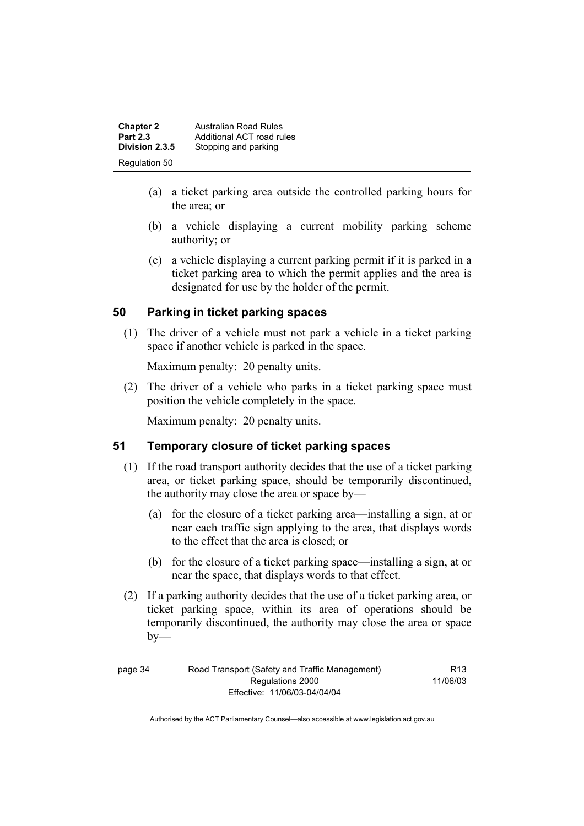**Chapter 2 Australian Road Rules**<br>**Part 2.3 Additional ACT road rules Part 2.3 Additional ACT road rules**<br>**Division 2.3.5** Stopping and parking **Division 2.3.5** Stopping and parking Regulation 50

- (a) a ticket parking area outside the controlled parking hours for the area; or
- (b) a vehicle displaying a current mobility parking scheme authority; or
- (c) a vehicle displaying a current parking permit if it is parked in a ticket parking area to which the permit applies and the area is designated for use by the holder of the permit.

# **50 Parking in ticket parking spaces**

 (1) The driver of a vehicle must not park a vehicle in a ticket parking space if another vehicle is parked in the space.

Maximum penalty: 20 penalty units.

 (2) The driver of a vehicle who parks in a ticket parking space must position the vehicle completely in the space.

Maximum penalty: 20 penalty units.

### **51 Temporary closure of ticket parking spaces**

- (1) If the road transport authority decides that the use of a ticket parking area, or ticket parking space, should be temporarily discontinued, the authority may close the area or space by—
	- (a) for the closure of a ticket parking area—installing a sign, at or near each traffic sign applying to the area, that displays words to the effect that the area is closed; or
	- (b) for the closure of a ticket parking space—installing a sign, at or near the space, that displays words to that effect.
- (2) If a parking authority decides that the use of a ticket parking area, or ticket parking space, within its area of operations should be temporarily discontinued, the authority may close the area or space  $by-$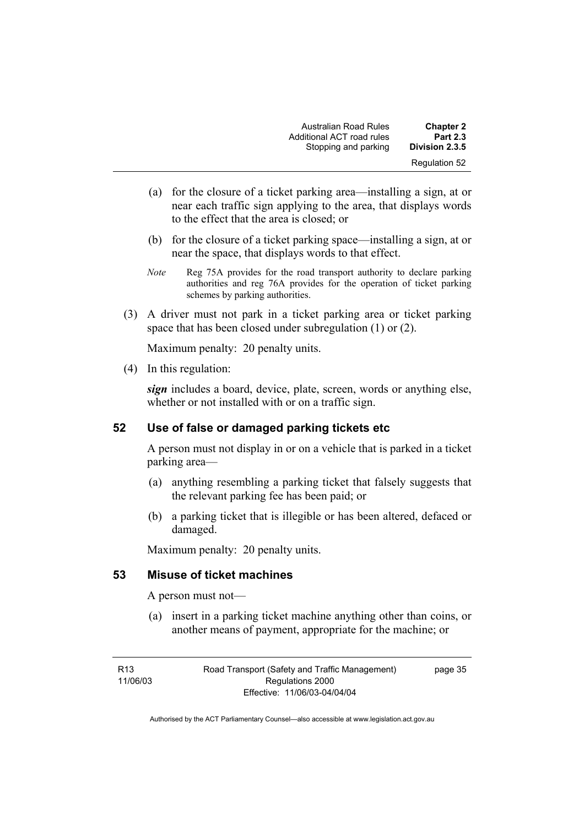| <b>Chapter 2</b>     | <b>Australian Road Rules</b> |
|----------------------|------------------------------|
| <b>Part 2.3</b>      | Additional ACT road rules    |
| Division 2.3.5       | Stopping and parking         |
| <b>Regulation 52</b> |                              |

- (a) for the closure of a ticket parking area—installing a sign, at or near each traffic sign applying to the area, that displays words to the effect that the area is closed; or
- (b) for the closure of a ticket parking space—installing a sign, at or near the space, that displays words to that effect.
- *Note* Reg 75A provides for the road transport authority to declare parking authorities and reg 76A provides for the operation of ticket parking schemes by parking authorities.
- (3) A driver must not park in a ticket parking area or ticket parking space that has been closed under subregulation (1) or (2).

Maximum penalty: 20 penalty units.

(4) In this regulation:

*sign* includes a board, device, plate, screen, words or anything else, whether or not installed with or on a traffic sign.

### **52 Use of false or damaged parking tickets etc**

A person must not display in or on a vehicle that is parked in a ticket parking area—

- (a) anything resembling a parking ticket that falsely suggests that the relevant parking fee has been paid; or
- (b) a parking ticket that is illegible or has been altered, defaced or damaged.

Maximum penalty: 20 penalty units.

### **53 Misuse of ticket machines**

A person must not—

 (a) insert in a parking ticket machine anything other than coins, or another means of payment, appropriate for the machine; or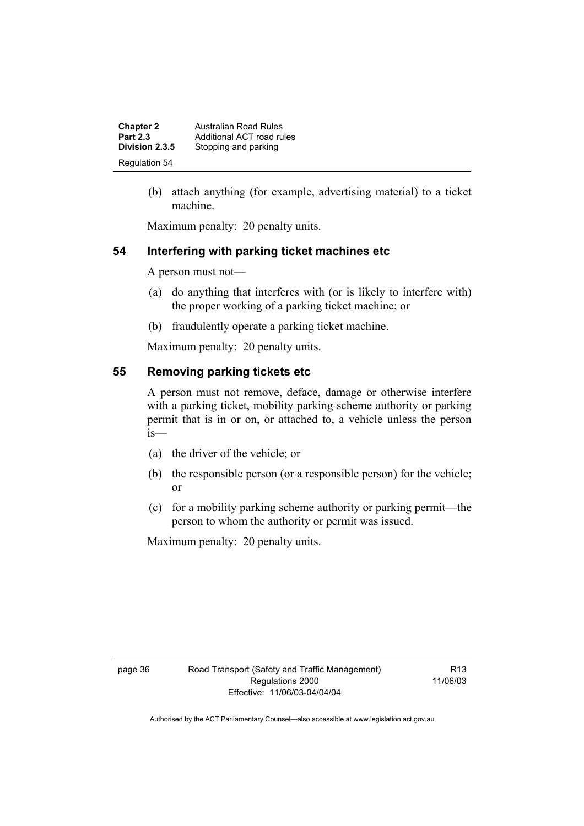| <b>Chapter 2</b>     | <b>Australian Road Rules</b> |
|----------------------|------------------------------|
| <b>Part 2.3</b>      | Additional ACT road rules    |
| Division 2.3.5       | Stopping and parking         |
| <b>Regulation 54</b> |                              |

 (b) attach anything (for example, advertising material) to a ticket machine.

Maximum penalty: 20 penalty units.

### **54 Interfering with parking ticket machines etc**

A person must not—

- (a) do anything that interferes with (or is likely to interfere with) the proper working of a parking ticket machine; or
- (b) fraudulently operate a parking ticket machine.

Maximum penalty: 20 penalty units.

# **55 Removing parking tickets etc**

A person must not remove, deface, damage or otherwise interfere with a parking ticket, mobility parking scheme authority or parking permit that is in or on, or attached to, a vehicle unless the person is—

- (a) the driver of the vehicle; or
- (b) the responsible person (or a responsible person) for the vehicle; or
- (c) for a mobility parking scheme authority or parking permit—the person to whom the authority or permit was issued.

Maximum penalty: 20 penalty units.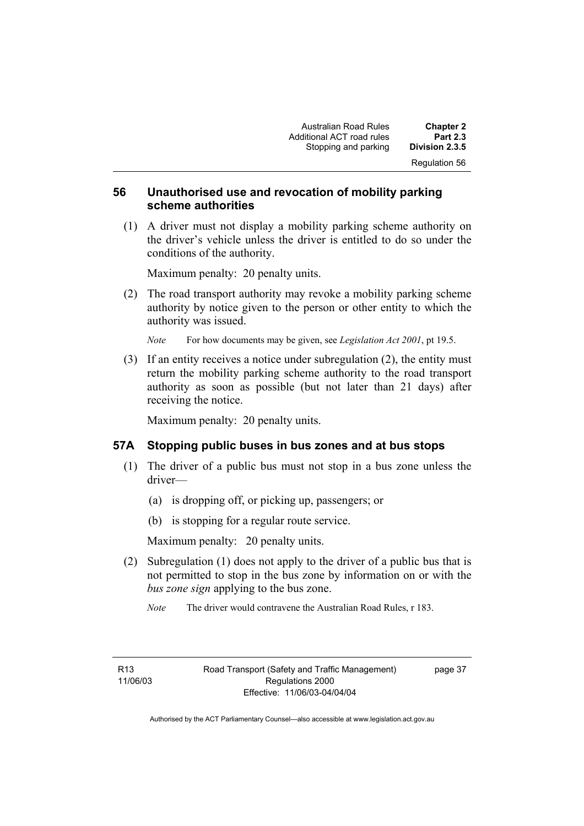Australian Road Rules **Chapter 2**  Additional ACT road rules **Part 2.3 Stopping and parking** Regulation 56

### **56 Unauthorised use and revocation of mobility parking scheme authorities**

 (1) A driver must not display a mobility parking scheme authority on the driver's vehicle unless the driver is entitled to do so under the conditions of the authority.

Maximum penalty: 20 penalty units.

 (2) The road transport authority may revoke a mobility parking scheme authority by notice given to the person or other entity to which the authority was issued.

*Note* For how documents may be given, see *Legislation Act 2001*, pt 19.5.

 (3) If an entity receives a notice under subregulation (2), the entity must return the mobility parking scheme authority to the road transport authority as soon as possible (but not later than 21 days) after receiving the notice.

Maximum penalty: 20 penalty units.

### **57A Stopping public buses in bus zones and at bus stops**

- (1) The driver of a public bus must not stop in a bus zone unless the driver—
	- (a) is dropping off, or picking up, passengers; or
	- (b) is stopping for a regular route service.

Maximum penalty: 20 penalty units.

 (2) Subregulation (1) does not apply to the driver of a public bus that is not permitted to stop in the bus zone by information on or with the *bus zone sign* applying to the bus zone.

*Note* The driver would contravene the Australian Road Rules, r 183.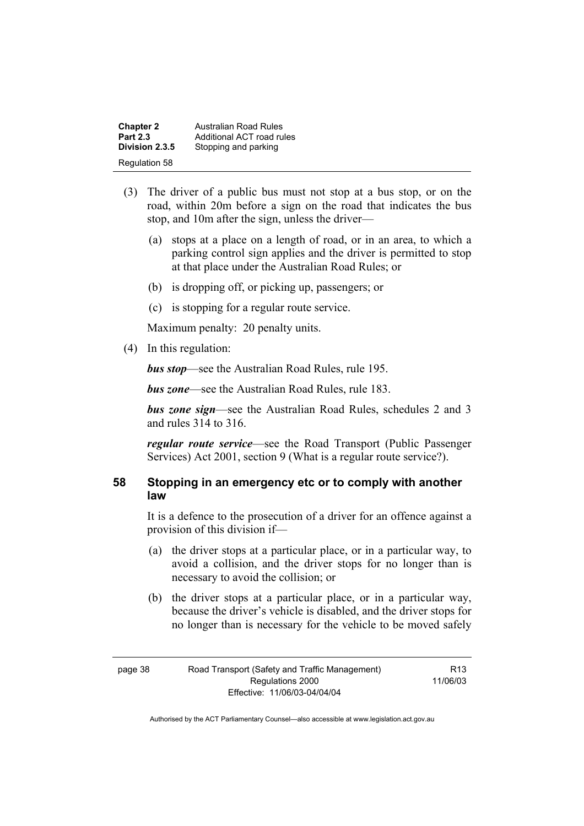| <b>Chapter 2</b> | <b>Australian Road Rules</b> |
|------------------|------------------------------|
| <b>Part 2.3</b>  | Additional ACT road rules    |
| Division 2.3.5   | Stopping and parking         |
| Regulation 58    |                              |

- (3) The driver of a public bus must not stop at a bus stop, or on the road, within 20m before a sign on the road that indicates the bus stop, and 10m after the sign, unless the driver—
	- (a) stops at a place on a length of road, or in an area, to which a parking control sign applies and the driver is permitted to stop at that place under the Australian Road Rules; or
	- (b) is dropping off, or picking up, passengers; or
	- (c) is stopping for a regular route service.

Maximum penalty: 20 penalty units.

(4) In this regulation:

*bus stop*—see the Australian Road Rules, rule 195.

*bus zone*—see the Australian Road Rules, rule 183.

*bus zone sign*—see the Australian Road Rules, schedules 2 and 3 and rules 314 to 316.

*regular route service*—see the Road Transport (Public Passenger Services) Act 2001, section 9 (What is a regular route service?).

### **58 Stopping in an emergency etc or to comply with another law**

It is a defence to the prosecution of a driver for an offence against a provision of this division if—

- (a) the driver stops at a particular place, or in a particular way, to avoid a collision, and the driver stops for no longer than is necessary to avoid the collision; or
- (b) the driver stops at a particular place, or in a particular way, because the driver's vehicle is disabled, and the driver stops for no longer than is necessary for the vehicle to be moved safely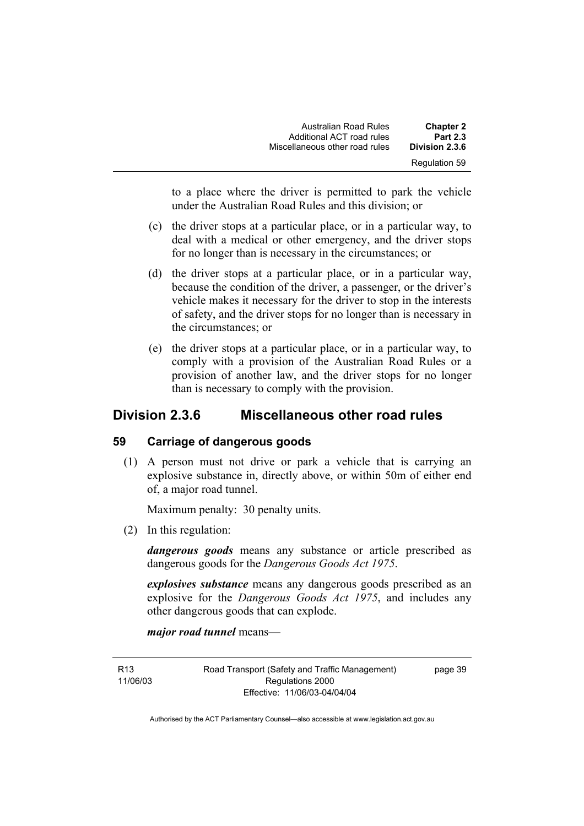| <b>Chapter 2</b> | Australian Road Rules          |
|------------------|--------------------------------|
| <b>Part 2.3</b>  | Additional ACT road rules      |
| Division 2.3.6   | Miscellaneous other road rules |
| Regulation 59    |                                |

to a place where the driver is permitted to park the vehicle under the Australian Road Rules and this division; or

- (c) the driver stops at a particular place, or in a particular way, to deal with a medical or other emergency, and the driver stops for no longer than is necessary in the circumstances; or
- (d) the driver stops at a particular place, or in a particular way, because the condition of the driver, a passenger, or the driver's vehicle makes it necessary for the driver to stop in the interests of safety, and the driver stops for no longer than is necessary in the circumstances; or
- (e) the driver stops at a particular place, or in a particular way, to comply with a provision of the Australian Road Rules or a provision of another law, and the driver stops for no longer than is necessary to comply with the provision.

# **Division 2.3.6 Miscellaneous other road rules**

### **59 Carriage of dangerous goods**

 (1) A person must not drive or park a vehicle that is carrying an explosive substance in, directly above, or within 50m of either end of, a major road tunnel.

Maximum penalty: 30 penalty units.

(2) In this regulation:

*dangerous goods* means any substance or article prescribed as dangerous goods for the *Dangerous Goods Act 1975*.

*explosives substance* means any dangerous goods prescribed as an explosive for the *Dangerous Goods Act 1975*, and includes any other dangerous goods that can explode.

*major road tunnel* means—

R13 11/06/03 Road Transport (Safety and Traffic Management) Regulations 2000 Effective: 11/06/03-04/04/04 page 39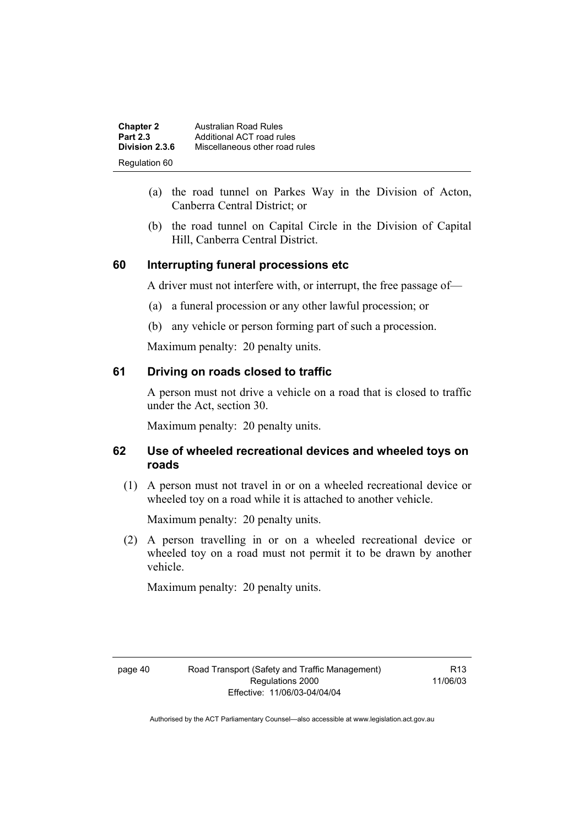| <b>Chapter 2</b> | Australian Road Rules          |
|------------------|--------------------------------|
| <b>Part 2.3</b>  | Additional ACT road rules      |
| Division 2.3.6   | Miscellaneous other road rules |
| Regulation 60    |                                |

- (a) the road tunnel on Parkes Way in the Division of Acton, Canberra Central District; or
- (b) the road tunnel on Capital Circle in the Division of Capital Hill, Canberra Central District.

# **60 Interrupting funeral processions etc**

A driver must not interfere with, or interrupt, the free passage of—

- (a) a funeral procession or any other lawful procession; or
- (b) any vehicle or person forming part of such a procession.

Maximum penalty: 20 penalty units.

# **61 Driving on roads closed to traffic**

A person must not drive a vehicle on a road that is closed to traffic under the Act, section 30.

Maximum penalty: 20 penalty units.

# **62 Use of wheeled recreational devices and wheeled toys on roads**

 (1) A person must not travel in or on a wheeled recreational device or wheeled toy on a road while it is attached to another vehicle.

Maximum penalty: 20 penalty units.

 (2) A person travelling in or on a wheeled recreational device or wheeled toy on a road must not permit it to be drawn by another vehicle.

Maximum penalty: 20 penalty units.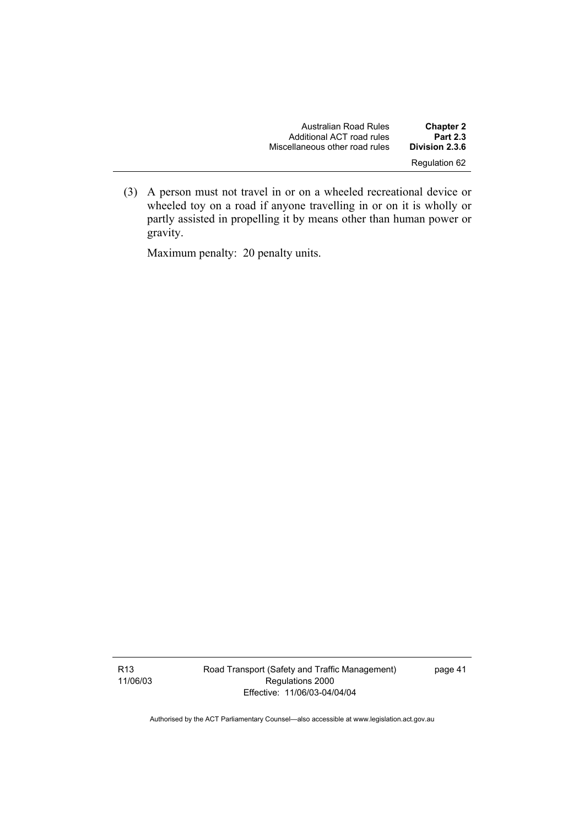| <b>Chapter 2</b> | <b>Australian Road Rules</b>   |
|------------------|--------------------------------|
| <b>Part 2.3</b>  | Additional ACT road rules      |
| Division 2.3.6   | Miscellaneous other road rules |
| Regulation 62    |                                |

 (3) A person must not travel in or on a wheeled recreational device or wheeled toy on a road if anyone travelling in or on it is wholly or partly assisted in propelling it by means other than human power or gravity.

Maximum penalty: 20 penalty units.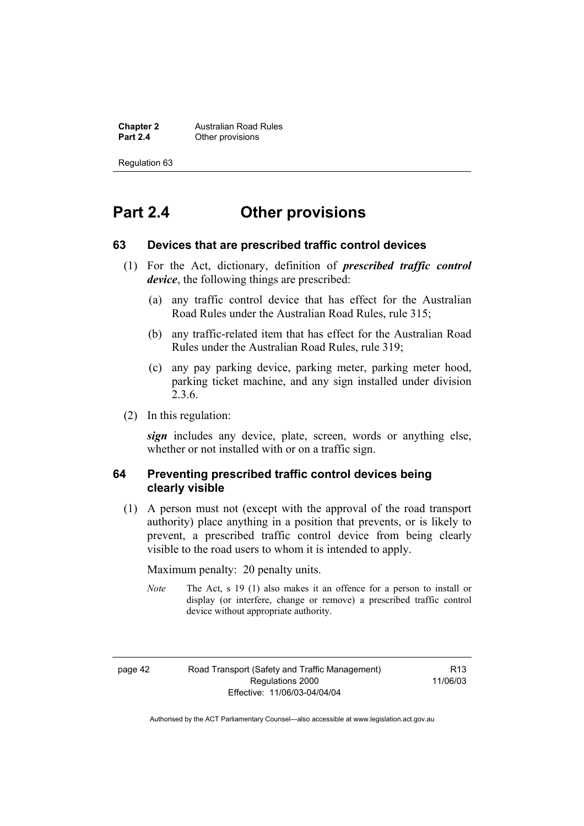**Chapter 2 Australian Road Rules**<br>**Part 2.4 C** Other provisions **Other provisions** 

Regulation 63

# **Part 2.4 Other provisions**

#### **63 Devices that are prescribed traffic control devices**

- (1) For the Act, dictionary, definition of *prescribed traffic control device*, the following things are prescribed:
	- (a) any traffic control device that has effect for the Australian Road Rules under the Australian Road Rules, rule 315;
	- (b) any traffic-related item that has effect for the Australian Road Rules under the Australian Road Rules, rule 319;
	- (c) any pay parking device, parking meter, parking meter hood, parking ticket machine, and any sign installed under division 2.3.6.
- (2) In this regulation:

*sign* includes any device, plate, screen, words or anything else, whether or not installed with or on a traffic sign.

## **64 Preventing prescribed traffic control devices being clearly visible**

 (1) A person must not (except with the approval of the road transport authority) place anything in a position that prevents, or is likely to prevent, a prescribed traffic control device from being clearly visible to the road users to whom it is intended to apply.

Maximum penalty: 20 penalty units.

*Note* The Act, s 19 (1) also makes it an offence for a person to install or display (or interfere, change or remove) a prescribed traffic control device without appropriate authority.

R13 11/06/03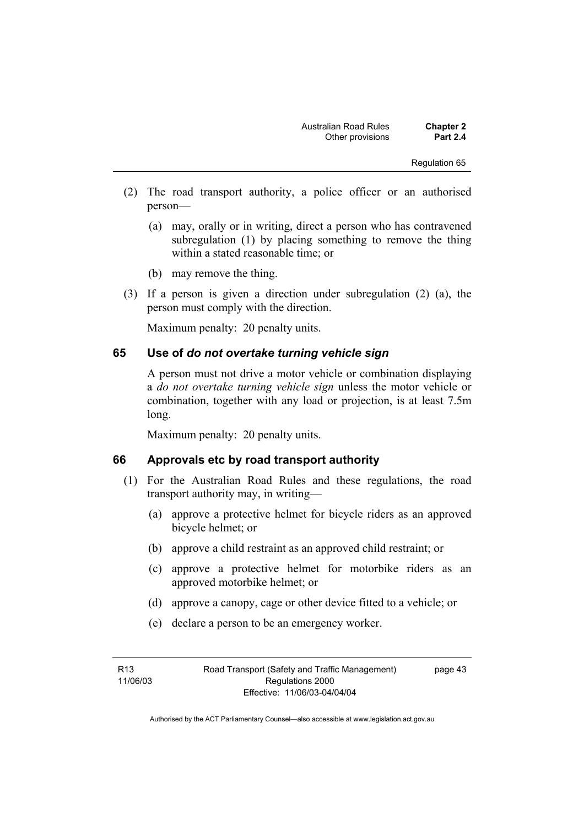Regulation 65

- (2) The road transport authority, a police officer or an authorised person—
	- (a) may, orally or in writing, direct a person who has contravened subregulation (1) by placing something to remove the thing within a stated reasonable time; or
	- (b) may remove the thing.
- (3) If a person is given a direction under subregulation (2) (a), the person must comply with the direction.

Maximum penalty: 20 penalty units.

### **65 Use of** *do not overtake turning vehicle sign*

A person must not drive a motor vehicle or combination displaying a *do not overtake turning vehicle sign* unless the motor vehicle or combination, together with any load or projection, is at least 7.5m long.

Maximum penalty: 20 penalty units.

#### **66 Approvals etc by road transport authority**

- (1) For the Australian Road Rules and these regulations, the road transport authority may, in writing—
	- (a) approve a protective helmet for bicycle riders as an approved bicycle helmet; or
	- (b) approve a child restraint as an approved child restraint; or
	- (c) approve a protective helmet for motorbike riders as an approved motorbike helmet; or
	- (d) approve a canopy, cage or other device fitted to a vehicle; or
	- (e) declare a person to be an emergency worker.

page 43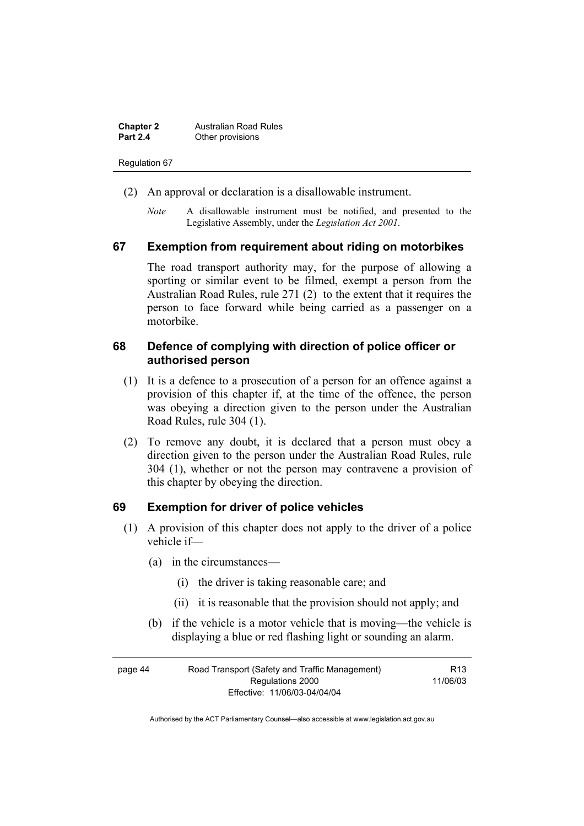| <b>Chapter 2</b> | <b>Australian Road Rules</b> |
|------------------|------------------------------|
| <b>Part 2.4</b>  | Other provisions             |

#### Regulation 67

- (2) An approval or declaration is a disallowable instrument.
	- *Note* A disallowable instrument must be notified, and presented to the Legislative Assembly, under the *Legislation Act 2001*.

### **67 Exemption from requirement about riding on motorbikes**

The road transport authority may, for the purpose of allowing a sporting or similar event to be filmed, exempt a person from the Australian Road Rules, rule 271 (2) to the extent that it requires the person to face forward while being carried as a passenger on a motorbike.

### **68 Defence of complying with direction of police officer or authorised person**

- (1) It is a defence to a prosecution of a person for an offence against a provision of this chapter if, at the time of the offence, the person was obeying a direction given to the person under the Australian Road Rules, rule 304 (1).
- (2) To remove any doubt, it is declared that a person must obey a direction given to the person under the Australian Road Rules, rule 304 (1), whether or not the person may contravene a provision of this chapter by obeying the direction.

#### **69 Exemption for driver of police vehicles**

- (1) A provision of this chapter does not apply to the driver of a police vehicle if—
	- (a) in the circumstances—
		- (i) the driver is taking reasonable care; and
		- (ii) it is reasonable that the provision should not apply; and
	- (b) if the vehicle is a motor vehicle that is moving—the vehicle is displaying a blue or red flashing light or sounding an alarm.

| page 44                      | Road Transport (Safety and Traffic Management) | R <sub>13</sub> |
|------------------------------|------------------------------------------------|-----------------|
| Regulations 2000             |                                                | 11/06/03        |
| Effective: 11/06/03-04/04/04 |                                                |                 |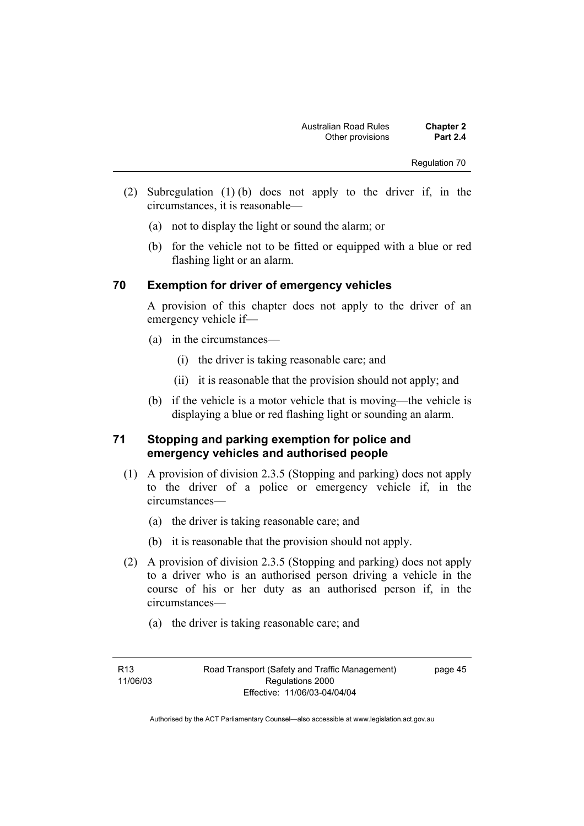Regulation 70

- (2) Subregulation (1) (b) does not apply to the driver if, in the circumstances, it is reasonable—
	- (a) not to display the light or sound the alarm; or
	- (b) for the vehicle not to be fitted or equipped with a blue or red flashing light or an alarm.

# **70 Exemption for driver of emergency vehicles**

A provision of this chapter does not apply to the driver of an emergency vehicle if—

- (a) in the circumstances—
	- (i) the driver is taking reasonable care; and
	- (ii) it is reasonable that the provision should not apply; and
- (b) if the vehicle is a motor vehicle that is moving—the vehicle is displaying a blue or red flashing light or sounding an alarm.

# **71 Stopping and parking exemption for police and emergency vehicles and authorised people**

- (1) A provision of division 2.3.5 (Stopping and parking) does not apply to the driver of a police or emergency vehicle if, in the circumstances—
	- (a) the driver is taking reasonable care; and
	- (b) it is reasonable that the provision should not apply.
- (2) A provision of division 2.3.5 (Stopping and parking) does not apply to a driver who is an authorised person driving a vehicle in the course of his or her duty as an authorised person if, in the circumstances—
	- (a) the driver is taking reasonable care; and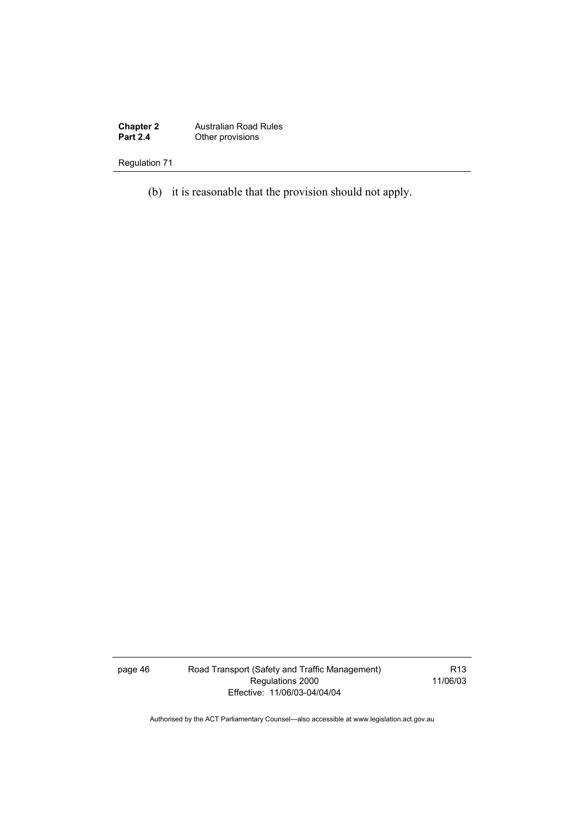**Chapter 2** Australian Road Rules **Part 2.4 Other provisions** 

# Regulation 71

(b) it is reasonable that the provision should not apply.

page 46 Road Transport (Safety and Traffic Management) Regulations 2000 Effective: 11/06/03-04/04/04

R13 11/06/03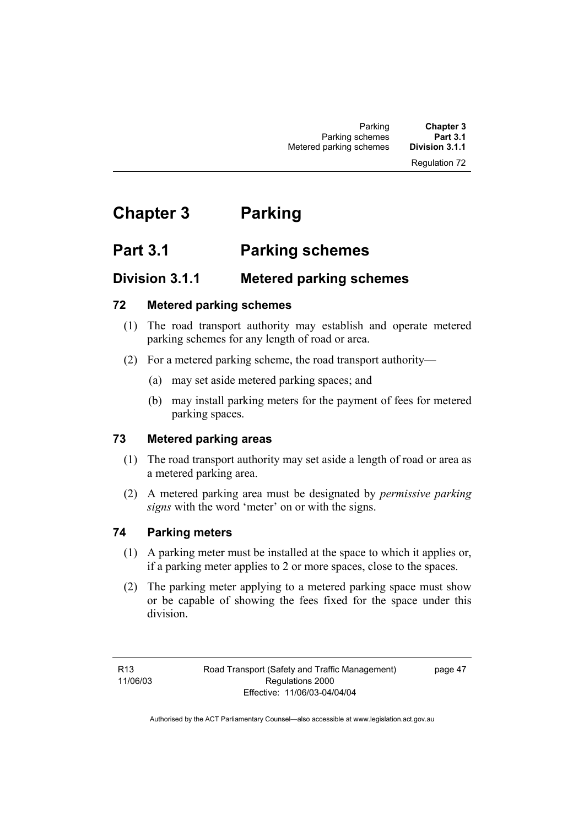# **Chapter 3 Parking**

# **Part 3.1 Parking schemes**

# **Division 3.1.1 Metered parking schemes**

# **72 Metered parking schemes**

- (1) The road transport authority may establish and operate metered parking schemes for any length of road or area.
- (2) For a metered parking scheme, the road transport authority—
	- (a) may set aside metered parking spaces; and
	- (b) may install parking meters for the payment of fees for metered parking spaces.

# **73 Metered parking areas**

- (1) The road transport authority may set aside a length of road or area as a metered parking area.
- (2) A metered parking area must be designated by *permissive parking signs* with the word 'meter' on or with the signs.

# **74 Parking meters**

- (1) A parking meter must be installed at the space to which it applies or, if a parking meter applies to 2 or more spaces, close to the spaces.
- (2) The parking meter applying to a metered parking space must show or be capable of showing the fees fixed for the space under this division.

R13 11/06/03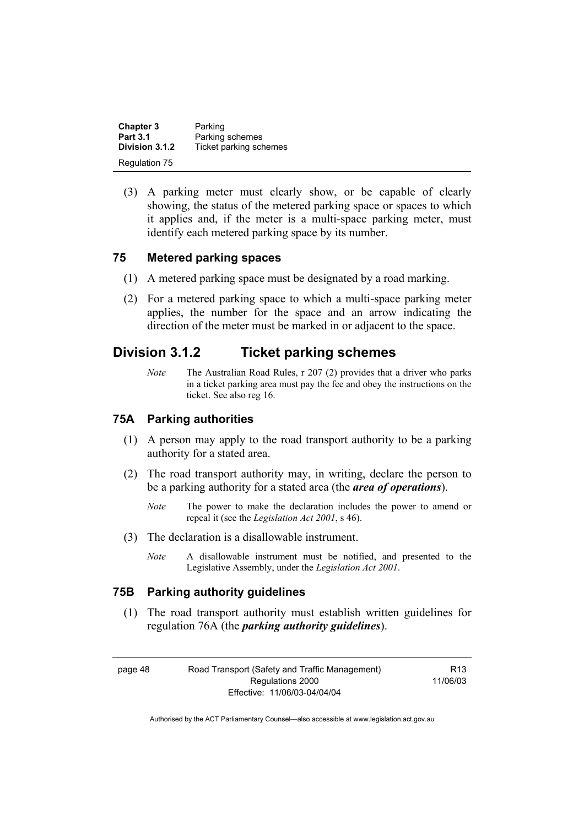| <b>Chapter 3</b> | Parking                |
|------------------|------------------------|
| <b>Part 3.1</b>  | Parking schemes        |
| Division 3.1.2   | Ticket parking schemes |
| Regulation 75    |                        |

 (3) A parking meter must clearly show, or be capable of clearly showing, the status of the metered parking space or spaces to which it applies and, if the meter is a multi-space parking meter, must identify each metered parking space by its number.

# **75 Metered parking spaces**

- (1) A metered parking space must be designated by a road marking.
- (2) For a metered parking space to which a multi-space parking meter applies, the number for the space and an arrow indicating the direction of the meter must be marked in or adjacent to the space.

# **Division 3.1.2 Ticket parking schemes**

*Note* The Australian Road Rules, r 207 (2) provides that a driver who parks in a ticket parking area must pay the fee and obey the instructions on the ticket. See also reg 16.

### **75A Parking authorities**

- (1) A person may apply to the road transport authority to be a parking authority for a stated area.
- (2) The road transport authority may, in writing, declare the person to be a parking authority for a stated area (the *area of operations*).
	- *Note* The power to make the declaration includes the power to amend or repeal it (see the *Legislation Act 2001*, s 46).
- (3) The declaration is a disallowable instrument.
	- *Note* A disallowable instrument must be notified, and presented to the Legislative Assembly, under the *Legislation Act 2001*.

# **75B Parking authority guidelines**

 (1) The road transport authority must establish written guidelines for regulation 76A (the *parking authority guidelines*).

page 48 Road Transport (Safety and Traffic Management) Regulations 2000 Effective: 11/06/03-04/04/04

R13 11/06/03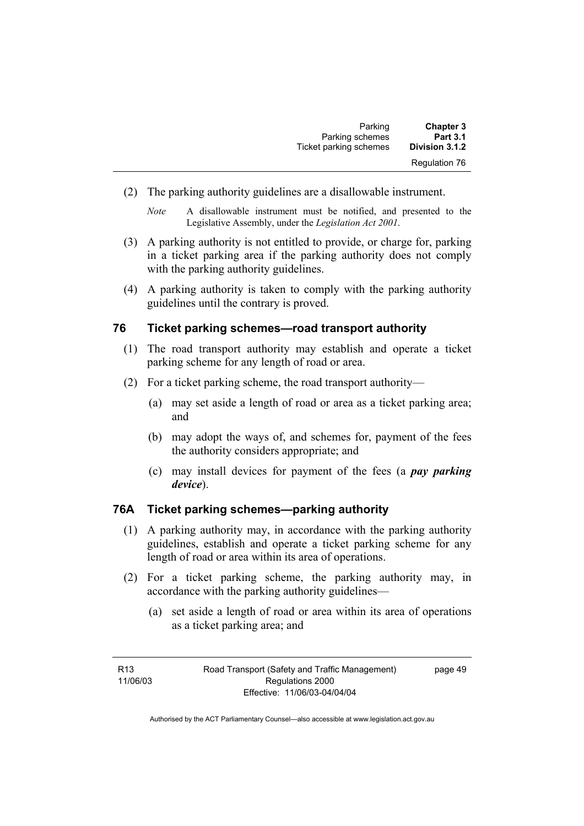| <b>Chapter 3</b>     | Parking                |
|----------------------|------------------------|
| <b>Part 3.1</b>      | Parking schemes        |
| Division 3.1.2       | Ticket parking schemes |
| <b>Regulation 76</b> |                        |

(2) The parking authority guidelines are a disallowable instrument.

- (3) A parking authority is not entitled to provide, or charge for, parking in a ticket parking area if the parking authority does not comply with the parking authority guidelines.
- (4) A parking authority is taken to comply with the parking authority guidelines until the contrary is proved.

### **76 Ticket parking schemes—road transport authority**

- (1) The road transport authority may establish and operate a ticket parking scheme for any length of road or area.
- (2) For a ticket parking scheme, the road transport authority—
	- (a) may set aside a length of road or area as a ticket parking area; and
	- (b) may adopt the ways of, and schemes for, payment of the fees the authority considers appropriate; and
	- (c) may install devices for payment of the fees (a *pay parking device*).

### **76A Ticket parking schemes—parking authority**

- (1) A parking authority may, in accordance with the parking authority guidelines, establish and operate a ticket parking scheme for any length of road or area within its area of operations.
- (2) For a ticket parking scheme, the parking authority may, in accordance with the parking authority guidelines—
	- (a) set aside a length of road or area within its area of operations as a ticket parking area; and

*Note* A disallowable instrument must be notified, and presented to the Legislative Assembly, under the *Legislation Act 2001*.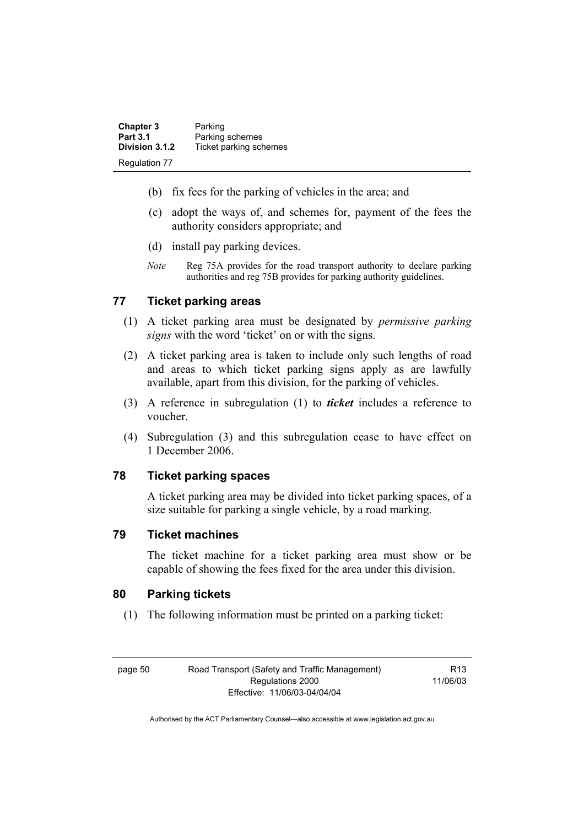| <b>Chapter 3</b> | Parking                |
|------------------|------------------------|
| <b>Part 3.1</b>  | Parking schemes        |
| Division 3.1.2   | Ticket parking schemes |
| Regulation 77    |                        |

- (b) fix fees for the parking of vehicles in the area; and
- (c) adopt the ways of, and schemes for, payment of the fees the authority considers appropriate; and
- (d) install pay parking devices.
- *Note* Reg 75A provides for the road transport authority to declare parking authorities and reg 75B provides for parking authority guidelines.

# **77 Ticket parking areas**

- (1) A ticket parking area must be designated by *permissive parking signs* with the word 'ticket' on or with the signs.
- (2) A ticket parking area is taken to include only such lengths of road and areas to which ticket parking signs apply as are lawfully available, apart from this division, for the parking of vehicles.
- (3) A reference in subregulation (1) to *ticket* includes a reference to voucher.
- (4) Subregulation (3) and this subregulation cease to have effect on 1 December 2006.

# **78 Ticket parking spaces**

A ticket parking area may be divided into ticket parking spaces, of a size suitable for parking a single vehicle, by a road marking.

### **79 Ticket machines**

The ticket machine for a ticket parking area must show or be capable of showing the fees fixed for the area under this division.

# **80 Parking tickets**

(1) The following information must be printed on a parking ticket:

page 50 Road Transport (Safety and Traffic Management) Regulations 2000 Effective: 11/06/03-04/04/04

R13 11/06/03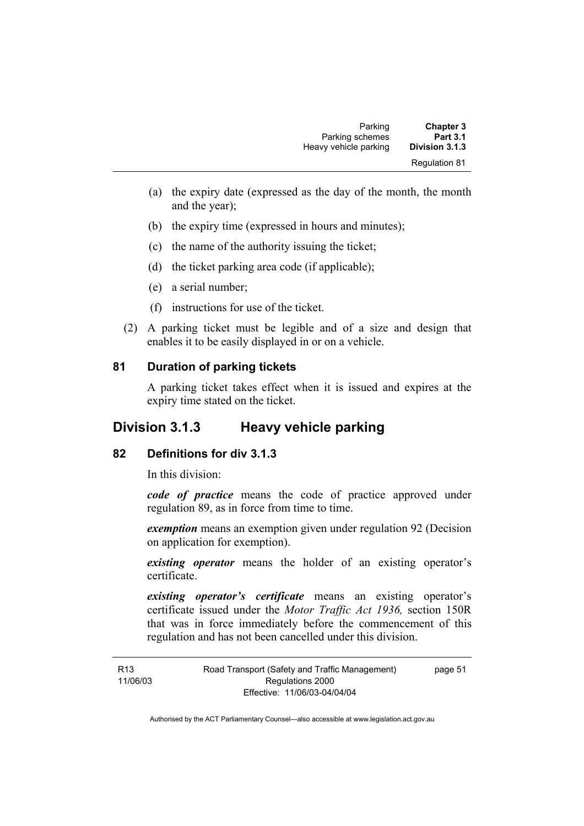| Parking               | <b>Chapter 3</b>     |
|-----------------------|----------------------|
| Parking schemes       | <b>Part 3.1</b>      |
| Heavy vehicle parking | Division 3.1.3       |
|                       | <b>Regulation 81</b> |

- (a) the expiry date (expressed as the day of the month, the month and the year);
- (b) the expiry time (expressed in hours and minutes);
- (c) the name of the authority issuing the ticket;
- (d) the ticket parking area code (if applicable);
- (e) a serial number;
- (f) instructions for use of the ticket.
- (2) A parking ticket must be legible and of a size and design that enables it to be easily displayed in or on a vehicle.

#### **81 Duration of parking tickets**

A parking ticket takes effect when it is issued and expires at the expiry time stated on the ticket.

# **Division 3.1.3 Heavy vehicle parking**

### **82 Definitions for div 3.1.3**

In this division:

*code of practice* means the code of practice approved under regulation 89, as in force from time to time.

*exemption* means an exemption given under regulation 92 (Decision on application for exemption).

*existing operator* means the holder of an existing operator's certificate.

*existing operator's certificate* means an existing operator's certificate issued under the *Motor Traffic Act 1936,* section 150R that was in force immediately before the commencement of this regulation and has not been cancelled under this division.

R13 11/06/03 Road Transport (Safety and Traffic Management) Regulations 2000 Effective: 11/06/03-04/04/04

page 51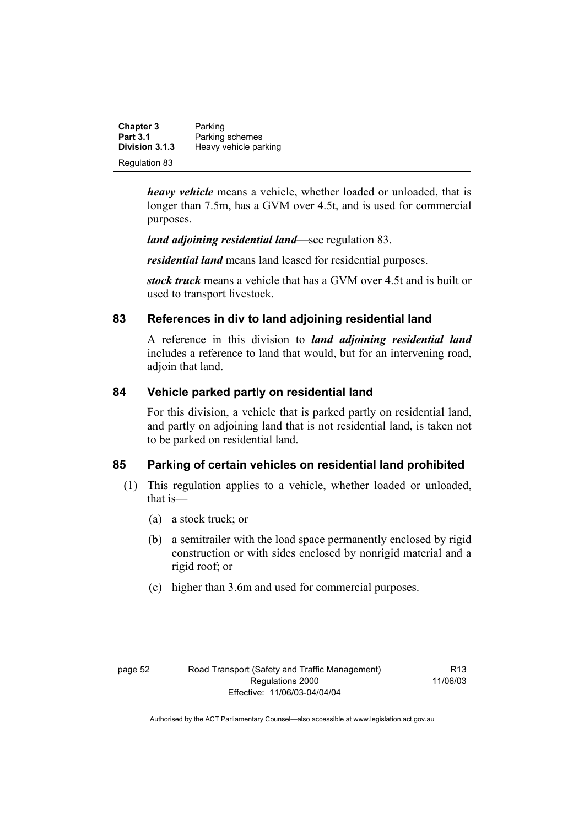| <b>Chapter 3</b> | Parking               |
|------------------|-----------------------|
| <b>Part 3.1</b>  | Parking schemes       |
| Division 3.1.3   | Heavy vehicle parking |
| Regulation 83    |                       |

*heavy vehicle* means a vehicle, whether loaded or unloaded, that is longer than 7.5m, has a GVM over 4.5t, and is used for commercial purposes.

*land adjoining residential land*—see regulation 83.

*residential land* means land leased for residential purposes.

*stock truck* means a vehicle that has a GVM over 4.5t and is built or used to transport livestock.

# **83 References in div to land adjoining residential land**

A reference in this division to *land adjoining residential land* includes a reference to land that would, but for an intervening road, adjoin that land.

# **84 Vehicle parked partly on residential land**

For this division, a vehicle that is parked partly on residential land, and partly on adjoining land that is not residential land, is taken not to be parked on residential land.

# **85 Parking of certain vehicles on residential land prohibited**

- (1) This regulation applies to a vehicle, whether loaded or unloaded, that is—
	- (a) a stock truck; or
	- (b) a semitrailer with the load space permanently enclosed by rigid construction or with sides enclosed by nonrigid material and a rigid roof; or
	- (c) higher than 3.6m and used for commercial purposes.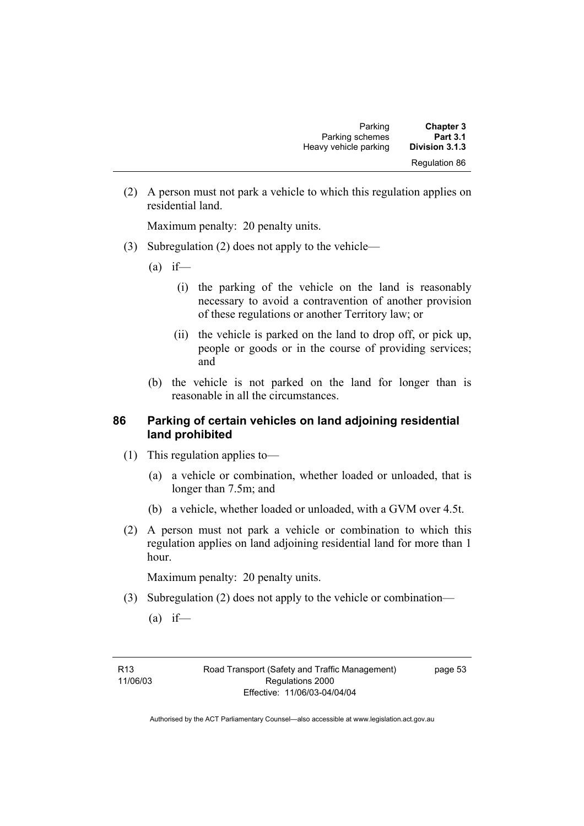| <b>Chapter 3</b>     | Parking               |
|----------------------|-----------------------|
| <b>Part 3.1</b>      | Parking schemes       |
| Division 3.1.3       | Heavy vehicle parking |
| <b>Regulation 86</b> |                       |

 (2) A person must not park a vehicle to which this regulation applies on residential land.

Maximum penalty: 20 penalty units.

- (3) Subregulation (2) does not apply to the vehicle—
	- $(a)$  if—
		- (i) the parking of the vehicle on the land is reasonably necessary to avoid a contravention of another provision of these regulations or another Territory law; or
		- (ii) the vehicle is parked on the land to drop off, or pick up, people or goods or in the course of providing services; and
	- (b) the vehicle is not parked on the land for longer than is reasonable in all the circumstances.

### **86 Parking of certain vehicles on land adjoining residential land prohibited**

- (1) This regulation applies to—
	- (a) a vehicle or combination, whether loaded or unloaded, that is longer than 7.5m; and
	- (b) a vehicle, whether loaded or unloaded, with a GVM over 4.5t.
- (2) A person must not park a vehicle or combination to which this regulation applies on land adjoining residential land for more than 1 hour.

Maximum penalty: 20 penalty units.

- (3) Subregulation (2) does not apply to the vehicle or combination—
	- $(a)$  if—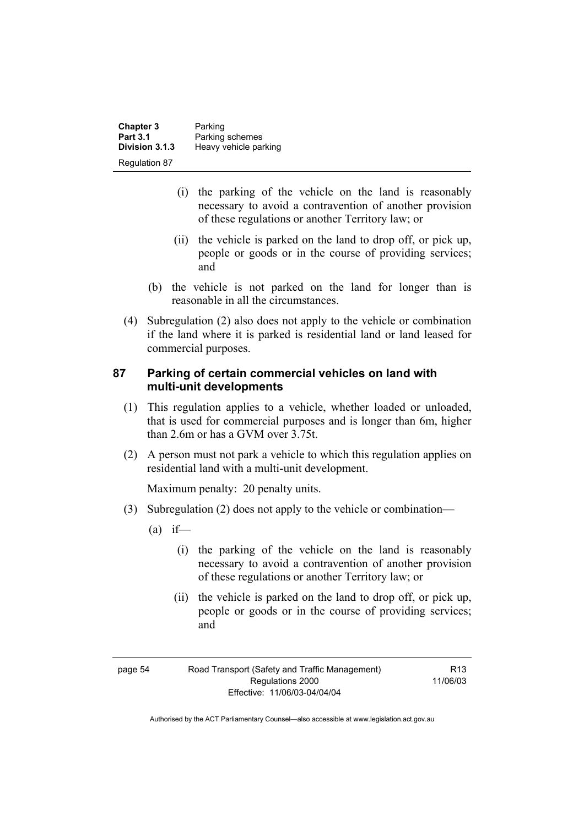| <b>Chapter 3</b> | Parking               |
|------------------|-----------------------|
| <b>Part 3.1</b>  | Parking schemes       |
| Division 3.1.3   | Heavy vehicle parking |
| Regulation 87    |                       |

- (i) the parking of the vehicle on the land is reasonably necessary to avoid a contravention of another provision of these regulations or another Territory law; or
- (ii) the vehicle is parked on the land to drop off, or pick up, people or goods or in the course of providing services; and
- (b) the vehicle is not parked on the land for longer than is reasonable in all the circumstances.
- (4) Subregulation (2) also does not apply to the vehicle or combination if the land where it is parked is residential land or land leased for commercial purposes.

## **87 Parking of certain commercial vehicles on land with multi-unit developments**

- (1) This regulation applies to a vehicle, whether loaded or unloaded, that is used for commercial purposes and is longer than 6m, higher than 2.6m or has a GVM over 3.75t.
- (2) A person must not park a vehicle to which this regulation applies on residential land with a multi-unit development.

Maximum penalty: 20 penalty units.

- (3) Subregulation (2) does not apply to the vehicle or combination—
	- $(a)$  if—
		- (i) the parking of the vehicle on the land is reasonably necessary to avoid a contravention of another provision of these regulations or another Territory law; or
		- (ii) the vehicle is parked on the land to drop off, or pick up, people or goods or in the course of providing services; and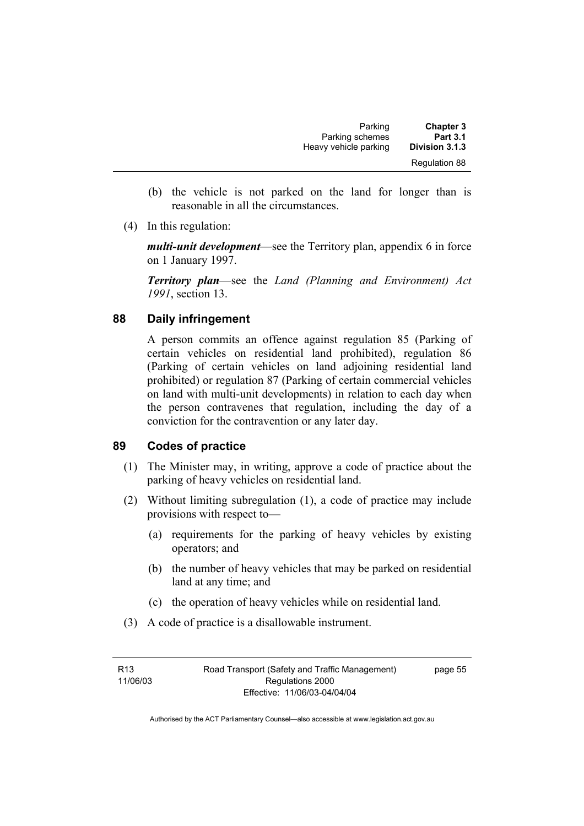| Parking               | <b>Chapter 3</b>     |
|-----------------------|----------------------|
| Parking schemes       | <b>Part 3.1</b>      |
| Heavy vehicle parking | Division 3.1.3       |
|                       | <b>Regulation 88</b> |

- (b) the vehicle is not parked on the land for longer than is reasonable in all the circumstances.
- (4) In this regulation:

*multi-unit development*—see the Territory plan, appendix 6 in force on 1 January 1997.

*Territory plan*—see the *Land (Planning and Environment) Act 1991*, section 13.

# **88 Daily infringement**

A person commits an offence against regulation 85 (Parking of certain vehicles on residential land prohibited), regulation 86 (Parking of certain vehicles on land adjoining residential land prohibited) or regulation 87 (Parking of certain commercial vehicles on land with multi-unit developments) in relation to each day when the person contravenes that regulation, including the day of a conviction for the contravention or any later day.

### **89 Codes of practice**

- (1) The Minister may, in writing, approve a code of practice about the parking of heavy vehicles on residential land.
- (2) Without limiting subregulation (1), a code of practice may include provisions with respect to—
	- (a) requirements for the parking of heavy vehicles by existing operators; and
	- (b) the number of heavy vehicles that may be parked on residential land at any time; and
	- (c) the operation of heavy vehicles while on residential land.
- (3) A code of practice is a disallowable instrument.

R13 11/06/03 Road Transport (Safety and Traffic Management) Regulations 2000 Effective: 11/06/03-04/04/04

page 55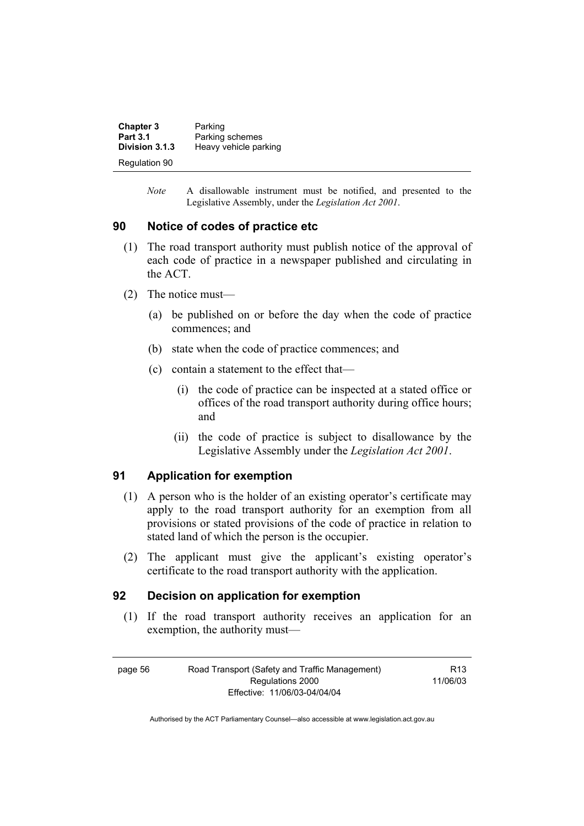| <b>Chapter 3</b> | Parking               |
|------------------|-----------------------|
| <b>Part 3.1</b>  | Parking schemes       |
| Division 3.1.3   | Heavy vehicle parking |
| Regulation 90    |                       |

*Note* A disallowable instrument must be notified, and presented to the Legislative Assembly, under the *Legislation Act 2001*.

### **90 Notice of codes of practice etc**

- (1) The road transport authority must publish notice of the approval of each code of practice in a newspaper published and circulating in the ACT.
- (2) The notice must—
	- (a) be published on or before the day when the code of practice commences; and
	- (b) state when the code of practice commences; and
	- (c) contain a statement to the effect that—
		- (i) the code of practice can be inspected at a stated office or offices of the road transport authority during office hours; and
		- (ii) the code of practice is subject to disallowance by the Legislative Assembly under the *Legislation Act 2001*.

### **91 Application for exemption**

- (1) A person who is the holder of an existing operator's certificate may apply to the road transport authority for an exemption from all provisions or stated provisions of the code of practice in relation to stated land of which the person is the occupier.
- (2) The applicant must give the applicant's existing operator's certificate to the road transport authority with the application.

### **92 Decision on application for exemption**

 (1) If the road transport authority receives an application for an exemption, the authority must—

page 56 Road Transport (Safety and Traffic Management) Regulations 2000 Effective: 11/06/03-04/04/04 R13 11/06/03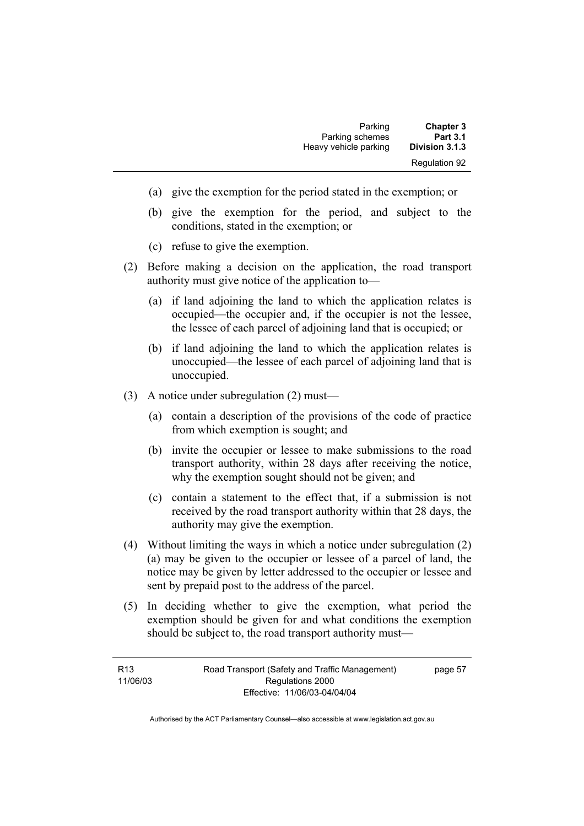| Parking               | <b>Chapter 3</b>     |
|-----------------------|----------------------|
| Parking schemes       | <b>Part 3.1</b>      |
| Heavy vehicle parking | Division 3.1.3       |
|                       | <b>Regulation 92</b> |

- (a) give the exemption for the period stated in the exemption; or
- (b) give the exemption for the period, and subject to the conditions, stated in the exemption; or
- (c) refuse to give the exemption.
- (2) Before making a decision on the application, the road transport authority must give notice of the application to—
	- (a) if land adjoining the land to which the application relates is occupied—the occupier and, if the occupier is not the lessee, the lessee of each parcel of adjoining land that is occupied; or
	- (b) if land adjoining the land to which the application relates is unoccupied—the lessee of each parcel of adjoining land that is unoccupied.
- (3) A notice under subregulation (2) must—
	- (a) contain a description of the provisions of the code of practice from which exemption is sought; and
	- (b) invite the occupier or lessee to make submissions to the road transport authority, within 28 days after receiving the notice, why the exemption sought should not be given; and
	- (c) contain a statement to the effect that, if a submission is not received by the road transport authority within that 28 days, the authority may give the exemption.
- (4) Without limiting the ways in which a notice under subregulation (2) (a) may be given to the occupier or lessee of a parcel of land, the notice may be given by letter addressed to the occupier or lessee and sent by prepaid post to the address of the parcel.
- (5) In deciding whether to give the exemption, what period the exemption should be given for and what conditions the exemption should be subject to, the road transport authority must—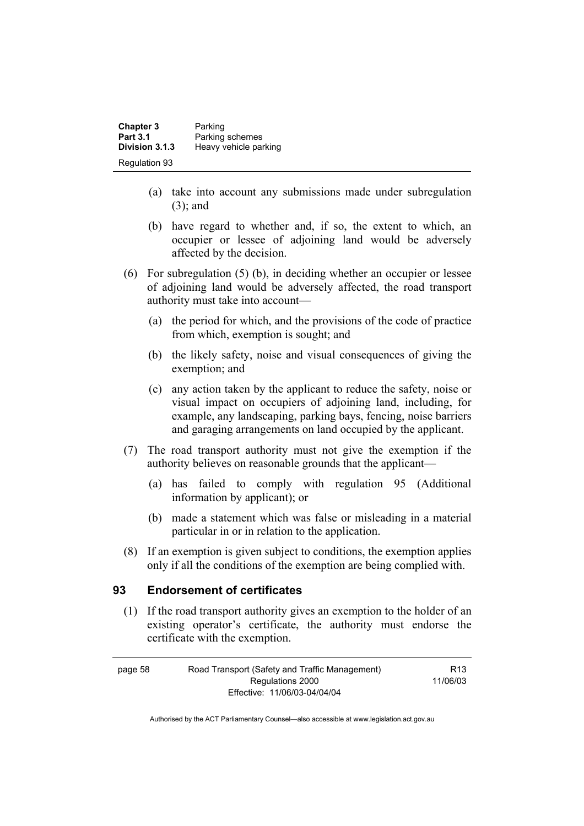| <b>Chapter 3</b>     | Parking               |
|----------------------|-----------------------|
| <b>Part 3.1</b>      | Parking schemes       |
| Division 3.1.3       | Heavy vehicle parking |
| <b>Regulation 93</b> |                       |

- (a) take into account any submissions made under subregulation (3); and
- (b) have regard to whether and, if so, the extent to which, an occupier or lessee of adjoining land would be adversely affected by the decision.
- (6) For subregulation (5) (b), in deciding whether an occupier or lessee of adjoining land would be adversely affected, the road transport authority must take into account—
	- (a) the period for which, and the provisions of the code of practice from which, exemption is sought; and
	- (b) the likely safety, noise and visual consequences of giving the exemption; and
	- (c) any action taken by the applicant to reduce the safety, noise or visual impact on occupiers of adjoining land, including, for example, any landscaping, parking bays, fencing, noise barriers and garaging arrangements on land occupied by the applicant.
- (7) The road transport authority must not give the exemption if the authority believes on reasonable grounds that the applicant—
	- (a) has failed to comply with regulation 95 (Additional information by applicant); or
	- (b) made a statement which was false or misleading in a material particular in or in relation to the application.
- (8) If an exemption is given subject to conditions, the exemption applies only if all the conditions of the exemption are being complied with.

### **93 Endorsement of certificates**

 (1) If the road transport authority gives an exemption to the holder of an existing operator's certificate, the authority must endorse the certificate with the exemption.

| page 58                      | Road Transport (Safety and Traffic Management) | R13      |
|------------------------------|------------------------------------------------|----------|
| Regulations 2000             |                                                | 11/06/03 |
| Effective: 11/06/03-04/04/04 |                                                |          |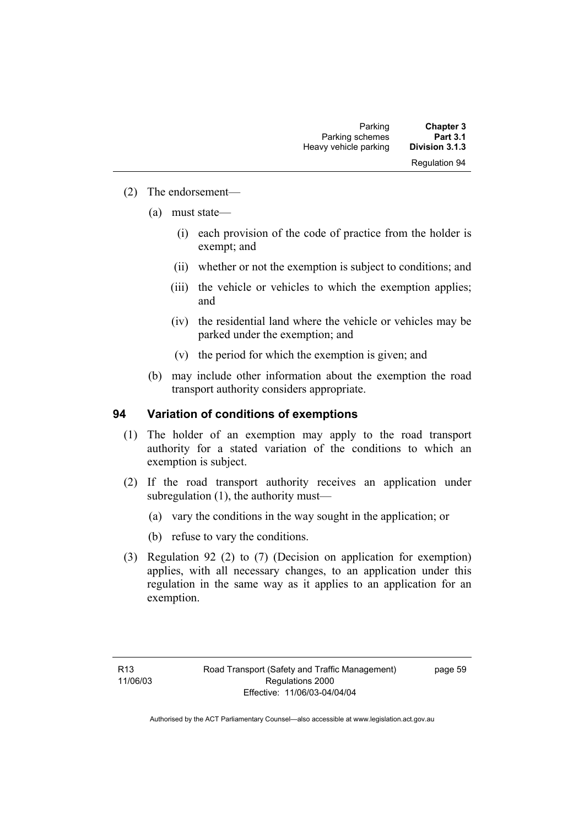### (2) The endorsement—

- (a) must state—
	- (i) each provision of the code of practice from the holder is exempt; and
	- (ii) whether or not the exemption is subject to conditions; and
	- (iii) the vehicle or vehicles to which the exemption applies; and
	- (iv) the residential land where the vehicle or vehicles may be parked under the exemption; and
	- (v) the period for which the exemption is given; and
- (b) may include other information about the exemption the road transport authority considers appropriate.

# **94 Variation of conditions of exemptions**

- (1) The holder of an exemption may apply to the road transport authority for a stated variation of the conditions to which an exemption is subject.
- (2) If the road transport authority receives an application under subregulation (1), the authority must—
	- (a) vary the conditions in the way sought in the application; or
	- (b) refuse to vary the conditions.
- (3) Regulation 92 (2) to (7) (Decision on application for exemption) applies, with all necessary changes, to an application under this regulation in the same way as it applies to an application for an exemption.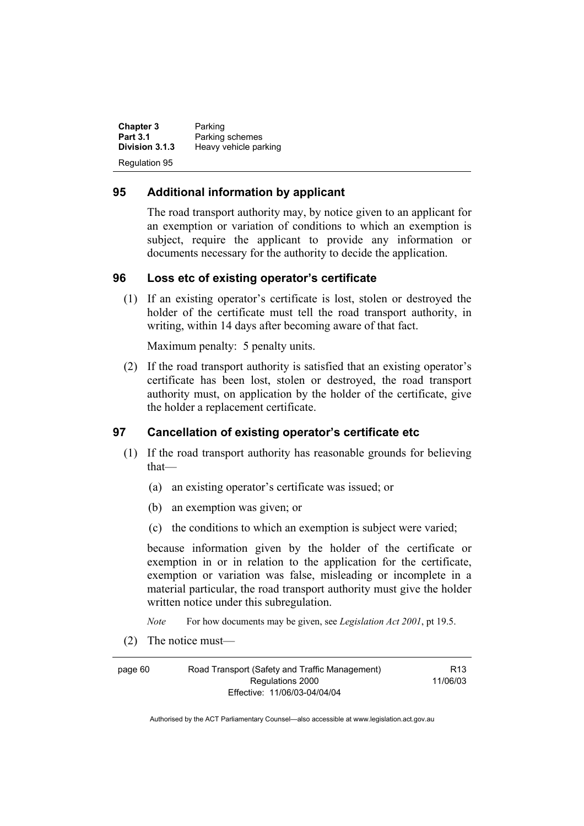**Chapter 3** Parking<br>**Part 3.1** Parking **Part 3.1** Parking schemes<br>**Division 3.1.3** Heavy vehicle pay **Division 3.1.3** Heavy vehicle parking Regulation 95

# **95 Additional information by applicant**

The road transport authority may, by notice given to an applicant for an exemption or variation of conditions to which an exemption is subject, require the applicant to provide any information or documents necessary for the authority to decide the application.

# **96 Loss etc of existing operator's certificate**

 (1) If an existing operator's certificate is lost, stolen or destroyed the holder of the certificate must tell the road transport authority, in writing, within 14 days after becoming aware of that fact.

Maximum penalty: 5 penalty units.

 (2) If the road transport authority is satisfied that an existing operator's certificate has been lost, stolen or destroyed, the road transport authority must, on application by the holder of the certificate, give the holder a replacement certificate.

# **97 Cancellation of existing operator's certificate etc**

- (1) If the road transport authority has reasonable grounds for believing that—
	- (a) an existing operator's certificate was issued; or
	- (b) an exemption was given; or
	- (c) the conditions to which an exemption is subject were varied;

because information given by the holder of the certificate or exemption in or in relation to the application for the certificate, exemption or variation was false, misleading or incomplete in a material particular, the road transport authority must give the holder written notice under this subregulation.

*Note* For how documents may be given, see *Legislation Act 2001*, pt 19.5.

(2) The notice must—

page 60 Road Transport (Safety and Traffic Management) Regulations 2000 Effective: 11/06/03-04/04/04

R13 11/06/03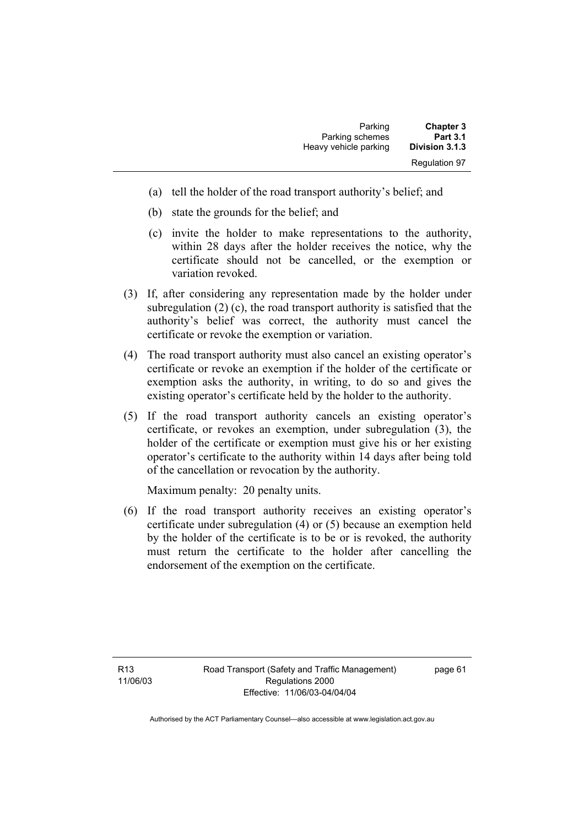| Parking               | <b>Chapter 3</b>     |
|-----------------------|----------------------|
| Parking schemes       | <b>Part 3.1</b>      |
| Heavy vehicle parking | Division 3.1.3       |
|                       | <b>Regulation 97</b> |

- (a) tell the holder of the road transport authority's belief; and
- (b) state the grounds for the belief; and
- (c) invite the holder to make representations to the authority, within 28 days after the holder receives the notice, why the certificate should not be cancelled, or the exemption or variation revoked.
- (3) If, after considering any representation made by the holder under subregulation (2) (c), the road transport authority is satisfied that the authority's belief was correct, the authority must cancel the certificate or revoke the exemption or variation.
- (4) The road transport authority must also cancel an existing operator's certificate or revoke an exemption if the holder of the certificate or exemption asks the authority, in writing, to do so and gives the existing operator's certificate held by the holder to the authority.
- (5) If the road transport authority cancels an existing operator's certificate, or revokes an exemption, under subregulation (3), the holder of the certificate or exemption must give his or her existing operator's certificate to the authority within 14 days after being told of the cancellation or revocation by the authority.

Maximum penalty: 20 penalty units.

 (6) If the road transport authority receives an existing operator's certificate under subregulation (4) or (5) because an exemption held by the holder of the certificate is to be or is revoked, the authority must return the certificate to the holder after cancelling the endorsement of the exemption on the certificate.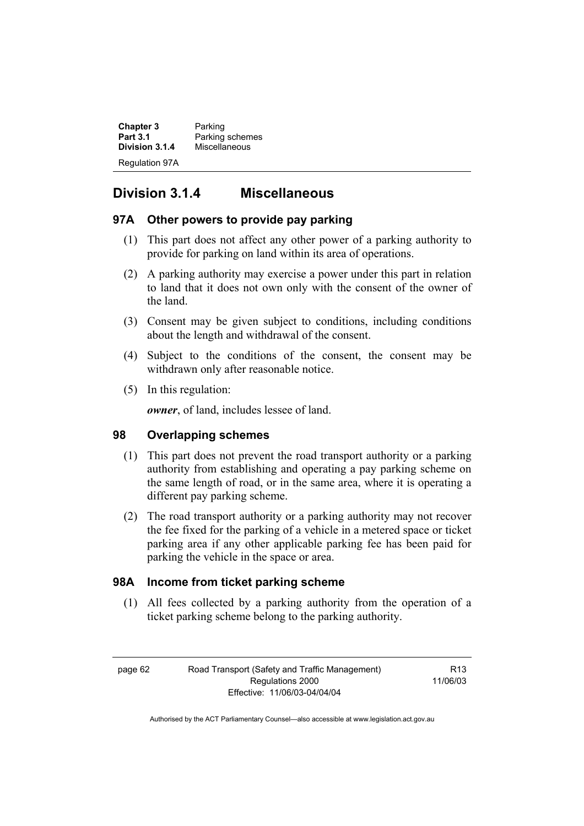**Chapter 3** Parking<br>**Part 3.1** Parking Parking schemes<br>Miscellaneous **Division 3.1.4** Regulation 97A

# **Division 3.1.4 Miscellaneous**

### **97A Other powers to provide pay parking**

- (1) This part does not affect any other power of a parking authority to provide for parking on land within its area of operations.
- (2) A parking authority may exercise a power under this part in relation to land that it does not own only with the consent of the owner of the land.
- (3) Consent may be given subject to conditions, including conditions about the length and withdrawal of the consent.
- (4) Subject to the conditions of the consent, the consent may be withdrawn only after reasonable notice.
- (5) In this regulation:

*owner*, of land, includes lessee of land.

### **98 Overlapping schemes**

- (1) This part does not prevent the road transport authority or a parking authority from establishing and operating a pay parking scheme on the same length of road, or in the same area, where it is operating a different pay parking scheme.
- (2) The road transport authority or a parking authority may not recover the fee fixed for the parking of a vehicle in a metered space or ticket parking area if any other applicable parking fee has been paid for parking the vehicle in the space or area.

### **98A Income from ticket parking scheme**

 (1) All fees collected by a parking authority from the operation of a ticket parking scheme belong to the parking authority.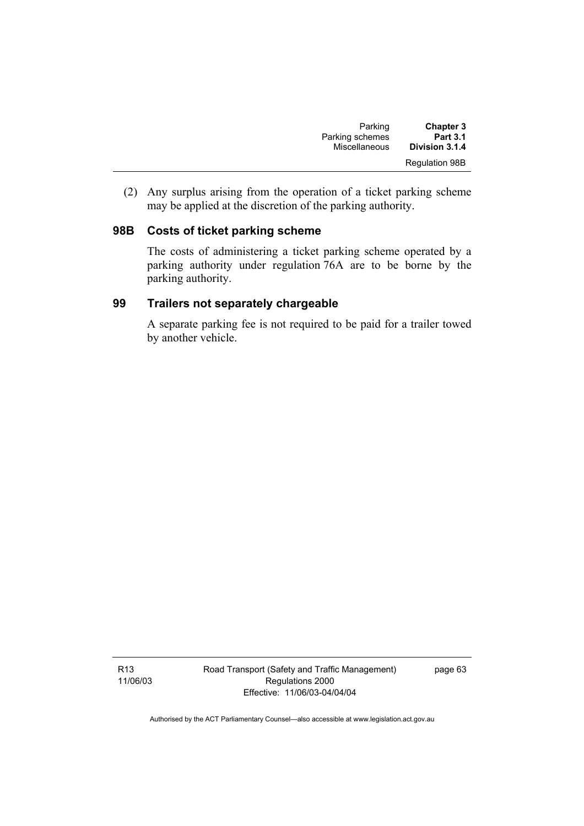| Parking         | <b>Chapter 3</b>      |
|-----------------|-----------------------|
| Parking schemes | <b>Part 3.1</b>       |
| Miscellaneous   | Division 3.1.4        |
|                 | <b>Regulation 98B</b> |

 (2) Any surplus arising from the operation of a ticket parking scheme may be applied at the discretion of the parking authority.

# **98B Costs of ticket parking scheme**

The costs of administering a ticket parking scheme operated by a parking authority under regulation 76A are to be borne by the parking authority.

# **99 Trailers not separately chargeable**

A separate parking fee is not required to be paid for a trailer towed by another vehicle.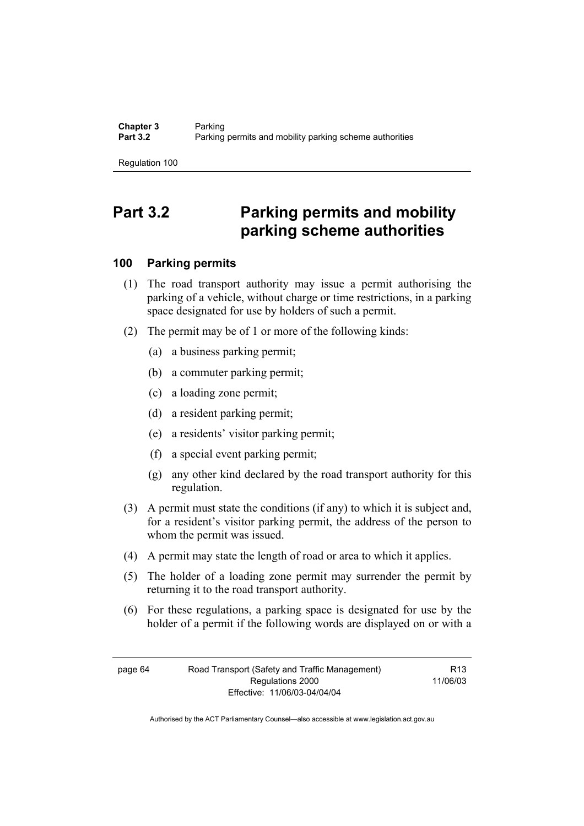# **Part 3.2 Parking permits and mobility parking scheme authorities**

# **100 Parking permits**

- (1) The road transport authority may issue a permit authorising the parking of a vehicle, without charge or time restrictions, in a parking space designated for use by holders of such a permit.
- (2) The permit may be of 1 or more of the following kinds:
	- (a) a business parking permit;
	- (b) a commuter parking permit;
	- (c) a loading zone permit;
	- (d) a resident parking permit;
	- (e) a residents' visitor parking permit;
	- (f) a special event parking permit;
	- (g) any other kind declared by the road transport authority for this regulation.
- (3) A permit must state the conditions (if any) to which it is subject and, for a resident's visitor parking permit, the address of the person to whom the permit was issued.
- (4) A permit may state the length of road or area to which it applies.
- (5) The holder of a loading zone permit may surrender the permit by returning it to the road transport authority.
- (6) For these regulations, a parking space is designated for use by the holder of a permit if the following words are displayed on or with a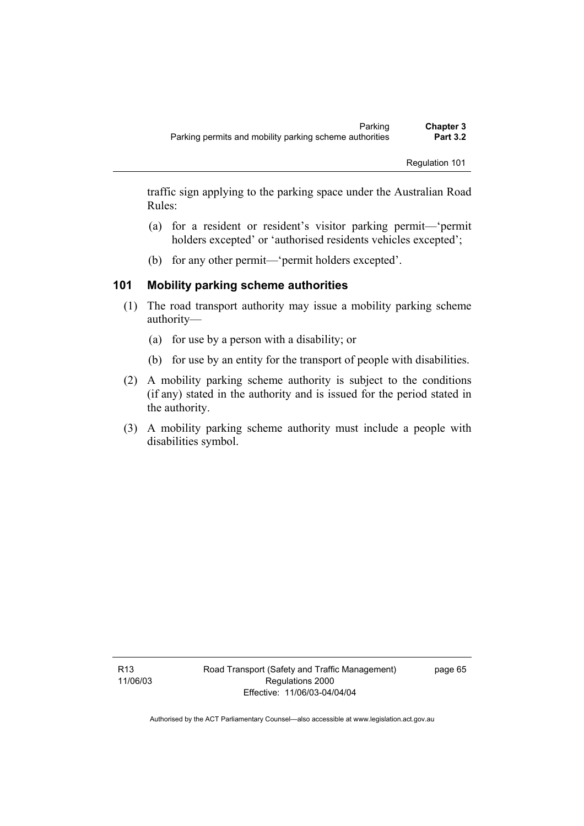traffic sign applying to the parking space under the Australian Road Rules:

- (a) for a resident or resident's visitor parking permit—'permit holders excepted' or 'authorised residents vehicles excepted';
- (b) for any other permit—'permit holders excepted'.

# **101 Mobility parking scheme authorities**

- (1) The road transport authority may issue a mobility parking scheme authority—
	- (a) for use by a person with a disability; or
	- (b) for use by an entity for the transport of people with disabilities.
- (2) A mobility parking scheme authority is subject to the conditions (if any) stated in the authority and is issued for the period stated in the authority.
- (3) A mobility parking scheme authority must include a people with disabilities symbol.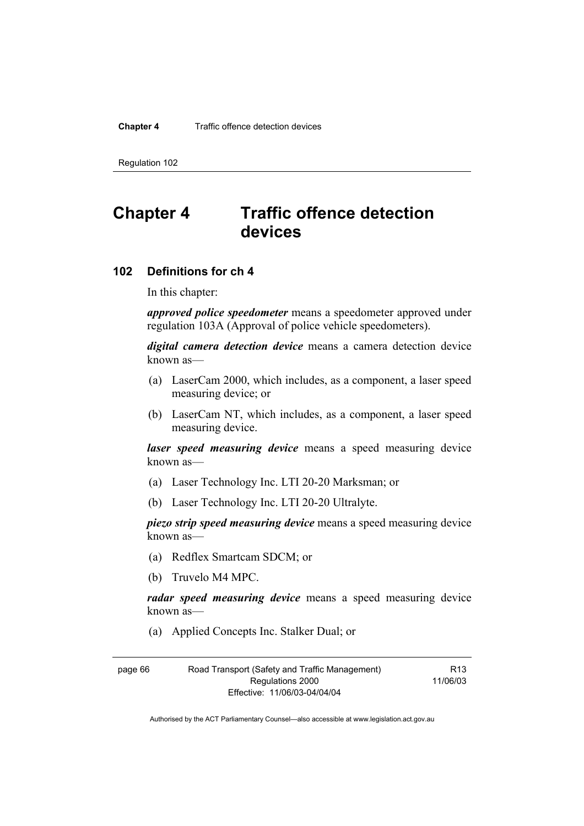#### **Chapter 4** Traffic offence detection devices

Regulation 102

# **Chapter 4 Traffic offence detection devices**

# **102 Definitions for ch 4**

In this chapter:

*approved police speedometer* means a speedometer approved under regulation 103A (Approval of police vehicle speedometers).

*digital camera detection device* means a camera detection device known as—

- (a) LaserCam 2000, which includes, as a component, a laser speed measuring device; or
- (b) LaserCam NT, which includes, as a component, a laser speed measuring device.

*laser speed measuring device* means a speed measuring device known as—

- (a) Laser Technology Inc. LTI 20-20 Marksman; or
- (b) Laser Technology Inc. LTI 20-20 Ultralyte.

*piezo strip speed measuring device* means a speed measuring device known as—

- (a) Redflex Smartcam SDCM; or
- (b) Truvelo M4 MPC.

*radar speed measuring device* means a speed measuring device known as—

(a) Applied Concepts Inc. Stalker Dual; or

page 66 Road Transport (Safety and Traffic Management) Regulations 2000 Effective: 11/06/03-04/04/04

R13 11/06/03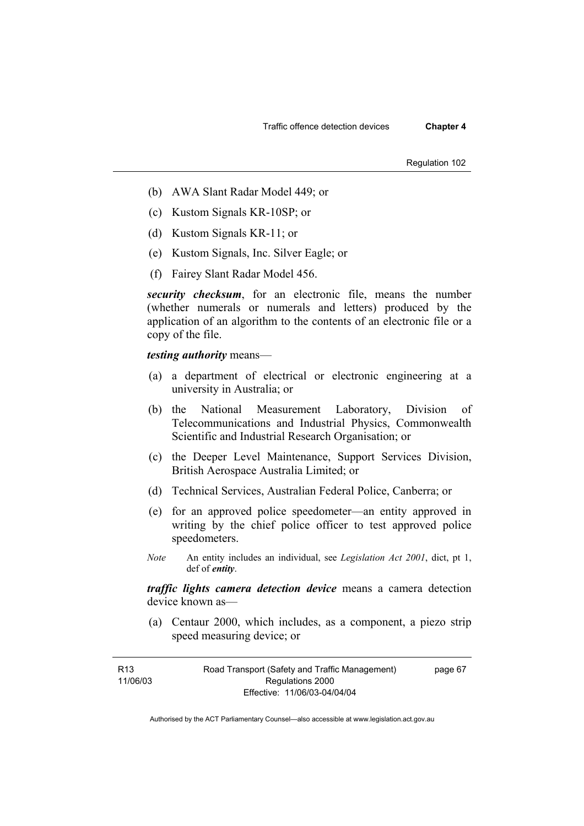- (b) AWA Slant Radar Model 449; or
- (c) Kustom Signals KR-10SP; or
- (d) Kustom Signals KR-11; or
- (e) Kustom Signals, Inc. Silver Eagle; or
- (f) Fairey Slant Radar Model 456.

*security checksum*, for an electronic file, means the number (whether numerals or numerals and letters) produced by the application of an algorithm to the contents of an electronic file or a copy of the file.

*testing authority* means—

- (a) a department of electrical or electronic engineering at a university in Australia; or
- (b) the National Measurement Laboratory, Division of Telecommunications and Industrial Physics, Commonwealth Scientific and Industrial Research Organisation; or
- (c) the Deeper Level Maintenance, Support Services Division, British Aerospace Australia Limited; or
- (d) Technical Services, Australian Federal Police, Canberra; or
- (e) for an approved police speedometer—an entity approved in writing by the chief police officer to test approved police speedometers.
- *Note* An entity includes an individual, see *Legislation Act 2001*, dict, pt 1, def of *entity*.

*traffic lights camera detection device* means a camera detection device known as—

 (a) Centaur 2000, which includes, as a component, a piezo strip speed measuring device; or

| R13      | Road Transport (Safety and Traffic Management) | page 67 |
|----------|------------------------------------------------|---------|
| 11/06/03 | Regulations 2000                               |         |
|          | Effective: 11/06/03-04/04/04                   |         |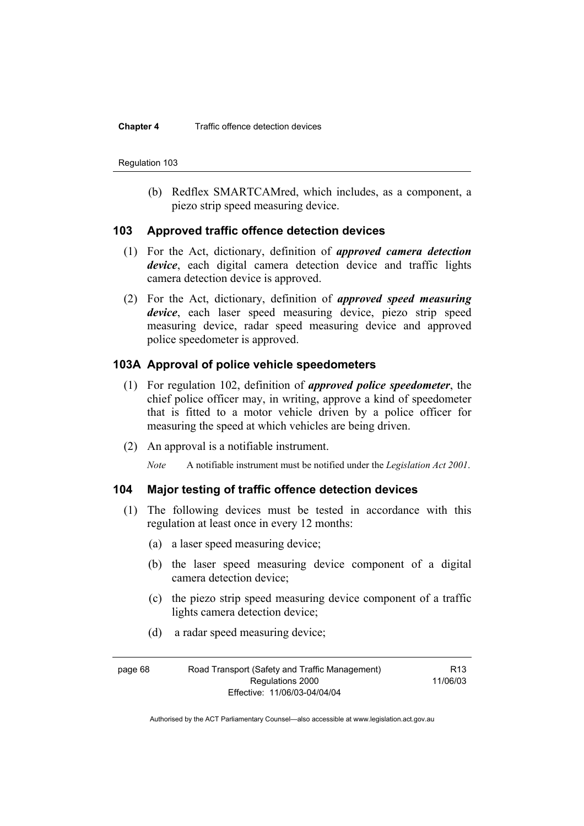(b) Redflex SMARTCAMred, which includes, as a component, a piezo strip speed measuring device.

## **103 Approved traffic offence detection devices**

- (1) For the Act, dictionary, definition of *approved camera detection device*, each digital camera detection device and traffic lights camera detection device is approved.
- (2) For the Act, dictionary, definition of *approved speed measuring device*, each laser speed measuring device, piezo strip speed measuring device, radar speed measuring device and approved police speedometer is approved.

# **103A Approval of police vehicle speedometers**

- (1) For regulation 102, definition of *approved police speedometer*, the chief police officer may, in writing, approve a kind of speedometer that is fitted to a motor vehicle driven by a police officer for measuring the speed at which vehicles are being driven.
- (2) An approval is a notifiable instrument.

*Note* A notifiable instrument must be notified under the *Legislation Act 2001*.

# **104 Major testing of traffic offence detection devices**

- (1) The following devices must be tested in accordance with this regulation at least once in every 12 months:
	- (a) a laser speed measuring device;
	- (b) the laser speed measuring device component of a digital camera detection device;
	- (c) the piezo strip speed measuring device component of a traffic lights camera detection device;
	- (d) a radar speed measuring device;

| page 68 | Road Transport (Safety and Traffic Management) | R13      |
|---------|------------------------------------------------|----------|
|         | Regulations 2000                               | 11/06/03 |
|         | Effective: 11/06/03-04/04/04                   |          |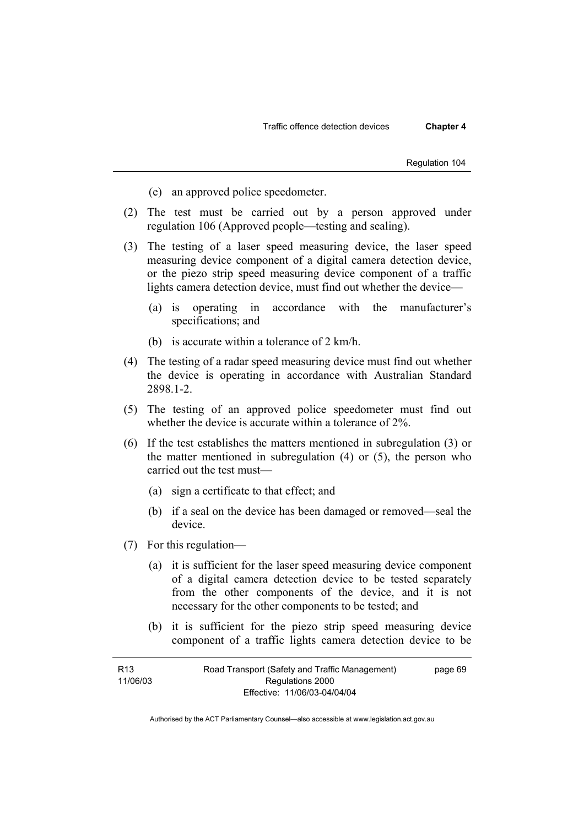- (e) an approved police speedometer.
- (2) The test must be carried out by a person approved under regulation 106 (Approved people—testing and sealing).
- (3) The testing of a laser speed measuring device, the laser speed measuring device component of a digital camera detection device, or the piezo strip speed measuring device component of a traffic lights camera detection device, must find out whether the device—
	- (a) is operating in accordance with the manufacturer's specifications; and
	- (b) is accurate within a tolerance of 2 km/h.
- (4) The testing of a radar speed measuring device must find out whether the device is operating in accordance with Australian Standard 2898.1-2.
- (5) The testing of an approved police speedometer must find out whether the device is accurate within a tolerance of 2%.
- (6) If the test establishes the matters mentioned in subregulation (3) or the matter mentioned in subregulation (4) or (5), the person who carried out the test must—
	- (a) sign a certificate to that effect; and
	- (b) if a seal on the device has been damaged or removed—seal the device.
- (7) For this regulation—
	- (a) it is sufficient for the laser speed measuring device component of a digital camera detection device to be tested separately from the other components of the device, and it is not necessary for the other components to be tested; and
	- (b) it is sufficient for the piezo strip speed measuring device component of a traffic lights camera detection device to be

| R <sub>13</sub> | Road Transport (Safety and Traffic Management) | page 69 |
|-----------------|------------------------------------------------|---------|
| 11/06/03        | Regulations 2000                               |         |
|                 | Effective: 11/06/03-04/04/04                   |         |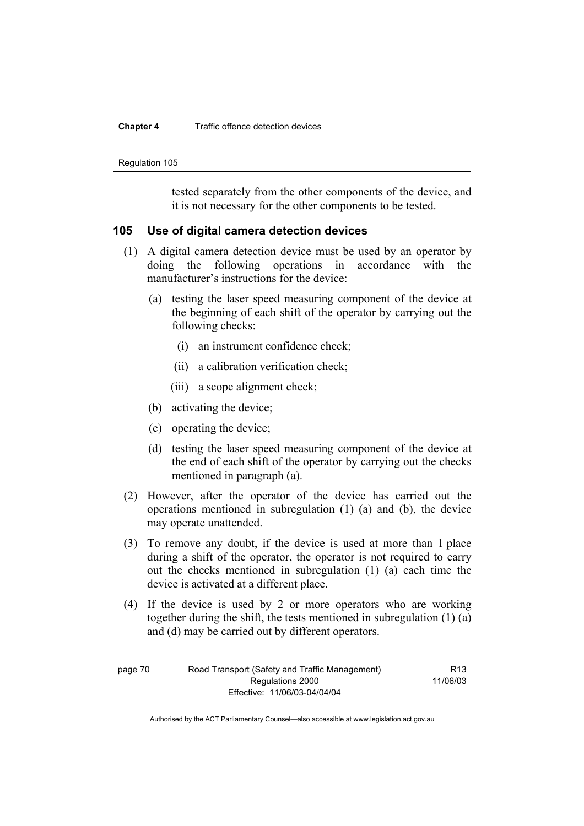#### **Chapter 4** Traffic offence detection devices

Regulation 105

tested separately from the other components of the device, and it is not necessary for the other components to be tested.

## **105 Use of digital camera detection devices**

- (1) A digital camera detection device must be used by an operator by doing the following operations in accordance with the manufacturer's instructions for the device:
	- (a) testing the laser speed measuring component of the device at the beginning of each shift of the operator by carrying out the following checks:
		- (i) an instrument confidence check;
		- (ii) a calibration verification check;
		- (iii) a scope alignment check;
	- (b) activating the device;
	- (c) operating the device;
	- (d) testing the laser speed measuring component of the device at the end of each shift of the operator by carrying out the checks mentioned in paragraph (a).
- (2) However, after the operator of the device has carried out the operations mentioned in subregulation (1) (a) and (b), the device may operate unattended.
- (3) To remove any doubt, if the device is used at more than 1 place during a shift of the operator, the operator is not required to carry out the checks mentioned in subregulation (1) (a) each time the device is activated at a different place.
- (4) If the device is used by 2 or more operators who are working together during the shift, the tests mentioned in subregulation (1) (a) and (d) may be carried out by different operators.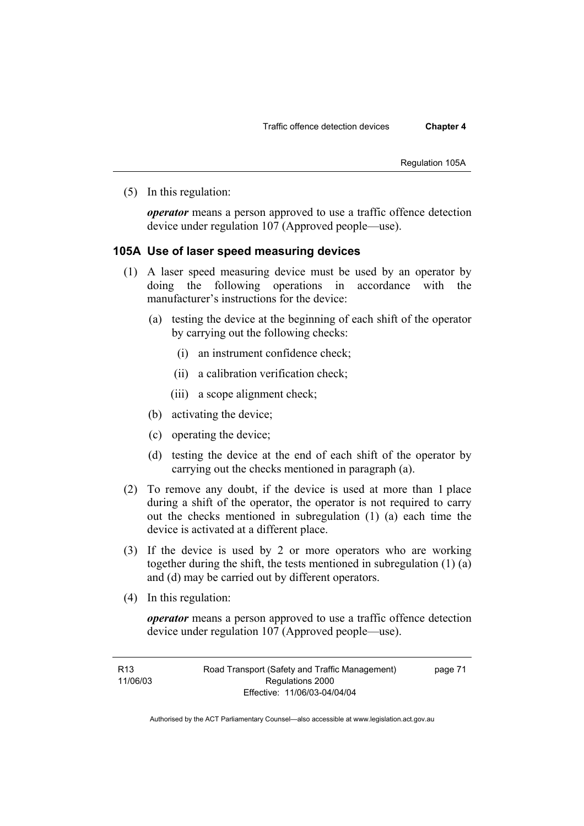Regulation 105A

(5) In this regulation:

*operator* means a person approved to use a traffic offence detection device under regulation 107 (Approved people—use).

## **105A Use of laser speed measuring devices**

- (1) A laser speed measuring device must be used by an operator by doing the following operations in accordance with the manufacturer's instructions for the device:
	- (a) testing the device at the beginning of each shift of the operator by carrying out the following checks:
		- (i) an instrument confidence check;
		- (ii) a calibration verification check;
		- (iii) a scope alignment check;
	- (b) activating the device;
	- (c) operating the device;
	- (d) testing the device at the end of each shift of the operator by carrying out the checks mentioned in paragraph (a).
- (2) To remove any doubt, if the device is used at more than 1 place during a shift of the operator, the operator is not required to carry out the checks mentioned in subregulation (1) (a) each time the device is activated at a different place.
- (3) If the device is used by 2 or more operators who are working together during the shift, the tests mentioned in subregulation (1) (a) and (d) may be carried out by different operators.
- (4) In this regulation:

*operator* means a person approved to use a traffic offence detection device under regulation 107 (Approved people—use).

R13 11/06/03 Road Transport (Safety and Traffic Management) Regulations 2000 Effective: 11/06/03-04/04/04

page 71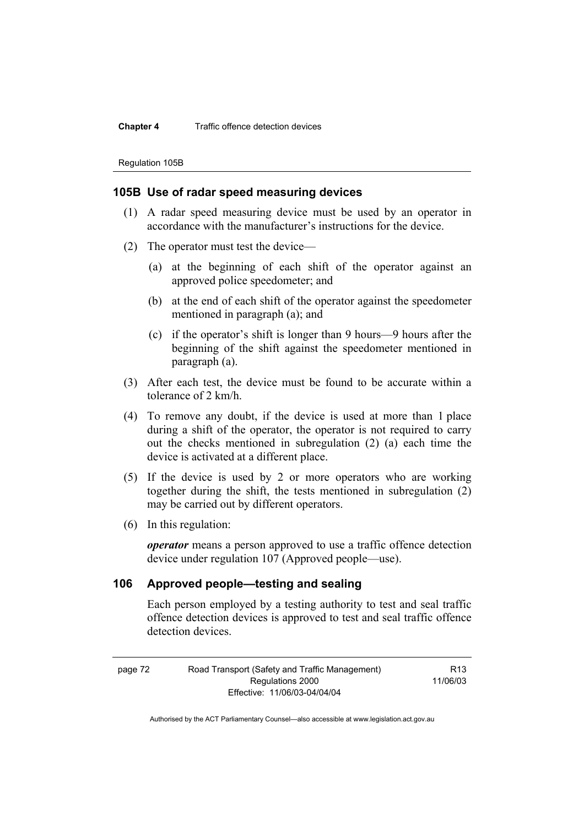#### **Chapter 4** Traffic offence detection devices

Regulation 105B

### **105B Use of radar speed measuring devices**

- (1) A radar speed measuring device must be used by an operator in accordance with the manufacturer's instructions for the device.
- (2) The operator must test the device—
	- (a) at the beginning of each shift of the operator against an approved police speedometer; and
	- (b) at the end of each shift of the operator against the speedometer mentioned in paragraph (a); and
	- (c) if the operator's shift is longer than 9 hours—9 hours after the beginning of the shift against the speedometer mentioned in paragraph (a).
- (3) After each test, the device must be found to be accurate within a tolerance of 2 km/h.
- (4) To remove any doubt, if the device is used at more than 1 place during a shift of the operator, the operator is not required to carry out the checks mentioned in subregulation (2) (a) each time the device is activated at a different place.
- (5) If the device is used by 2 or more operators who are working together during the shift, the tests mentioned in subregulation (2) may be carried out by different operators.
- (6) In this regulation:

*operator* means a person approved to use a traffic offence detection device under regulation 107 (Approved people—use).

# **106 Approved people—testing and sealing**

Each person employed by a testing authority to test and seal traffic offence detection devices is approved to test and seal traffic offence detection devices.

| page 72 | Road Transport (Safety and Traffic Management) | R <sub>13</sub> |
|---------|------------------------------------------------|-----------------|
|         | Regulations 2000                               | 11/06/03        |
|         | Effective: 11/06/03-04/04/04                   |                 |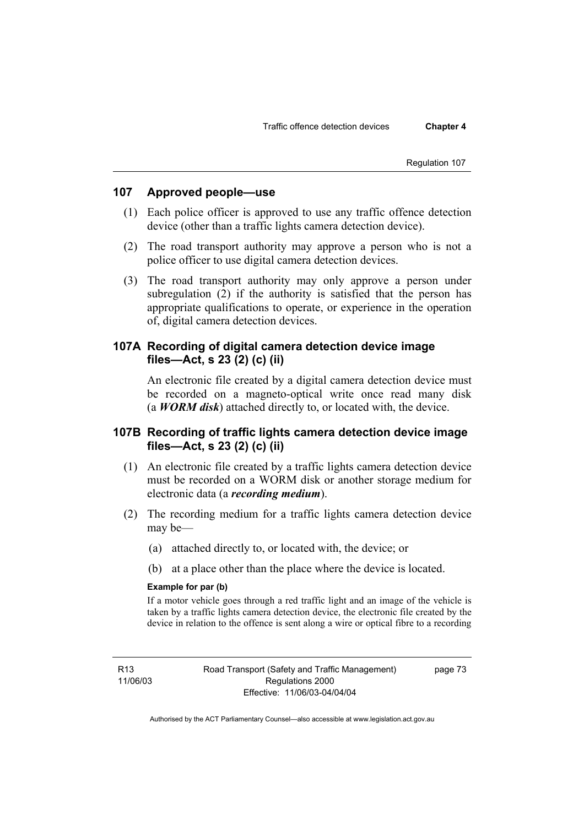# **107 Approved people—use**

- (1) Each police officer is approved to use any traffic offence detection device (other than a traffic lights camera detection device).
- (2) The road transport authority may approve a person who is not a police officer to use digital camera detection devices.
- (3) The road transport authority may only approve a person under subregulation (2) if the authority is satisfied that the person has appropriate qualifications to operate, or experience in the operation of, digital camera detection devices.

# **107A Recording of digital camera detection device image files—Act, s 23 (2) (c) (ii)**

An electronic file created by a digital camera detection device must be recorded on a magneto-optical write once read many disk (a *WORM disk*) attached directly to, or located with, the device.

# **107B Recording of traffic lights camera detection device image files—Act, s 23 (2) (c) (ii)**

- (1) An electronic file created by a traffic lights camera detection device must be recorded on a WORM disk or another storage medium for electronic data (a *recording medium*).
- (2) The recording medium for a traffic lights camera detection device may be—
	- (a) attached directly to, or located with, the device; or
	- (b) at a place other than the place where the device is located.

### **Example for par (b)**

If a motor vehicle goes through a red traffic light and an image of the vehicle is taken by a traffic lights camera detection device, the electronic file created by the device in relation to the offence is sent along a wire or optical fibre to a recording

R13 11/06/03 Road Transport (Safety and Traffic Management) Regulations 2000 Effective: 11/06/03-04/04/04

page 73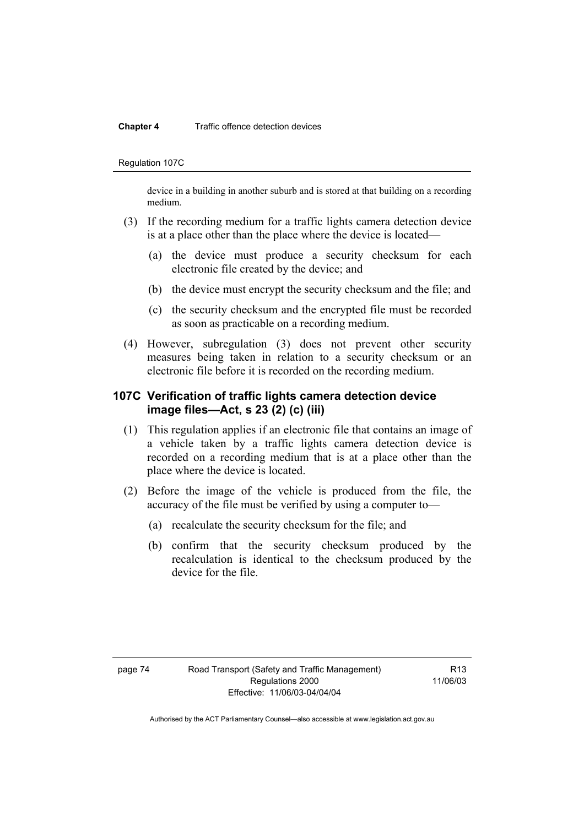#### **Chapter 4** Traffic offence detection devices

#### Regulation 107C

device in a building in another suburb and is stored at that building on a recording medium.

- (3) If the recording medium for a traffic lights camera detection device is at a place other than the place where the device is located—
	- (a) the device must produce a security checksum for each electronic file created by the device; and
	- (b) the device must encrypt the security checksum and the file; and
	- (c) the security checksum and the encrypted file must be recorded as soon as practicable on a recording medium.
- (4) However, subregulation (3) does not prevent other security measures being taken in relation to a security checksum or an electronic file before it is recorded on the recording medium.

# **107C Verification of traffic lights camera detection device image files—Act, s 23 (2) (c) (iii)**

- (1) This regulation applies if an electronic file that contains an image of a vehicle taken by a traffic lights camera detection device is recorded on a recording medium that is at a place other than the place where the device is located.
- (2) Before the image of the vehicle is produced from the file, the accuracy of the file must be verified by using a computer to—
	- (a) recalculate the security checksum for the file; and
	- (b) confirm that the security checksum produced by the recalculation is identical to the checksum produced by the device for the file.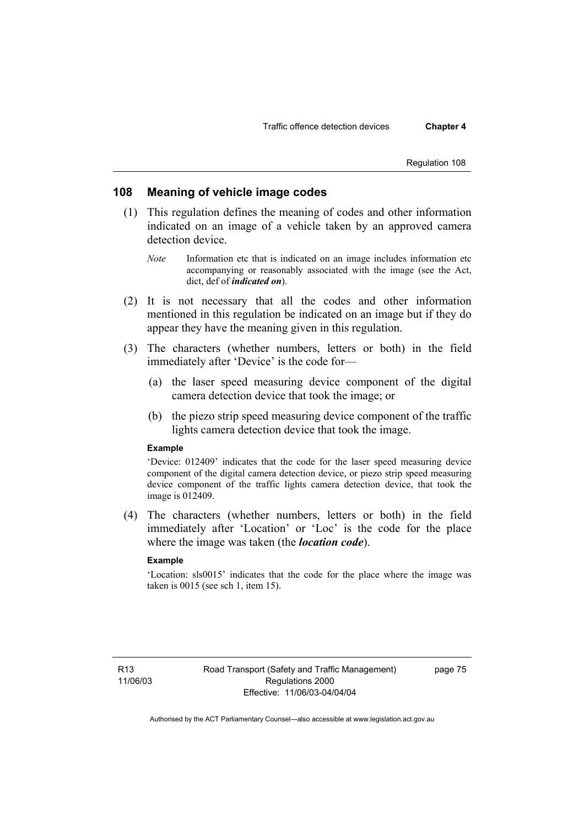# **108 Meaning of vehicle image codes**

- (1) This regulation defines the meaning of codes and other information indicated on an image of a vehicle taken by an approved camera detection device.
	- *Note* Information etc that is indicated on an image includes information etc accompanying or reasonably associated with the image (see the Act, dict, def of *indicated on*).
- (2) It is not necessary that all the codes and other information mentioned in this regulation be indicated on an image but if they do appear they have the meaning given in this regulation.
- (3) The characters (whether numbers, letters or both) in the field immediately after 'Device' is the code for—
	- (a) the laser speed measuring device component of the digital camera detection device that took the image; or
	- (b) the piezo strip speed measuring device component of the traffic lights camera detection device that took the image.

#### **Example**

'Device: 012409' indicates that the code for the laser speed measuring device component of the digital camera detection device, or piezo strip speed measuring device component of the traffic lights camera detection device, that took the image is 012409.

 (4) The characters (whether numbers, letters or both) in the field immediately after 'Location' or 'Loc' is the code for the place where the image was taken (the *location code*).

#### **Example**

'Location: sls0015' indicates that the code for the place where the image was taken is 0015 (see sch 1, item 15).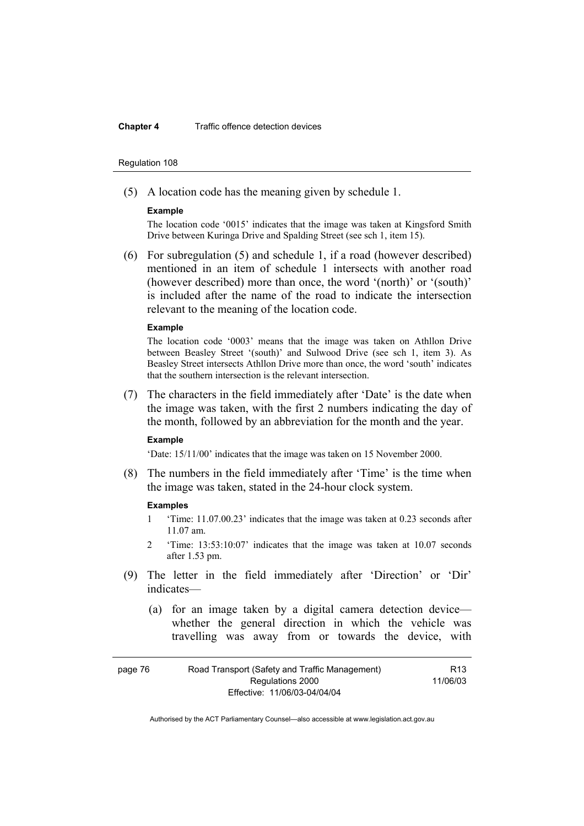#### **Chapter 4** Traffic offence detection devices

#### Regulation 108

(5) A location code has the meaning given by schedule 1.

### **Example**

The location code '0015' indicates that the image was taken at Kingsford Smith Drive between Kuringa Drive and Spalding Street (see sch 1, item 15).

 (6) For subregulation (5) and schedule 1, if a road (however described) mentioned in an item of schedule 1 intersects with another road (however described) more than once, the word '(north)' or '(south)' is included after the name of the road to indicate the intersection relevant to the meaning of the location code.

#### **Example**

The location code '0003' means that the image was taken on Athllon Drive between Beasley Street '(south)' and Sulwood Drive (see sch 1, item 3). As Beasley Street intersects Athllon Drive more than once, the word 'south' indicates that the southern intersection is the relevant intersection.

 (7) The characters in the field immediately after 'Date' is the date when the image was taken, with the first 2 numbers indicating the day of the month, followed by an abbreviation for the month and the year.

#### **Example**

'Date: 15/11/00' indicates that the image was taken on 15 November 2000.

 (8) The numbers in the field immediately after 'Time' is the time when the image was taken, stated in the 24-hour clock system.

#### **Examples**

- 1 'Time: 11.07.00.23' indicates that the image was taken at 0.23 seconds after 11.07 am.
- 2 'Time: 13:53:10:07' indicates that the image was taken at 10.07 seconds after 1.53 pm.
- (9) The letter in the field immediately after 'Direction' or 'Dir' indicates—
	- (a) for an image taken by a digital camera detection device whether the general direction in which the vehicle was travelling was away from or towards the device, with

| page 76 | Road Transport (Safety and Traffic Management) | R <sub>13</sub> |
|---------|------------------------------------------------|-----------------|
|         | Regulations 2000                               | 11/06/03        |
|         | Effective: 11/06/03-04/04/04                   |                 |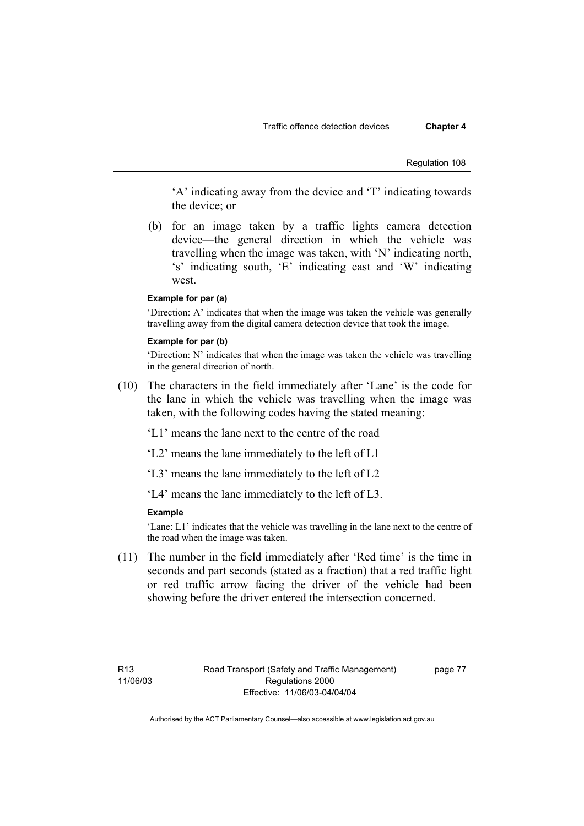'A' indicating away from the device and 'T' indicating towards the device; or

 (b) for an image taken by a traffic lights camera detection device—the general direction in which the vehicle was travelling when the image was taken, with 'N' indicating north, 's' indicating south, 'E' indicating east and 'W' indicating west.

#### **Example for par (a)**

'Direction: A' indicates that when the image was taken the vehicle was generally travelling away from the digital camera detection device that took the image.

#### **Example for par (b)**

'Direction: N' indicates that when the image was taken the vehicle was travelling in the general direction of north.

- (10) The characters in the field immediately after 'Lane' is the code for the lane in which the vehicle was travelling when the image was taken, with the following codes having the stated meaning:
	- 'L1' means the lane next to the centre of the road
	- 'L2' means the lane immediately to the left of L1
	- 'L3' means the lane immediately to the left of L2
	- 'L4' means the lane immediately to the left of L3.

#### **Example**

'Lane: L1' indicates that the vehicle was travelling in the lane next to the centre of the road when the image was taken.

 (11) The number in the field immediately after 'Red time' is the time in seconds and part seconds (stated as a fraction) that a red traffic light or red traffic arrow facing the driver of the vehicle had been showing before the driver entered the intersection concerned.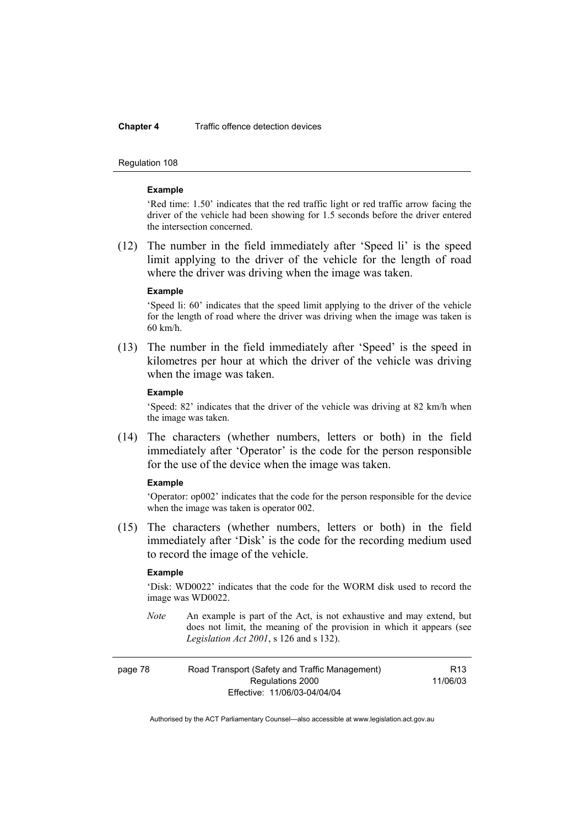#### **Chapter 4** Traffic offence detection devices

#### Regulation 108

#### **Example**

'Red time: 1.50' indicates that the red traffic light or red traffic arrow facing the driver of the vehicle had been showing for 1.5 seconds before the driver entered the intersection concerned.

 (12) The number in the field immediately after 'Speed li' is the speed limit applying to the driver of the vehicle for the length of road where the driver was driving when the image was taken.

#### **Example**

'Speed li: 60' indicates that the speed limit applying to the driver of the vehicle for the length of road where the driver was driving when the image was taken is 60 km/h.

 (13) The number in the field immediately after 'Speed' is the speed in kilometres per hour at which the driver of the vehicle was driving when the image was taken.

#### **Example**

'Speed: 82' indicates that the driver of the vehicle was driving at 82 km/h when the image was taken.

 (14) The characters (whether numbers, letters or both) in the field immediately after 'Operator' is the code for the person responsible for the use of the device when the image was taken.

#### **Example**

'Operator: op002' indicates that the code for the person responsible for the device when the image was taken is operator 002.

 (15) The characters (whether numbers, letters or both) in the field immediately after 'Disk' is the code for the recording medium used to record the image of the vehicle.

#### **Example**

'Disk: WD0022' indicates that the code for the WORM disk used to record the image was WD0022.

*Note* An example is part of the Act, is not exhaustive and may extend, but does not limit, the meaning of the provision in which it appears (see *Legislation Act 2001*, s 126 and s 132).

| page 78 | Road Transport (Safety and Traffic Management) | R <sub>13</sub> |
|---------|------------------------------------------------|-----------------|
|         | Regulations 2000                               | 11/06/03        |
|         | Effective: 11/06/03-04/04/04                   |                 |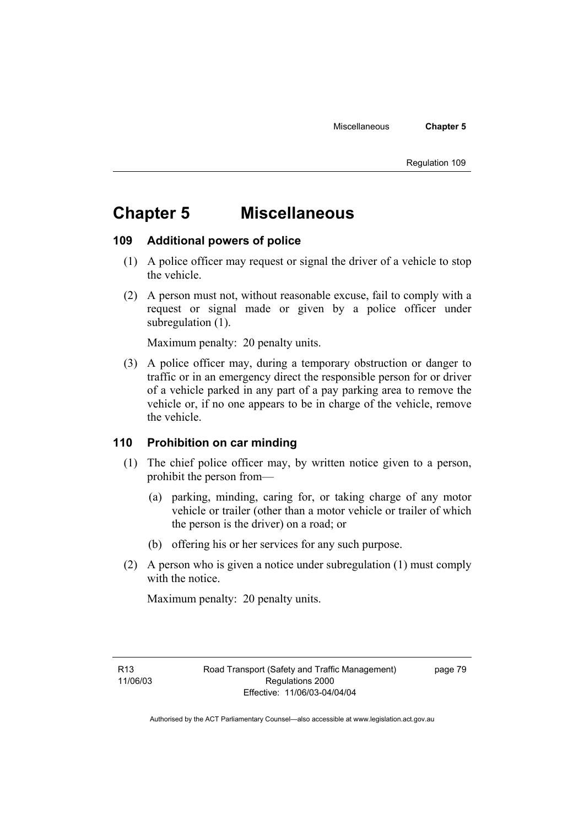# **Chapter 5 Miscellaneous**

## **109 Additional powers of police**

- (1) A police officer may request or signal the driver of a vehicle to stop the vehicle.
- (2) A person must not, without reasonable excuse, fail to comply with a request or signal made or given by a police officer under subregulation  $(1)$ .

Maximum penalty: 20 penalty units.

 (3) A police officer may, during a temporary obstruction or danger to traffic or in an emergency direct the responsible person for or driver of a vehicle parked in any part of a pay parking area to remove the vehicle or, if no one appears to be in charge of the vehicle, remove the vehicle.

# **110 Prohibition on car minding**

- (1) The chief police officer may, by written notice given to a person, prohibit the person from—
	- (a) parking, minding, caring for, or taking charge of any motor vehicle or trailer (other than a motor vehicle or trailer of which the person is the driver) on a road; or
	- (b) offering his or her services for any such purpose.
- (2) A person who is given a notice under subregulation (1) must comply with the notice.

Maximum penalty: 20 penalty units.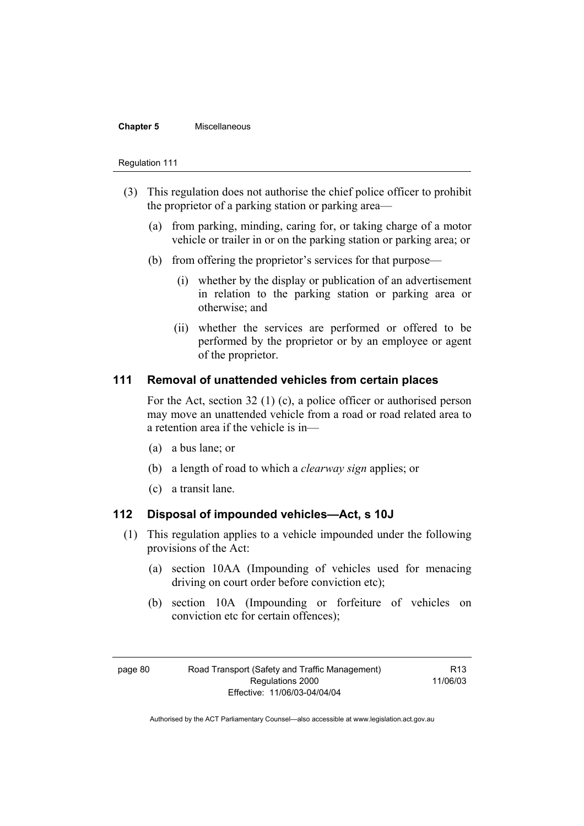#### **Chapter 5** Miscellaneous

#### Regulation 111

- (3) This regulation does not authorise the chief police officer to prohibit the proprietor of a parking station or parking area—
	- (a) from parking, minding, caring for, or taking charge of a motor vehicle or trailer in or on the parking station or parking area; or
	- (b) from offering the proprietor's services for that purpose—
		- (i) whether by the display or publication of an advertisement in relation to the parking station or parking area or otherwise; and
		- (ii) whether the services are performed or offered to be performed by the proprietor or by an employee or agent of the proprietor.

### **111 Removal of unattended vehicles from certain places**

For the Act, section 32 (1) (c), a police officer or authorised person may move an unattended vehicle from a road or road related area to a retention area if the vehicle is in—

- (a) a bus lane; or
- (b) a length of road to which a *clearway sign* applies; or
- (c) a transit lane.

# **112 Disposal of impounded vehicles—Act, s 10J**

- (1) This regulation applies to a vehicle impounded under the following provisions of the Act:
	- (a) section 10AA (Impounding of vehicles used for menacing driving on court order before conviction etc);
	- (b) section 10A (Impounding or forfeiture of vehicles on conviction etc for certain offences);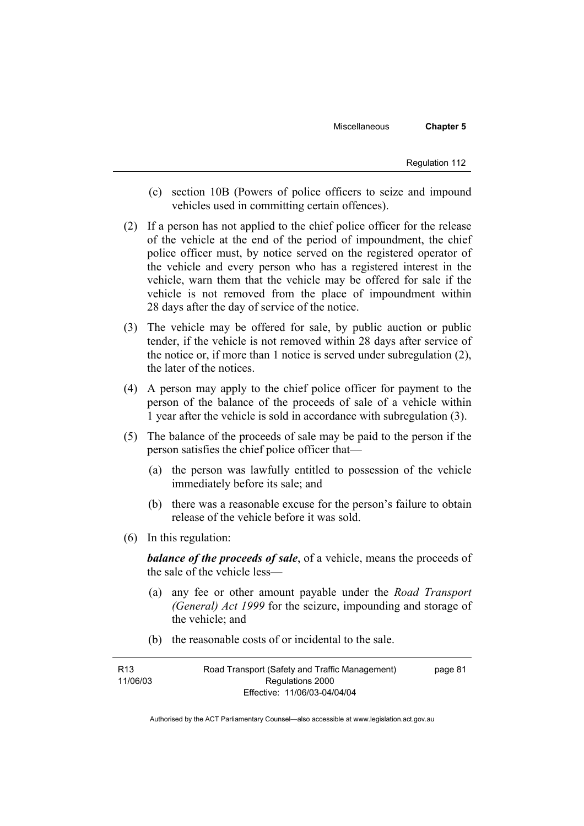Miscellaneous **Chapter 5** 

- (c) section 10B (Powers of police officers to seize and impound vehicles used in committing certain offences).
- (2) If a person has not applied to the chief police officer for the release of the vehicle at the end of the period of impoundment, the chief police officer must, by notice served on the registered operator of the vehicle and every person who has a registered interest in the vehicle, warn them that the vehicle may be offered for sale if the vehicle is not removed from the place of impoundment within 28 days after the day of service of the notice.
- (3) The vehicle may be offered for sale, by public auction or public tender, if the vehicle is not removed within 28 days after service of the notice or, if more than 1 notice is served under subregulation (2), the later of the notices.
- (4) A person may apply to the chief police officer for payment to the person of the balance of the proceeds of sale of a vehicle within 1 year after the vehicle is sold in accordance with subregulation (3).
- (5) The balance of the proceeds of sale may be paid to the person if the person satisfies the chief police officer that—
	- (a) the person was lawfully entitled to possession of the vehicle immediately before its sale; and
	- (b) there was a reasonable excuse for the person's failure to obtain release of the vehicle before it was sold.
- (6) In this regulation:

*balance of the proceeds of sale*, of a vehicle, means the proceeds of the sale of the vehicle less—

- (a) any fee or other amount payable under the *Road Transport (General) Act 1999* for the seizure, impounding and storage of the vehicle; and
- (b) the reasonable costs of or incidental to the sale.

| R13      | Road Transport (Safety and Traffic Management) | page 81 |
|----------|------------------------------------------------|---------|
| 11/06/03 | Regulations 2000                               |         |
|          | Effective: 11/06/03-04/04/04                   |         |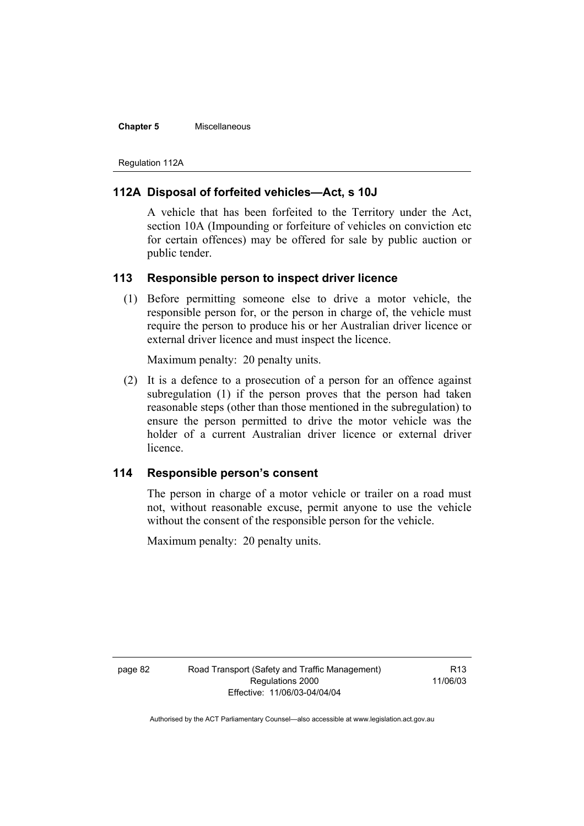#### **Chapter 5** Miscellaneous

Regulation 112A

# **112A Disposal of forfeited vehicles—Act, s 10J**

A vehicle that has been forfeited to the Territory under the Act, section 10A (Impounding or forfeiture of vehicles on conviction etc for certain offences) may be offered for sale by public auction or public tender.

### **113 Responsible person to inspect driver licence**

 (1) Before permitting someone else to drive a motor vehicle, the responsible person for, or the person in charge of, the vehicle must require the person to produce his or her Australian driver licence or external driver licence and must inspect the licence.

Maximum penalty: 20 penalty units.

 (2) It is a defence to a prosecution of a person for an offence against subregulation (1) if the person proves that the person had taken reasonable steps (other than those mentioned in the subregulation) to ensure the person permitted to drive the motor vehicle was the holder of a current Australian driver licence or external driver licence.

# **114 Responsible person's consent**

The person in charge of a motor vehicle or trailer on a road must not, without reasonable excuse, permit anyone to use the vehicle without the consent of the responsible person for the vehicle.

Maximum penalty: 20 penalty units.

page 82 Road Transport (Safety and Traffic Management) Regulations 2000 Effective: 11/06/03-04/04/04

R13 11/06/03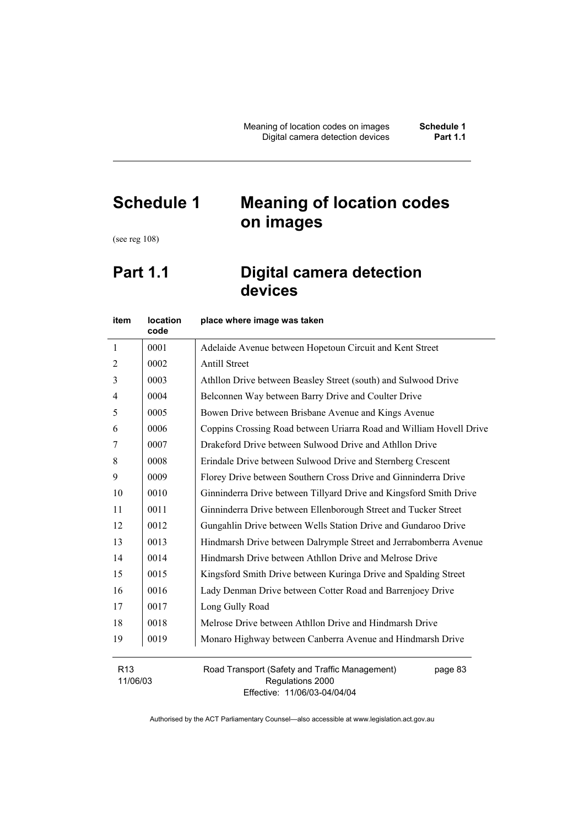# **Schedule 1 Meaning of location codes on images**

(see reg 108)

# **Part 1.1 Digital camera detection devices**

| item                        | <b>location</b><br>code | place where image was taken                                                   |
|-----------------------------|-------------------------|-------------------------------------------------------------------------------|
| $\mathbf{1}$                | 0001                    | Adelaide Avenue between Hopetoun Circuit and Kent Street                      |
| 2                           | 0002                    | <b>Antill Street</b>                                                          |
| 3                           | 0003                    | Athllon Drive between Beasley Street (south) and Sulwood Drive                |
| 4                           | 0004                    | Belconnen Way between Barry Drive and Coulter Drive                           |
| 5                           | 0005                    | Bowen Drive between Brisbane Avenue and Kings Avenue                          |
| 6                           | 0006                    | Coppins Crossing Road between Uriarra Road and William Hovell Drive           |
| 7                           | 0007                    | Drakeford Drive between Sulwood Drive and Athllon Drive                       |
| 8                           | 0008                    | Erindale Drive between Sulwood Drive and Sternberg Crescent                   |
| 9                           | 0009                    | Florey Drive between Southern Cross Drive and Ginninderra Drive               |
| 10                          | 0010                    | Ginninderra Drive between Tillyard Drive and Kingsford Smith Drive            |
| 11                          | 0011                    | Ginninderra Drive between Ellenborough Street and Tucker Street               |
| 12                          | 0012                    | Gungahlin Drive between Wells Station Drive and Gundaroo Drive                |
| 13                          | 0013                    | Hindmarsh Drive between Dalrymple Street and Jerrabomberra Avenue             |
| 14                          | 0014                    | Hindmarsh Drive between Athllon Drive and Melrose Drive                       |
| 15                          | 0015                    | Kingsford Smith Drive between Kuringa Drive and Spalding Street               |
| 16                          | 0016                    | Lady Denman Drive between Cotter Road and Barrenjoey Drive                    |
| 17                          | 0017                    | Long Gully Road                                                               |
| 18                          | 0018                    | Melrose Drive between Athllon Drive and Hindmarsh Drive                       |
| 19                          | 0019                    | Monaro Highway between Canberra Avenue and Hindmarsh Drive                    |
| R <sub>13</sub><br>11/06/03 |                         | Road Transport (Safety and Traffic Management)<br>page 83<br>Regulations 2000 |

Effective: 11/06/03-04/04/04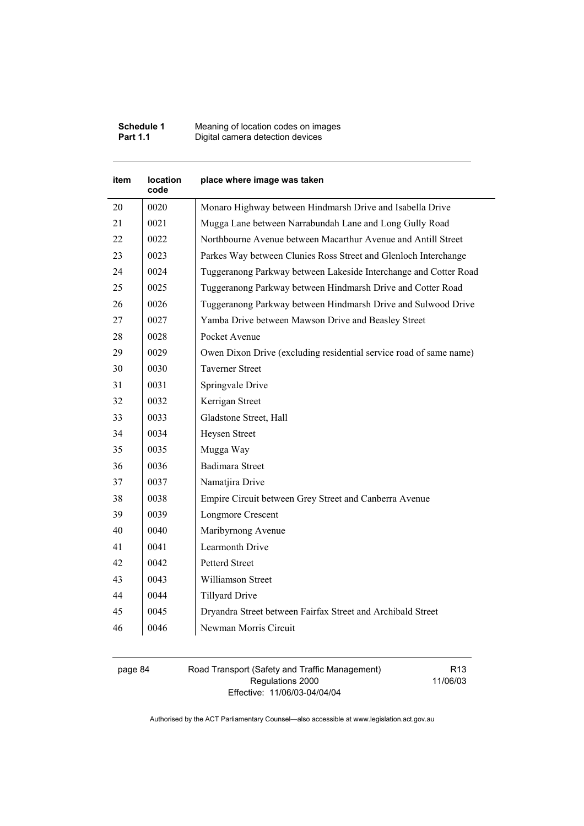| Schedule 1      | Meaning of location codes on images |
|-----------------|-------------------------------------|
| <b>Part 1.1</b> | Digital camera detection devices    |

| item | <b>location</b><br>code | place where image was taken                                        |
|------|-------------------------|--------------------------------------------------------------------|
| 20   | 0020                    | Monaro Highway between Hindmarsh Drive and Isabella Drive          |
| 21   | 0021                    | Mugga Lane between Narrabundah Lane and Long Gully Road            |
| 22   | 0022                    | Northbourne Avenue between Macarthur Avenue and Antill Street      |
| 23   | 0023                    | Parkes Way between Clunies Ross Street and Glenloch Interchange    |
| 24   | 0024                    | Tuggeranong Parkway between Lakeside Interchange and Cotter Road   |
| 25   | 0025                    | Tuggeranong Parkway between Hindmarsh Drive and Cotter Road        |
| 26   | 0026                    | Tuggeranong Parkway between Hindmarsh Drive and Sulwood Drive      |
| 27   | 0027                    | Yamba Drive between Mawson Drive and Beasley Street                |
| 28   | 0028                    | Pocket Avenue                                                      |
| 29   | 0029                    | Owen Dixon Drive (excluding residential service road of same name) |
| 30   | 0030                    | <b>Taverner Street</b>                                             |
| 31   | 0031                    | Springvale Drive                                                   |
| 32   | 0032                    | Kerrigan Street                                                    |
| 33   | 0033                    | Gladstone Street, Hall                                             |
| 34   | 0034                    | Heysen Street                                                      |
| 35   | 0035                    | Mugga Way                                                          |
| 36   | 0036                    | <b>Badimara Street</b>                                             |
| 37   | 0037                    | Namatjira Drive                                                    |
| 38   | 0038                    | Empire Circuit between Grey Street and Canberra Avenue             |
| 39   | 0039                    | Longmore Crescent                                                  |
| 40   | 0040                    | Maribyrnong Avenue                                                 |
| 41   | 0041                    | Learmonth Drive                                                    |
| 42   | 0042                    | <b>Petterd Street</b>                                              |
| 43   | 0043                    | Williamson Street                                                  |
| 44   | 0044                    | <b>Tillyard Drive</b>                                              |
| 45   | 0045                    | Dryandra Street between Fairfax Street and Archibald Street        |
| 46   | 0046                    | Newman Morris Circuit                                              |

#### page 84 Road Transport (Safety and Traffic Management) Regulations 2000 Effective: 11/06/03-04/04/04

R13 11/06/03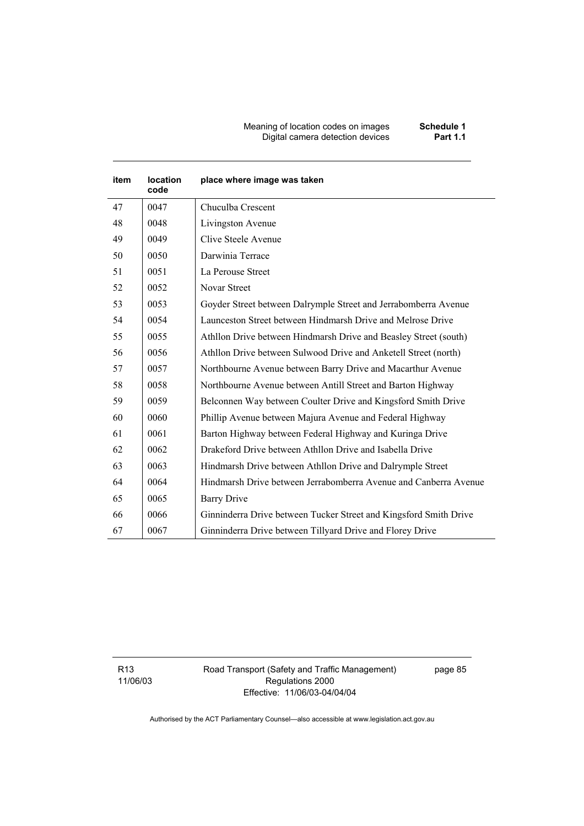#### Meaning of location codes on images **Schedule 1**  Digital camera detection devices **Part 1.1**

| <b>item</b> | location<br>code | place where image was taken                                       |
|-------------|------------------|-------------------------------------------------------------------|
| 47          | 0047             | Chuculba Crescent                                                 |
| 48          | 0048             | Livingston Avenue                                                 |
| 49          | 0049             | Clive Steele Avenue                                               |
| 50          | 0050             | Darwinia Terrace                                                  |
| 51          | 0051             | La Perouse Street                                                 |
| 52          | 0052             | Novar Street                                                      |
| 53          | 0053             | Goyder Street between Dalrymple Street and Jerrabomberra Avenue   |
| 54          | 0054             | Launceston Street between Hindmarsh Drive and Melrose Drive       |
| 55          | 0055             | Athllon Drive between Hindmarsh Drive and Beasley Street (south)  |
| 56          | 0056             | Athllon Drive between Sulwood Drive and Anketell Street (north)   |
| 57          | 0057             | Northbourne Avenue between Barry Drive and Macarthur Avenue       |
| 58          | 0058             | Northbourne Avenue between Antill Street and Barton Highway       |
| 59          | 0059             | Belconnen Way between Coulter Drive and Kingsford Smith Drive     |
| 60          | 0060             | Phillip Avenue between Majura Avenue and Federal Highway          |
| 61          | 0061             | Barton Highway between Federal Highway and Kuringa Drive          |
| 62          | 0062             | Drakeford Drive between Athllon Drive and Isabella Drive          |
| 63          | 0063             | Hindmarsh Drive between Athllon Drive and Dalrymple Street        |
| 64          | 0064             | Hindmarsh Drive between Jerrabomberra Avenue and Canberra Avenue  |
| 65          | 0065             | <b>Barry Drive</b>                                                |
| 66          | 0066             | Ginninderra Drive between Tucker Street and Kingsford Smith Drive |
| 67          | 0067             | Ginninderra Drive between Tillyard Drive and Florey Drive         |

R13 11/06/03 Road Transport (Safety and Traffic Management) Regulations 2000 Effective: 11/06/03-04/04/04

page 85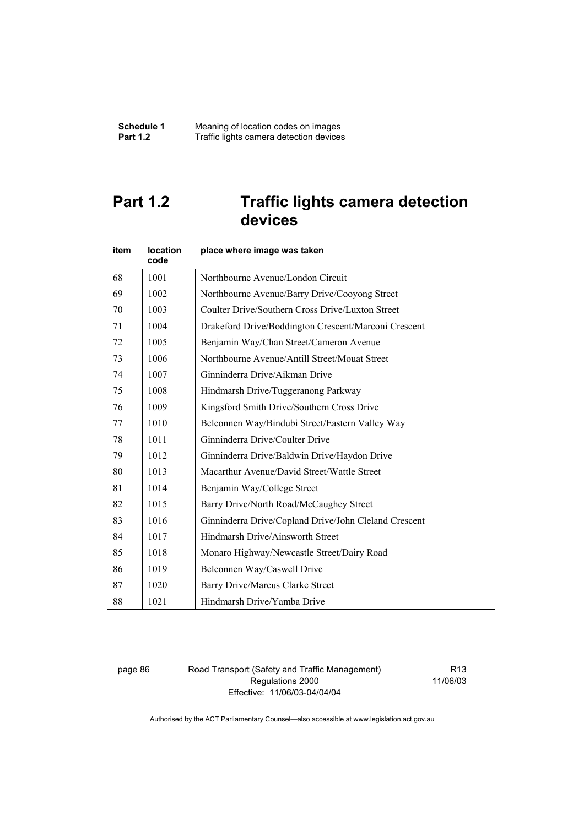# **Part 1.2 Traffic lights camera detection devices**

| item | location<br>code | place where image was taken                           |
|------|------------------|-------------------------------------------------------|
| 68   | 1001             | Northbourne Avenue/London Circuit                     |
| 69   | 1002             | Northbourne Avenue/Barry Drive/Cooyong Street         |
| 70   | 1003             | Coulter Drive/Southern Cross Drive/Luxton Street      |
| 71   | 1004             | Drakeford Drive/Boddington Crescent/Marconi Crescent  |
| 72   | 1005             | Benjamin Way/Chan Street/Cameron Avenue               |
| 73   | 1006             | Northbourne Avenue/Antill Street/Mouat Street         |
| 74   | 1007             | Ginninderra Drive/Aikman Drive                        |
| 75   | 1008             | Hindmarsh Drive/Tuggeranong Parkway                   |
| 76   | 1009             | Kingsford Smith Drive/Southern Cross Drive            |
| 77   | 1010             | Belconnen Way/Bindubi Street/Eastern Valley Way       |
| 78   | 1011             | Ginninderra Drive/Coulter Drive                       |
| 79   | 1012             | Ginninderra Drive/Baldwin Drive/Haydon Drive          |
| 80   | 1013             | Macarthur Avenue/David Street/Wattle Street           |
| 81   | 1014             | Benjamin Way/College Street                           |
| 82   | 1015             | Barry Drive/North Road/McCaughey Street               |
| 83   | 1016             | Ginninderra Drive/Copland Drive/John Cleland Crescent |
| 84   | 1017             | Hindmarsh Drive/Ainsworth Street                      |
| 85   | 1018             | Monaro Highway/Newcastle Street/Dairy Road            |
| 86   | 1019             | Belconnen Way/Caswell Drive                           |
| 87   | 1020             | <b>Barry Drive/Marcus Clarke Street</b>               |
| 88   | 1021             | Hindmarsh Drive/Yamba Drive                           |

page 86 Road Transport (Safety and Traffic Management) Regulations 2000 Effective: 11/06/03-04/04/04

R13 11/06/03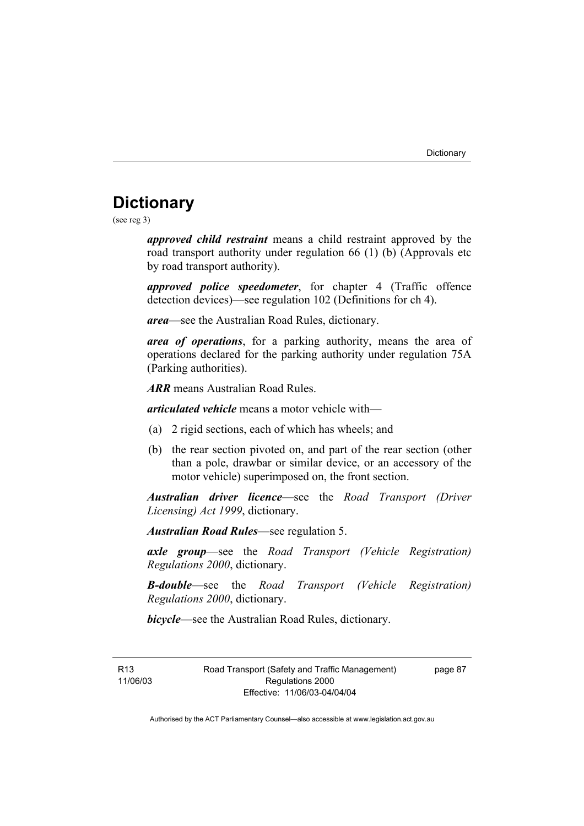# **Dictionary**

(see reg 3)

*approved child restraint* means a child restraint approved by the road transport authority under regulation 66 (1) (b) (Approvals etc by road transport authority).

*approved police speedometer*, for chapter 4 (Traffic offence detection devices)—see regulation 102 (Definitions for ch 4).

*area*—see the Australian Road Rules, dictionary.

*area of operations*, for a parking authority, means the area of operations declared for the parking authority under regulation 75A (Parking authorities).

*ARR* means Australian Road Rules.

*articulated vehicle* means a motor vehicle with—

- (a) 2 rigid sections, each of which has wheels; and
- (b) the rear section pivoted on, and part of the rear section (other than a pole, drawbar or similar device, or an accessory of the motor vehicle) superimposed on, the front section.

*Australian driver licence*—see the *Road Transport (Driver Licensing) Act 1999*, dictionary.

*Australian Road Rules*—see regulation 5.

*axle group*—see the *Road Transport (Vehicle Registration) Regulations 2000*, dictionary.

*B-double*—see the *Road Transport (Vehicle Registration) Regulations 2000*, dictionary.

*bicycle*—see the Australian Road Rules, dictionary.

R13 11/06/03 Road Transport (Safety and Traffic Management) Regulations 2000 Effective: 11/06/03-04/04/04

page 87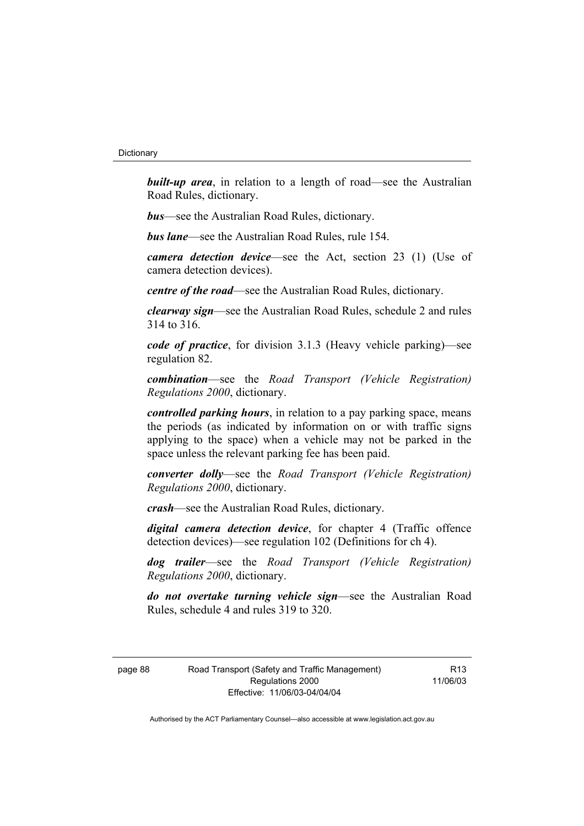**built-up area**, in relation to a length of road—see the Australian Road Rules, dictionary.

*bus*—see the Australian Road Rules, dictionary.

*bus lane*—see the Australian Road Rules, rule 154.

*camera detection device*—see the Act, section 23 (1) (Use of camera detection devices).

*centre of the road*—see the Australian Road Rules, dictionary.

*clearway sign*—see the Australian Road Rules, schedule 2 and rules 314 to 316.

*code of practice*, for division 3.1.3 (Heavy vehicle parking)—see regulation 82.

*combination*—see the *Road Transport (Vehicle Registration) Regulations 2000*, dictionary.

*controlled parking hours*, in relation to a pay parking space, means the periods (as indicated by information on or with traffic signs applying to the space) when a vehicle may not be parked in the space unless the relevant parking fee has been paid.

*converter dolly*—see the *Road Transport (Vehicle Registration) Regulations 2000*, dictionary.

*crash*—see the Australian Road Rules, dictionary.

*digital camera detection device*, for chapter 4 (Traffic offence detection devices)—see regulation 102 (Definitions for ch 4).

*dog trailer*—see the *Road Transport (Vehicle Registration) Regulations 2000*, dictionary.

*do not overtake turning vehicle sign*—see the Australian Road Rules, schedule 4 and rules 319 to 320.

page 88 Road Transport (Safety and Traffic Management) Regulations 2000 Effective: 11/06/03-04/04/04

R13 11/06/03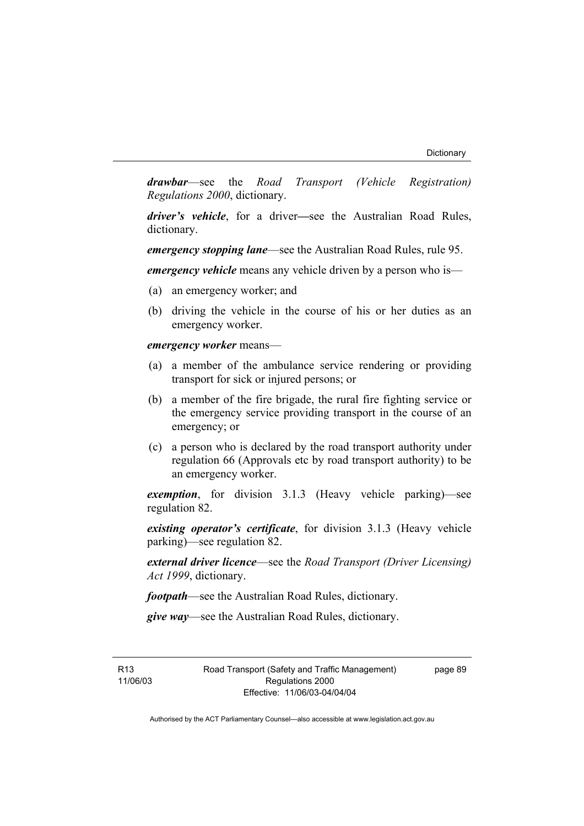*drawbar*—see the *Road Transport (Vehicle Registration) Regulations 2000*, dictionary.

*driver's vehicle*, for a driver*—*see the Australian Road Rules, dictionary.

*emergency stopping lane*—see the Australian Road Rules, rule 95.

*emergency vehicle* means any vehicle driven by a person who is—

- (a) an emergency worker; and
- (b) driving the vehicle in the course of his or her duties as an emergency worker.

*emergency worker* means—

- (a) a member of the ambulance service rendering or providing transport for sick or injured persons; or
- (b) a member of the fire brigade, the rural fire fighting service or the emergency service providing transport in the course of an emergency; or
- (c) a person who is declared by the road transport authority under regulation 66 (Approvals etc by road transport authority) to be an emergency worker.

*exemption*, for division 3.1.3 (Heavy vehicle parking)—see regulation 82.

*existing operator's certificate*, for division 3.1.3 (Heavy vehicle parking)—see regulation 82.

*external driver licence*—see the *Road Transport (Driver Licensing) Act 1999*, dictionary.

*footpath*—see the Australian Road Rules, dictionary.

*give way*—see the Australian Road Rules, dictionary.

R13 11/06/03 page 89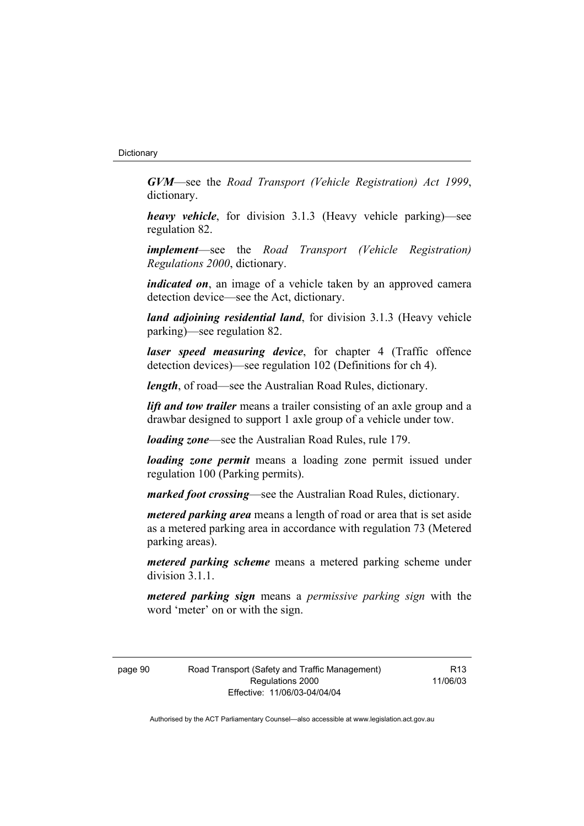*GVM*—see the *Road Transport (Vehicle Registration) Act 1999*, dictionary.

*heavy vehicle*, for division 3.1.3 (Heavy vehicle parking)—see regulation 82.

*implement*—see the *Road Transport (Vehicle Registration) Regulations 2000*, dictionary.

*indicated on*, an image of a vehicle taken by an approved camera detection device—see the Act, dictionary.

*land adjoining residential land*, for division 3.1.3 (Heavy vehicle parking)—see regulation 82.

*laser speed measuring device*, for chapter 4 (Traffic offence detection devices)—see regulation 102 (Definitions for ch 4).

*length*, of road—see the Australian Road Rules, dictionary.

*lift and tow trailer* means a trailer consisting of an axle group and a drawbar designed to support 1 axle group of a vehicle under tow.

*loading zone*—see the Australian Road Rules, rule 179.

*loading zone permit* means a loading zone permit issued under regulation 100 (Parking permits).

*marked foot crossing*—see the Australian Road Rules, dictionary.

*metered parking area* means a length of road or area that is set aside as a metered parking area in accordance with regulation 73 (Metered parking areas).

*metered parking scheme* means a metered parking scheme under division 3.1.1

*metered parking sign* means a *permissive parking sign* with the word 'meter' on or with the sign.

page 90 Road Transport (Safety and Traffic Management) Regulations 2000 Effective: 11/06/03-04/04/04

R13 11/06/03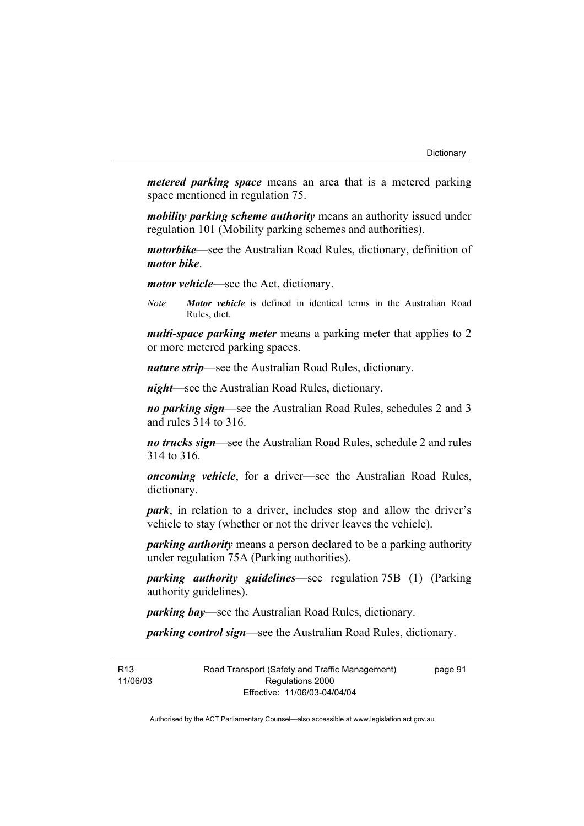*metered parking space* means an area that is a metered parking space mentioned in regulation 75.

*mobility parking scheme authority* means an authority issued under regulation 101 (Mobility parking schemes and authorities).

*motorbike*—see the Australian Road Rules, dictionary, definition of *motor bike*.

*motor vehicle*—see the Act, dictionary.

*Note Motor vehicle* is defined in identical terms in the Australian Road Rules, dict.

*multi-space parking meter* means a parking meter that applies to 2 or more metered parking spaces.

*nature strip*—see the Australian Road Rules, dictionary.

*night*—see the Australian Road Rules, dictionary.

*no parking sign*—see the Australian Road Rules, schedules 2 and 3 and rules 314 to 316.

*no trucks sign*—see the Australian Road Rules, schedule 2 and rules 314 to 316.

*oncoming vehicle*, for a driver—see the Australian Road Rules, dictionary.

*park*, in relation to a driver, includes stop and allow the driver's vehicle to stay (whether or not the driver leaves the vehicle).

*parking authority* means a person declared to be a parking authority under regulation 75A (Parking authorities).

*parking authority guidelines*—see regulation 75B (1) (Parking authority guidelines).

*parking bay*—see the Australian Road Rules, dictionary.

*parking control sign*—see the Australian Road Rules, dictionary.

R13 11/06/03 Road Transport (Safety and Traffic Management) Regulations 2000 Effective: 11/06/03-04/04/04

page 91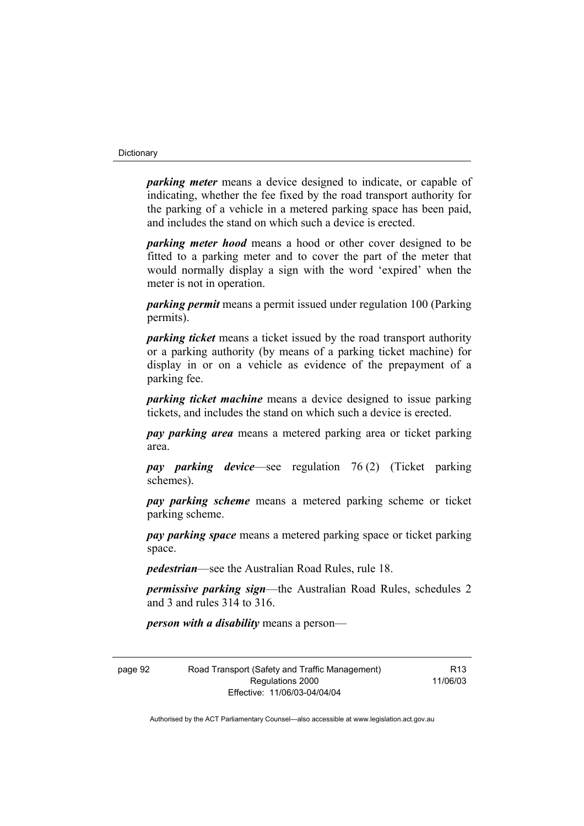#### **Dictionary**

*parking meter* means a device designed to indicate, or capable of indicating, whether the fee fixed by the road transport authority for the parking of a vehicle in a metered parking space has been paid, and includes the stand on which such a device is erected.

*parking meter hood* means a hood or other cover designed to be fitted to a parking meter and to cover the part of the meter that would normally display a sign with the word 'expired' when the meter is not in operation.

*parking permit* means a permit issued under regulation 100 (Parking permits).

*parking ticket* means a ticket issued by the road transport authority or a parking authority (by means of a parking ticket machine) for display in or on a vehicle as evidence of the prepayment of a parking fee.

*parking ticket machine* means a device designed to issue parking tickets, and includes the stand on which such a device is erected.

*pay parking area* means a metered parking area or ticket parking area.

*pay parking device*—see regulation 76 (2) (Ticket parking schemes).

*pay parking scheme* means a metered parking scheme or ticket parking scheme.

*pay parking space* means a metered parking space or ticket parking space.

*pedestrian*—see the Australian Road Rules, rule 18.

*permissive parking sign*—the Australian Road Rules, schedules 2 and 3 and rules 314 to 316.

*person with a disability* means a person—

page 92 Road Transport (Safety and Traffic Management) Regulations 2000 Effective: 11/06/03-04/04/04

R13 11/06/03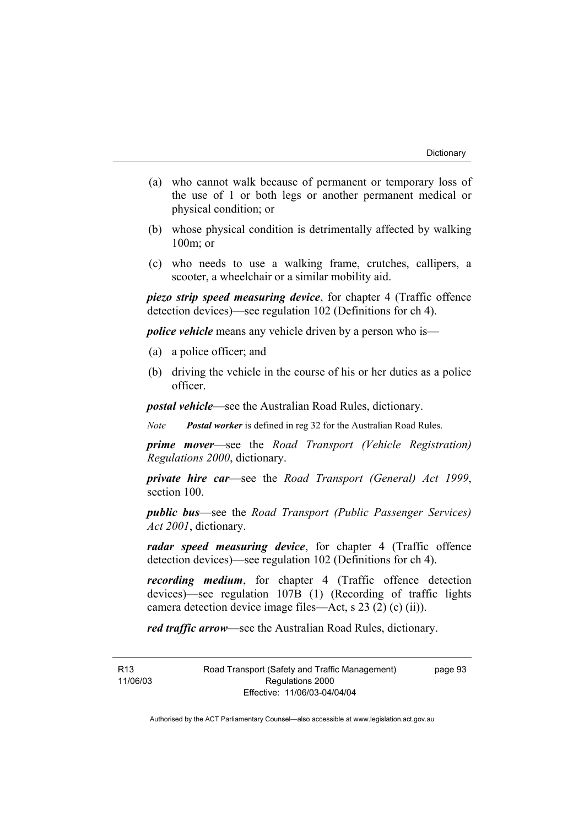- (a) who cannot walk because of permanent or temporary loss of the use of 1 or both legs or another permanent medical or physical condition; or
- (b) whose physical condition is detrimentally affected by walking 100m; or
- (c) who needs to use a walking frame, crutches, callipers, a scooter, a wheelchair or a similar mobility aid.

*piezo strip speed measuring device*, for chapter 4 (Traffic offence detection devices)—see regulation 102 (Definitions for ch 4).

*police vehicle* means any vehicle driven by a person who is—

- (a) a police officer; and
- (b) driving the vehicle in the course of his or her duties as a police officer.

*postal vehicle*—see the Australian Road Rules, dictionary.

*Note Postal worker* is defined in reg 32 for the Australian Road Rules.

*prime mover*—see the *Road Transport (Vehicle Registration) Regulations 2000*, dictionary.

*private hire car*—see the *Road Transport (General) Act 1999*, section 100.

*public bus*—see the *Road Transport (Public Passenger Services) Act 2001*, dictionary.

*radar speed measuring device*, for chapter 4 (Traffic offence detection devices)—see regulation 102 (Definitions for ch 4).

*recording medium*, for chapter 4 (Traffic offence detection devices)—see regulation 107B (1) (Recording of traffic lights camera detection device image files—Act, s 23 (2) (c) (ii)).

*red traffic arrow*—see the Australian Road Rules, dictionary.

R13 11/06/03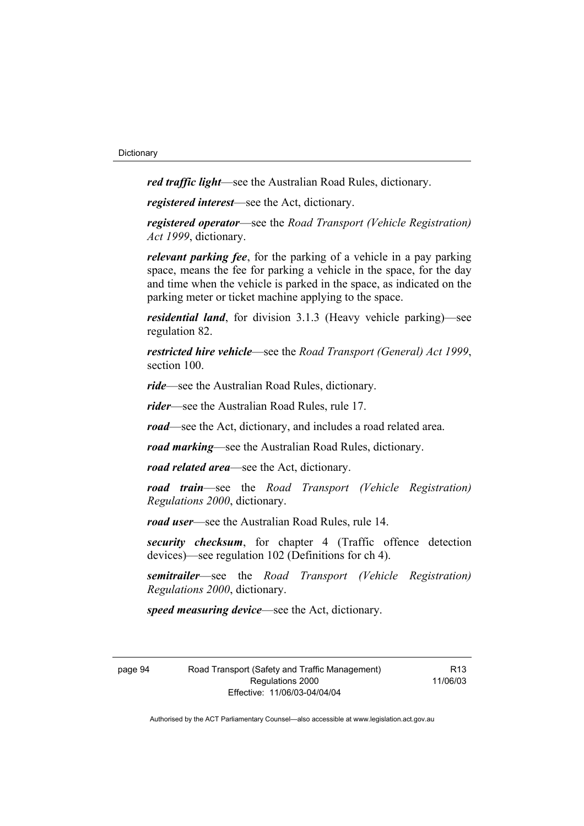*red traffic light*—see the Australian Road Rules, dictionary.

*registered interest*—see the Act, dictionary.

*registered operator*—see the *Road Transport (Vehicle Registration) Act 1999*, dictionary.

*relevant parking fee*, for the parking of a vehicle in a pay parking space, means the fee for parking a vehicle in the space, for the day and time when the vehicle is parked in the space, as indicated on the parking meter or ticket machine applying to the space.

*residential land*, for division 3.1.3 (Heavy vehicle parking)—see regulation 82.

*restricted hire vehicle*—see the *Road Transport (General) Act 1999*, section 100.

*ride*—see the Australian Road Rules, dictionary.

*rider*—see the Australian Road Rules, rule 17.

*road*—see the Act, dictionary, and includes a road related area.

*road marking*—see the Australian Road Rules, dictionary.

*road related area*—see the Act, dictionary.

*road train*—see the *Road Transport (Vehicle Registration) Regulations 2000*, dictionary.

*road user*—see the Australian Road Rules, rule 14.

*security checksum*, for chapter 4 (Traffic offence detection devices)—see regulation 102 (Definitions for ch 4).

*semitrailer*—see the *Road Transport (Vehicle Registration) Regulations 2000*, dictionary.

*speed measuring device*—see the Act, dictionary.

page 94 Road Transport (Safety and Traffic Management) Regulations 2000 Effective: 11/06/03-04/04/04

R13 11/06/03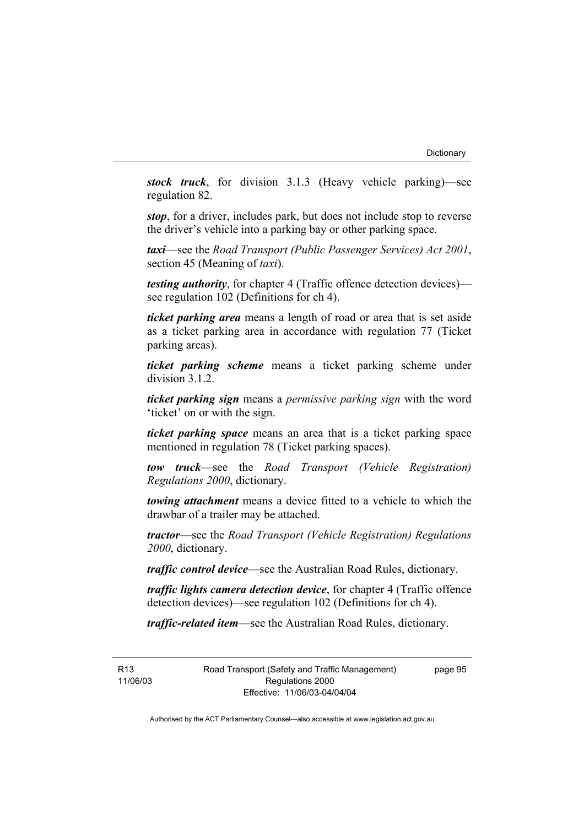*stock truck*, for division 3.1.3 (Heavy vehicle parking)—see regulation 82.

*stop*, for a driver, includes park, but does not include stop to reverse the driver's vehicle into a parking bay or other parking space.

*taxi*—see the *Road Transport (Public Passenger Services) Act 2001*, section 45 (Meaning of *taxi*).

*testing authority*, for chapter 4 (Traffic offence detection devices) see regulation 102 (Definitions for ch 4).

*ticket parking area* means a length of road or area that is set aside as a ticket parking area in accordance with regulation 77 (Ticket parking areas).

*ticket parking scheme* means a ticket parking scheme under division 3.1.2.

*ticket parking sign* means a *permissive parking sign* with the word 'ticket' on or with the sign.

*ticket parking space* means an area that is a ticket parking space mentioned in regulation 78 (Ticket parking spaces).

*tow truck*—see the *Road Transport (Vehicle Registration) Regulations 2000*, dictionary.

*towing attachment* means a device fitted to a vehicle to which the drawbar of a trailer may be attached.

*tractor*—see the *Road Transport (Vehicle Registration) Regulations 2000*, dictionary.

*traffic control device*—see the Australian Road Rules, dictionary.

*traffic lights camera detection device*, for chapter 4 (Traffic offence detection devices)—see regulation 102 (Definitions for ch 4).

*traffic-related item*—see the Australian Road Rules, dictionary.

R13 11/06/03 Road Transport (Safety and Traffic Management) Regulations 2000 Effective: 11/06/03-04/04/04

page 95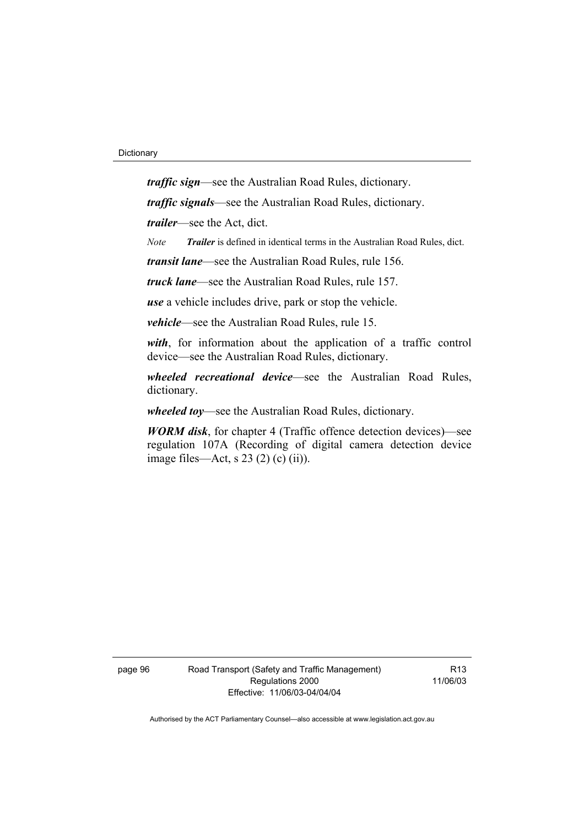*traffic sign*—see the Australian Road Rules, dictionary.

*traffic signals*—see the Australian Road Rules, dictionary.

*trailer*—see the Act, dict.

*Note Trailer* is defined in identical terms in the Australian Road Rules, dict.

*transit lane*—see the Australian Road Rules, rule 156.

*truck lane*—see the Australian Road Rules, rule 157.

*use* a vehicle includes drive, park or stop the vehicle.

*vehicle*—see the Australian Road Rules, rule 15.

*with*, for information about the application of a traffic control device—see the Australian Road Rules, dictionary.

*wheeled recreational device*—see the Australian Road Rules, dictionary.

*wheeled toy*—see the Australian Road Rules, dictionary.

*WORM disk*, for chapter 4 (Traffic offence detection devices)—see regulation 107A (Recording of digital camera detection device image files—Act, s 23 (2) (c) (ii)).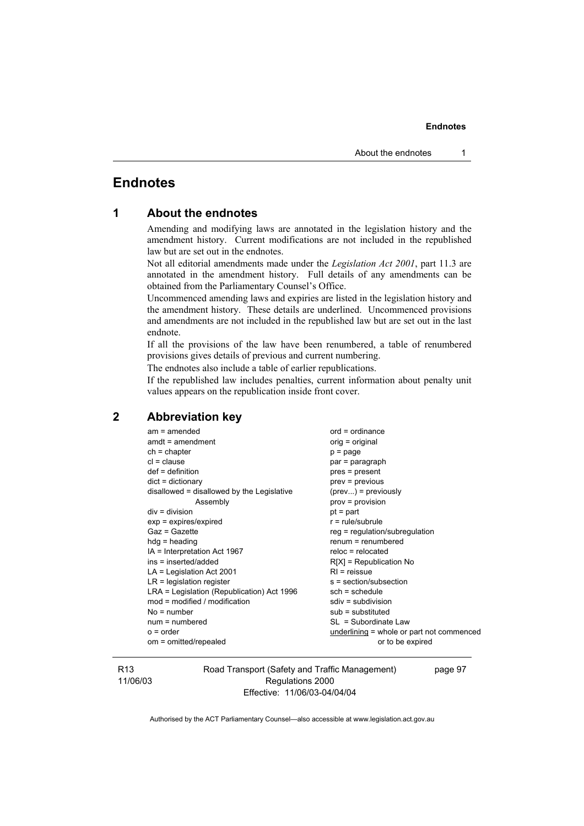#### **Endnotes**

# **Endnotes**

| 1 | <b>About the endnotes</b> |  |  |  |
|---|---------------------------|--|--|--|
|---|---------------------------|--|--|--|

Amending and modifying laws are annotated in the legislation history and the amendment history. Current modifications are not included in the republished law but are set out in the endnotes.

Not all editorial amendments made under the *Legislation Act 2001*, part 11.3 are annotated in the amendment history. Full details of any amendments can be obtained from the Parliamentary Counsel's Office.

Uncommenced amending laws and expiries are listed in the legislation history and the amendment history. These details are underlined. Uncommenced provisions and amendments are not included in the republished law but are set out in the last endnote.

If all the provisions of the law have been renumbered, a table of renumbered provisions gives details of previous and current numbering.

The endnotes also include a table of earlier republications.

If the republished law includes penalties, current information about penalty unit values appears on the republication inside front cover.

# **2 Abbreviation key**

| $ord = ordinance$                         |  |  |
|-------------------------------------------|--|--|
| orig = original                           |  |  |
| $p = page$                                |  |  |
|                                           |  |  |
|                                           |  |  |
| prev = previous                           |  |  |
| $(\text{prev})$ = previously              |  |  |
|                                           |  |  |
| $pt = part$                               |  |  |
| $r = rule/subrule$                        |  |  |
| $reg = regulation/subregulation$          |  |  |
| $renum = renumbered$                      |  |  |
| $reloc = relocated$                       |  |  |
| $R[X]$ = Republication No                 |  |  |
|                                           |  |  |
|                                           |  |  |
|                                           |  |  |
|                                           |  |  |
| $sub =$ substituted                       |  |  |
| $SL = Subordinate Law$                    |  |  |
| underlining = whole or part not commenced |  |  |
| or to be expired                          |  |  |
|                                           |  |  |

R13 11/06/03 Road Transport (Safety and Traffic Management) Regulations 2000 Effective: 11/06/03-04/04/04

page 97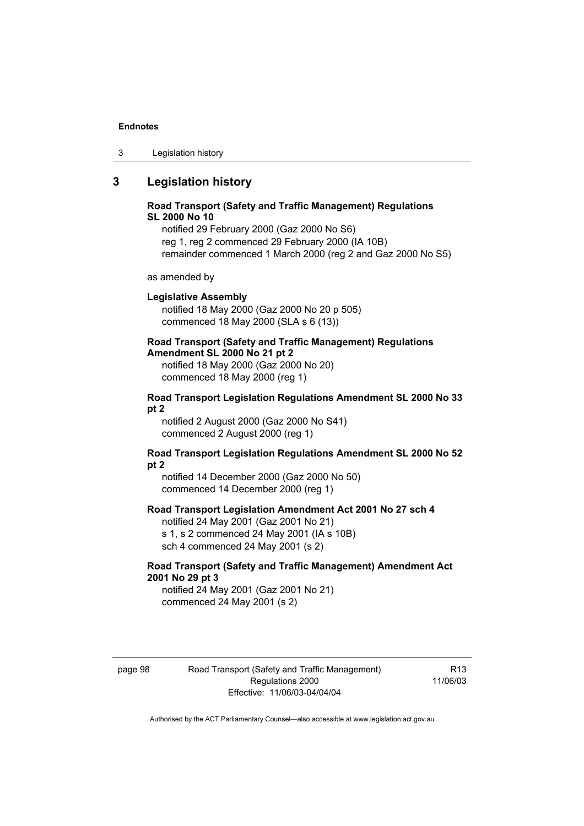#### **Endnotes**

3 Legislation history

# **3 Legislation history**

#### **Road Transport (Safety and Traffic Management) Regulations SL 2000 No 10**

notified 29 February 2000 (Gaz 2000 No S6) reg 1, reg 2 commenced 29 February 2000 (IA 10B) remainder commenced 1 March 2000 (reg 2 and Gaz 2000 No S5)

as amended by

#### **Legislative Assembly**

notified 18 May 2000 (Gaz 2000 No 20 p 505) commenced 18 May 2000 (SLA s 6 (13))

# **Road Transport (Safety and Traffic Management) Regulations**

**Amendment SL 2000 No 21 pt 2** 

notified 18 May 2000 (Gaz 2000 No 20) commenced 18 May 2000 (reg 1)

#### **Road Transport Legislation Regulations Amendment SL 2000 No 33 pt 2**

notified 2 August 2000 (Gaz 2000 No S41) commenced 2 August 2000 (reg 1)

### **Road Transport Legislation Regulations Amendment SL 2000 No 52 pt 2**

notified 14 December 2000 (Gaz 2000 No 50) commenced 14 December 2000 (reg 1)

#### **Road Transport Legislation Amendment Act 2001 No 27 sch 4**

notified 24 May 2001 (Gaz 2001 No 21) s 1, s 2 commenced 24 May 2001 (IA s 10B) sch 4 commenced 24 May 2001 (s 2)

#### **Road Transport (Safety and Traffic Management) Amendment Act 2001 No 29 pt 3**

notified 24 May 2001 (Gaz 2001 No 21) commenced 24 May 2001 (s 2)

page 98 Road Transport (Safety and Traffic Management) Regulations 2000 Effective: 11/06/03-04/04/04

R13 11/06/03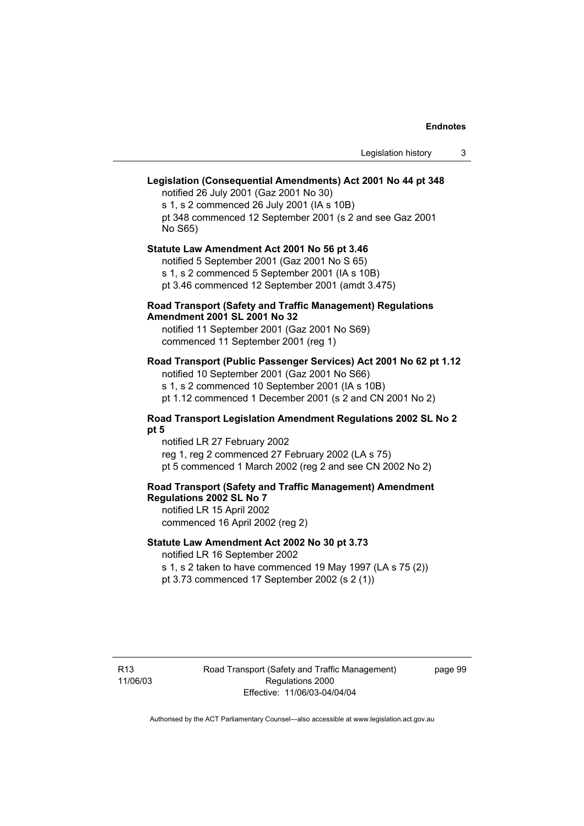## **Legislation (Consequential Amendments) Act 2001 No 44 pt 348**

notified 26 July 2001 (Gaz 2001 No 30) s 1, s 2 commenced 26 July 2001 (IA s 10B) pt 348 commenced 12 September 2001 (s 2 and see Gaz 2001 No S65)

## **Statute Law Amendment Act 2001 No 56 pt 3.46**  notified 5 September 2001 (Gaz 2001 No S 65) s 1, s 2 commenced 5 September 2001 (IA s 10B)

pt 3.46 commenced 12 September 2001 (amdt 3.475)

## **Road Transport (Safety and Traffic Management) Regulations Amendment 2001 SL 2001 No 32**

notified 11 September 2001 (Gaz 2001 No S69) commenced 11 September 2001 (reg 1)

## **Road Transport (Public Passenger Services) Act 2001 No 62 pt 1.12**

notified 10 September 2001 (Gaz 2001 No S66) s 1, s 2 commenced 10 September 2001 (IA s 10B)

pt 1.12 commenced 1 December 2001 (s 2 and CN 2001 No 2)

# **Road Transport Legislation Amendment Regulations 2002 SL No 2**

**pt 5** 

notified LR 27 February 2002 reg 1, reg 2 commenced 27 February 2002 (LA s 75) pt 5 commenced 1 March 2002 (reg 2 and see CN 2002 No 2)

## **Road Transport (Safety and Traffic Management) Amendment Regulations 2002 SL No 7**

notified LR 15 April 2002 commenced 16 April 2002 (reg 2)

## **Statute Law Amendment Act 2002 No 30 pt 3.73**

notified LR 16 September 2002

s 1, s 2 taken to have commenced 19 May 1997 (LA s 75 (2)) pt 3.73 commenced 17 September 2002 (s 2 (1))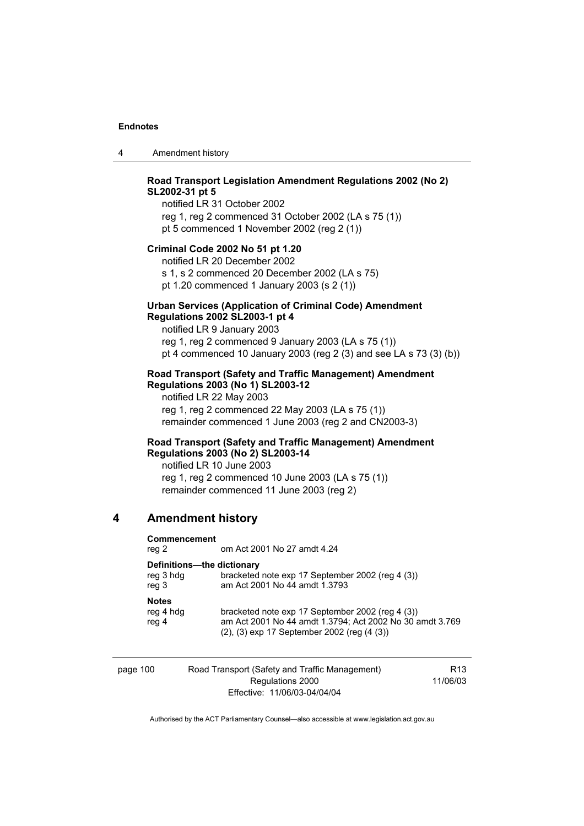4 Amendment history

## **Road Transport Legislation Amendment Regulations 2002 (No 2) SL2002-31 pt 5**

notified LR 31 October 2002 reg 1, reg 2 commenced 31 October 2002 (LA s 75 (1)) pt 5 commenced 1 November 2002 (reg 2 (1))

## **Criminal Code 2002 No 51 pt 1.20**

notified LR 20 December 2002 s 1, s 2 commenced 20 December 2002 (LA s 75) pt 1.20 commenced 1 January 2003 (s 2 (1))

### **Urban Services (Application of Criminal Code) Amendment Regulations 2002 SL2003-1 pt 4**

notified LR 9 January 2003 reg 1, reg 2 commenced 9 January 2003 (LA s 75 (1)) pt 4 commenced 10 January 2003 (reg 2 (3) and see LA s 73 (3) (b))

## **Road Transport (Safety and Traffic Management) Amendment Regulations 2003 (No 1) SL2003-12**

notified LR 22 May 2003 reg 1, reg 2 commenced 22 May 2003 (LA s 75 (1)) remainder commenced 1 June 2003 (reg 2 and CN2003-3)

## **Road Transport (Safety and Traffic Management) Amendment Regulations 2003 (No 2) SL2003-14**

notified LR 10 June 2003 reg 1, reg 2 commenced 10 June 2003 (LA s 75 (1)) remainder commenced 11 June 2003 (reg 2)

## **4 Amendment history**

## **Commencement**  reg 2 om Act 2001 No 27 amdt 4.24 **Definitions—the dictionary**  reg 3 hdg bracketed note exp 17 September 2002 (reg 4 (3)) reg 3 am Act 2001 No 44 amdt 1.3793 **Notes**  reg 4 hdg bracketed note exp 17 September 2002 (reg 4 (3)) reg 4 am Act 2001 No 44 amdt 1.3794; Act 2002 No 30 amdt 3.769 (2), (3) exp 17 September 2002 (reg (4 (3))

| page 100 | Road Transport (Safety and Traffic Management) | R <sub>13</sub> |
|----------|------------------------------------------------|-----------------|
|          | Regulations 2000                               | 11/06/03        |
|          | Effective: 11/06/03-04/04/04                   |                 |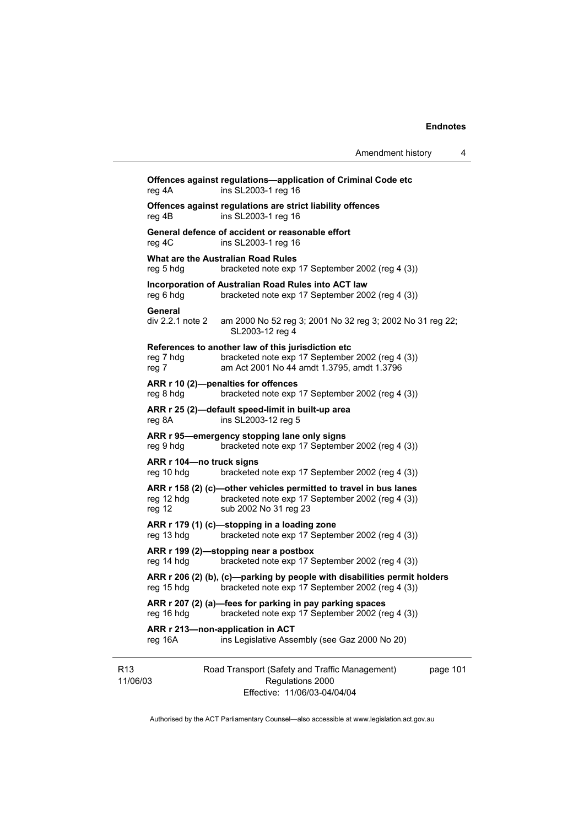11/06/03 Road Transport (Safety and Traffic Management) Regulations 2000 page 101 **Offences against regulations—application of Criminal Code etc**  reg 4A ins SL2003-1 reg 16 **Offences against regulations are strict liability offences**  reg 4B ins SL2003-1 reg 16 **General defence of accident or reasonable effort**  reg 4C ins SL2003-1 reg 16 **What are the Australian Road Rules**  reg 5 hdg bracketed note exp 17 September 2002 (reg 4 (3)) **Incorporation of Australian Road Rules into ACT law**  reg 6 hdg bracketed note exp 17 September 2002 (reg 4 (3)) **General**  div 2.2.1 note 2 am 2000 No 52 reg 3; 2001 No 32 reg 3; 2002 No 31 reg 22; SL2003-12 reg 4 **References to another law of this jurisdiction etc**  reg 7 hdg bracketed note exp 17 September 2002 (reg 4 (3)) reg 7 am Act 2001 No 44 amdt 1.3795, amdt 1.3796 **ARR r 10 (2)—penalties for offences**  reg 8 hdg bracketed note exp 17 September 2002 (reg 4 (3)) **ARR r 25 (2)—default speed-limit in built-up area**  reg 8A ins SL2003-12 reg 5 **ARR r 95—emergency stopping lane only signs**  reg 9 hdg bracketed note exp 17 September 2002 (reg 4 (3)) **ARR r 104—no truck signs**  reg 10 hdg bracketed note exp 17 September 2002 (reg 4 (3)) **ARR r 158 (2) (c)—other vehicles permitted to travel in bus lanes**  reg 12 hdg bracketed note exp 17 September 2002 (reg 4 (3)) reg 12 sub 2002 No 31 reg 23 **ARR r 179 (1) (c)—stopping in a loading zone**  bracketed note exp 17 September 2002 (reg 4 (3)) **ARR r 199 (2)—stopping near a postbox**  reg 14 hdg bracketed note exp 17 September 2002 (reg 4 (3)) **ARR r 206 (2) (b), (c)—parking by people with disabilities permit holders**  reg 15 hdg bracketed note exp 17 September 2002 (reg 4 (3)) **ARR r 207 (2) (a)—fees for parking in pay parking spaces**  reg 16 hdg bracketed note exp 17 September 2002 (reg 4 (3)) **ARR r 213—non-application in ACT**  reg 16A ins Legislative Assembly (see Gaz 2000 No 20)

Authorised by the ACT Parliamentary Counsel—also accessible at www.legislation.act.gov.au

Effective: 11/06/03-04/04/04

R13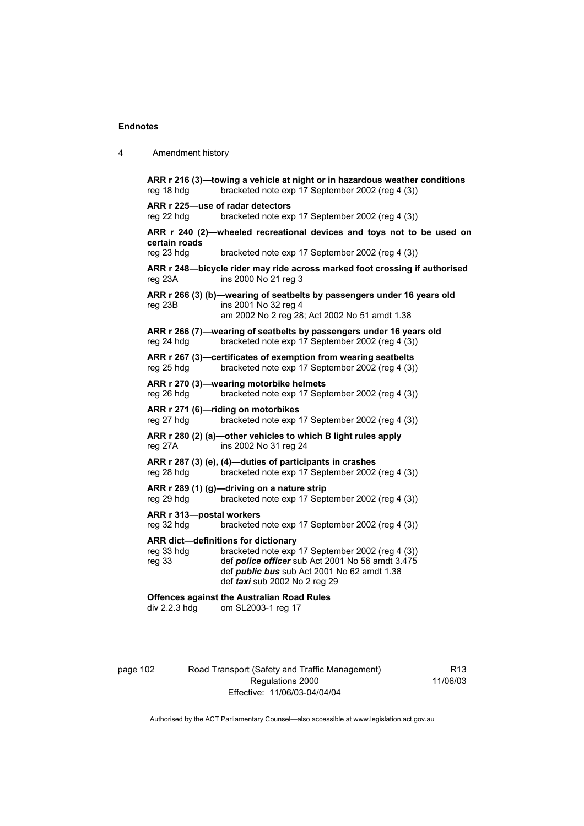#### 4 Amendment history

**ARR r 216 (3)—towing a vehicle at night or in hazardous weather conditions**  reg 18 hdg bracketed note exp 17 September 2002 (reg 4 (3)) **ARR r 225—use of radar detectors**  reg 22 hdg bracketed note exp 17 September 2002 (reg 4 (3)) **ARR r 240 (2)—wheeled recreational devices and toys not to be used on certain roads**  reg 23 hdg bracketed note exp 17 September 2002 (reg 4 (3)) **ARR r 248—bicycle rider may ride across marked foot crossing if authorised**  reg 23A ins 2000 No 21 reg 3 **ARR r 266 (3) (b)—wearing of seatbelts by passengers under 16 years old**  reg 23B ins 2001 No 32 reg 4 am 2002 No 2 reg 28; Act 2002 No 51 amdt 1.38 **ARR r 266 (7)—wearing of seatbelts by passengers under 16 years old**  reg 24 hdg bracketed note exp 17 September 2002 (reg 4 (3)) **ARR r 267 (3)—certificates of exemption from wearing seatbelts**  reg 25 hdg bracketed note exp 17 September 2002 (reg 4 (3)) **ARR r 270 (3)—wearing motorbike helmets**  reg 26 hdg bracketed note exp 17 September 2002 (reg 4 (3)) **ARR r 271 (6)—riding on motorbikes**  reg 27 hdg bracketed note exp 17 September 2002 (reg 4 (3)) **ARR r 280 (2) (a)—other vehicles to which B light rules apply**  reg 27A ins 2002 No 31 reg 24 **ARR r 287 (3) (e), (4)—duties of participants in crashes**  reg 28 hdg bracketed note exp 17 September 2002 (reg 4 (3)) **ARR r 289 (1) (g)—driving on a nature strip**  reg 29 hdg bracketed note exp 17 September 2002 (reg 4 (3)) **ARR r 313—postal workers**  reg 32 hdg bracketed note exp 17 September 2002 (reg 4 (3)) **ARR dict—definitions for dictionary**  reg 33 hdg bracketed note exp 17 September 2002 (reg 4 (3)) reg 33 def *police officer* sub Act 2001 No 56 amdt 3.475 def *public bus* sub Act 2001 No 62 amdt 1.38 def *taxi* sub 2002 No 2 reg 29 **Offences against the Australian Road Rules**  div 2.2.3 hdg om SL2003-1 reg 17

## page 102 Road Transport (Safety and Traffic Management) Regulations 2000 Effective: 11/06/03-04/04/04

R13 11/06/03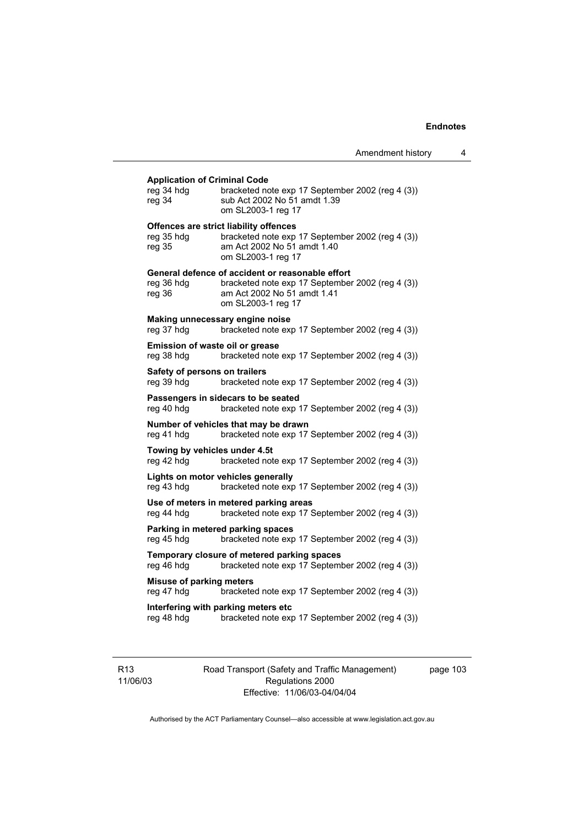## **Application of Criminal Code**

| reg 34 hdg<br>reg 34                          | bracketed note exp 17 September 2002 (reg 4 (3))<br>sub Act 2002 No 51 amdt 1.39<br>om SL2003-1 reg 17                                                    |
|-----------------------------------------------|-----------------------------------------------------------------------------------------------------------------------------------------------------------|
| reg 35 hdg<br>reg 35                          | Offences are strict liability offences<br>bracketed note exp 17 September 2002 (reg 4 (3))<br>am Act 2002 No 51 amdt 1.40<br>om SL2003-1 reg 17           |
| reg 36 hdg<br>reg 36                          | General defence of accident or reasonable effort<br>bracketed note exp 17 September 2002 (reg 4 (3))<br>am Act 2002 No 51 amdt 1.41<br>om SL2003-1 reg 17 |
| reg 37 hdg                                    | Making unnecessary engine noise<br>bracketed note exp 17 September 2002 (reg 4 (3))                                                                       |
| Emission of waste oil or grease<br>reg 38 hdg | bracketed note exp 17 September 2002 (reg 4 (3))                                                                                                          |
| Safety of persons on trailers<br>reg 39 hdg   | bracketed note exp 17 September 2002 (reg 4 (3))                                                                                                          |
| reg 40 hdg                                    | Passengers in sidecars to be seated<br>bracketed note exp 17 September 2002 (reg 4 (3))                                                                   |
| reg 41 hdg                                    | Number of vehicles that may be drawn<br>bracketed note exp 17 September 2002 (reg 4 (3))                                                                  |
| Towing by vehicles under 4.5t<br>reg 42 hdg   | bracketed note exp 17 September 2002 (reg 4 (3))                                                                                                          |
| reg 43 hdg                                    | Lights on motor vehicles generally<br>bracketed note exp 17 September 2002 (reg 4 (3))                                                                    |
| reg 44 hdg                                    | Use of meters in metered parking areas<br>bracketed note exp 17 September 2002 (reg 4 (3))                                                                |
| reg 45 hdg                                    | Parking in metered parking spaces<br>bracketed note exp 17 September 2002 (reg 4 (3))                                                                     |
| reg 46 hdg                                    | Temporary closure of metered parking spaces<br>bracketed note exp 17 September 2002 (reg 4 (3))                                                           |
| <b>Misuse of parking meters</b><br>reg 47 hdg | bracketed note exp 17 September 2002 (reg 4 (3))                                                                                                          |
| reg 48 hdg                                    | Interfering with parking meters etc<br>bracketed note exp 17 September 2002 (reg 4 (3))                                                                   |
|                                               |                                                                                                                                                           |

R13 11/06/03 Road Transport (Safety and Traffic Management) Regulations 2000 Effective: 11/06/03-04/04/04

page 103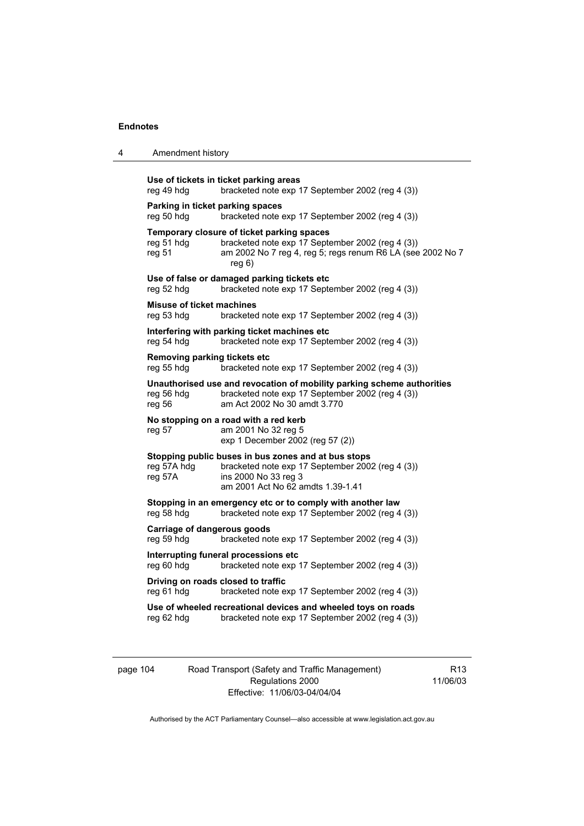| Amendment history<br>4 |  |
|------------------------|--|
|------------------------|--|

| reg 49 hdg                                       | Use of tickets in ticket parking areas<br>bracketed note exp 17 September 2002 (reg 4 (3))                                                                                       |
|--------------------------------------------------|----------------------------------------------------------------------------------------------------------------------------------------------------------------------------------|
| Parking in ticket parking spaces<br>reg 50 hdg   | bracketed note exp 17 September 2002 (reg 4 (3))                                                                                                                                 |
| reg 51 hdg<br>reg 51                             | Temporary closure of ticket parking spaces<br>bracketed note exp 17 September 2002 (reg 4 (3))<br>am 2002 No 7 reg 4, reg 5; regs renum R6 LA (see 2002 No 7<br>reg <sub>6</sub> |
| reg 52 hdg                                       | Use of false or damaged parking tickets etc<br>bracketed note exp 17 September 2002 (reg 4 (3))                                                                                  |
| <b>Misuse of ticket machines</b><br>reg 53 hdg   | bracketed note exp 17 September 2002 (reg 4 (3))                                                                                                                                 |
| reg 54 hdg                                       | Interfering with parking ticket machines etc<br>bracketed note exp 17 September 2002 (reg 4 (3))                                                                                 |
| Removing parking tickets etc<br>reg 55 hdg       | bracketed note exp 17 September 2002 (reg 4 (3))                                                                                                                                 |
| reg 56 hdg<br>reg 56                             | Unauthorised use and revocation of mobility parking scheme authorities<br>bracketed note exp 17 September 2002 (reg 4 (3))<br>am Act 2002 No 30 amdt 3.770                       |
| reg 57                                           | No stopping on a road with a red kerb<br>am 2001 No 32 reg 5<br>exp 1 December 2002 (reg 57 (2))                                                                                 |
| reg 57A hdg<br>reg 57A                           | Stopping public buses in bus zones and at bus stops<br>bracketed note exp 17 September 2002 (reg 4 (3))<br>ins 2000 No 33 reg 3<br>am 2001 Act No 62 amdts 1.39-1.41             |
| reg 58 hdg                                       | Stopping in an emergency etc or to comply with another law<br>bracketed note exp 17 September 2002 (reg 4 (3))                                                                   |
| <b>Carriage of dangerous goods</b><br>reg 59 hdg | bracketed note exp 17 September 2002 (reg 4 (3))                                                                                                                                 |
| reg 60 hdg                                       | Interrupting funeral processions etc<br>bracketed note exp 17 September 2002 (reg 4 (3))                                                                                         |
| Driving on roads closed to traffic<br>reg 61 hdg | bracketed note exp 17 September 2002 (reg 4 (3))                                                                                                                                 |
| reg 62 hdg                                       | Use of wheeled recreational devices and wheeled toys on roads<br>bracketed note exp 17 September 2002 (reg 4 (3))                                                                |
|                                                  |                                                                                                                                                                                  |

page 104 Road Transport (Safety and Traffic Management) Regulations 2000 Effective: 11/06/03-04/04/04

R13 11/06/03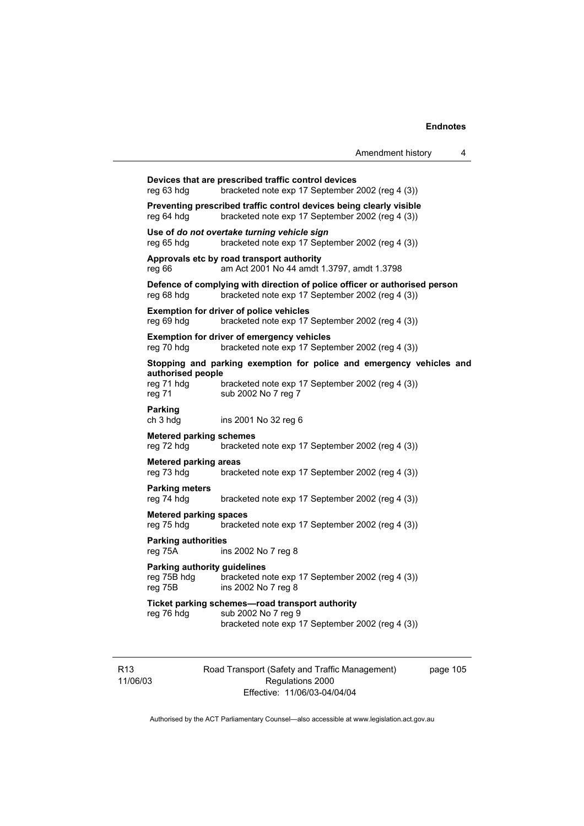**Devices that are prescribed traffic control devices**  reg 63 hdg bracketed note exp 17 September 2002 (reg 4 (3)) **Preventing prescribed traffic control devices being clearly visible**  reg 64 hdg bracketed note exp 17 September 2002 (reg 4 (3)) **Use of** *do not overtake turning vehicle sign*  reg 65 hdg bracketed note exp 17 September 2002 (reg 4 (3)) **Approvals etc by road transport authority**  reg 66 am Act 2001 No 44 amdt 1.3797, amdt 1.3798 **Defence of complying with direction of police officer or authorised person**  reg 68 hdg bracketed note exp 17 September 2002 (reg 4 (3)) **Exemption for driver of police vehicles**  reg 69 hdg bracketed note exp 17 September 2002 (reg 4 (3)) **Exemption for driver of emergency vehicles**  reg 70 hdg bracketed note exp 17 September 2002 (reg 4 (3)) **Stopping and parking exemption for police and emergency vehicles and authorised people**  reg 71 hdg bracketed note exp 17 September 2002 (reg 4 (3)) reg 71 sub 2002 No 7 reg 7 sub 2002 No 7 reg 7 **Parking**  ch 3 hdg ins 2001 No 32 reg 6 **Metered parking schemes**  reg 72 hdg bracketed note exp 17 September 2002 (reg 4 (3)) **Metered parking areas**  reg 73 hdg bracketed note exp 17 September 2002 (reg 4 (3)) **Parking meters**  bracketed note exp 17 September 2002 (reg 4 (3)) **Metered parking spaces**  reg 75 hdg bracketed note exp 17 September 2002 (reg 4 (3)) **Parking authorities**  reg 75A ins 2002 No 7 reg 8 **Parking authority guidelines**  reg 75B hdg bracketed note exp 17 September 2002 (reg 4 (3))<br>reg 75B bracketed note exp 17 September 2002 (reg 4 (3)) ins 2002 No 7 reg 8 **Ticket parking schemes—road transport authority**  reg 76 hdg sub 2002 No 7 reg 9 bracketed note exp 17 September 2002 (reg 4 (3))

R13 11/06/03 Road Transport (Safety and Traffic Management) Regulations 2000 Effective: 11/06/03-04/04/04

page 105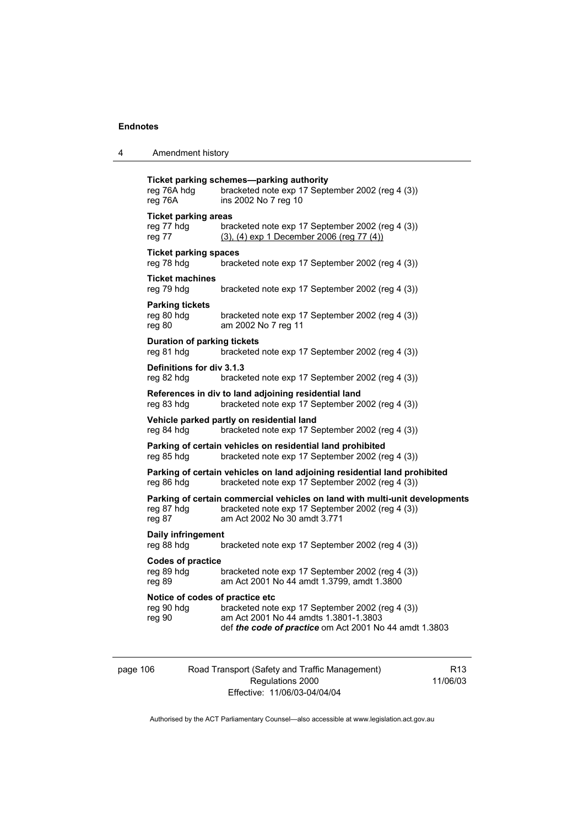| 4 | Amendment history |
|---|-------------------|
|---|-------------------|

| reg 76A hdg<br>reg 76A                                  | Ticket parking schemes-parking authority<br>bracketed note exp 17 September 2002 (reg 4 (3))<br>ins 2002 No 7 reg 10                                            |
|---------------------------------------------------------|-----------------------------------------------------------------------------------------------------------------------------------------------------------------|
| <b>Ticket parking areas</b><br>reg 77 hdg<br>reg 77     | bracketed note exp 17 September 2002 (reg 4 (3))<br>(3), (4) exp 1 December 2006 (reg 77 (4))                                                                   |
| <b>Ticket parking spaces</b><br>reg 78 hdg              | bracketed note exp 17 September 2002 (reg 4 (3))                                                                                                                |
| <b>Ticket machines</b><br>reg 79 hdg                    | bracketed note exp 17 September 2002 (reg 4 (3))                                                                                                                |
| <b>Parking tickets</b><br>reg 80 hdg<br>reg 80          | bracketed note exp 17 September 2002 (reg 4 (3))<br>am 2002 No 7 reg 11                                                                                         |
| <b>Duration of parking tickets</b><br>reg 81 hdg        | bracketed note exp 17 September 2002 (reg 4 (3))                                                                                                                |
| Definitions for div 3.1.3<br>reg 82 hdg                 | bracketed note exp 17 September 2002 (reg 4 (3))                                                                                                                |
| reg 83 hdg                                              | References in div to land adjoining residential land<br>bracketed note exp 17 September 2002 (reg 4 (3))                                                        |
| reg 84 hdg                                              | Vehicle parked partly on residential land<br>bracketed note exp 17 September 2002 (reg 4 (3))                                                                   |
| reg 85 hdg                                              | Parking of certain vehicles on residential land prohibited<br>bracketed note exp 17 September 2002 (reg 4 (3))                                                  |
| reg 86 hdg                                              | Parking of certain vehicles on land adjoining residential land prohibited<br>bracketed note exp 17 September 2002 (reg 4 (3))                                   |
| reg 87 hdg<br>reg 87                                    | Parking of certain commercial vehicles on land with multi-unit developments<br>bracketed note exp 17 September 2002 (reg 4 (3))<br>am Act 2002 No 30 amdt 3.771 |
| Daily infringement<br>reg 88 hdg                        | bracketed note exp 17 September 2002 (reg 4 (3))                                                                                                                |
| <b>Codes of practice</b><br>reg 89 hdg<br>reg 89        | bracketed note exp 17 September 2002 (reg 4 (3))<br>am Act 2001 No 44 amdt 1.3799, amdt 1.3800                                                                  |
| Notice of codes of practice etc<br>reg 90 hdg<br>reg 90 | bracketed note exp 17 September 2002 (reg 4 (3))<br>am Act 2001 No 44 amdts 1.3801-1.3803<br>def the code of practice om Act 2001 No 44 amdt 1.3803             |

| page 106 | Road Transport (Safety and Traffic Management) |     |
|----------|------------------------------------------------|-----|
|          | Regulations 2000                               | 11/ |
|          | Effective: 11/06/03-04/04/04                   |     |

R13 /06/03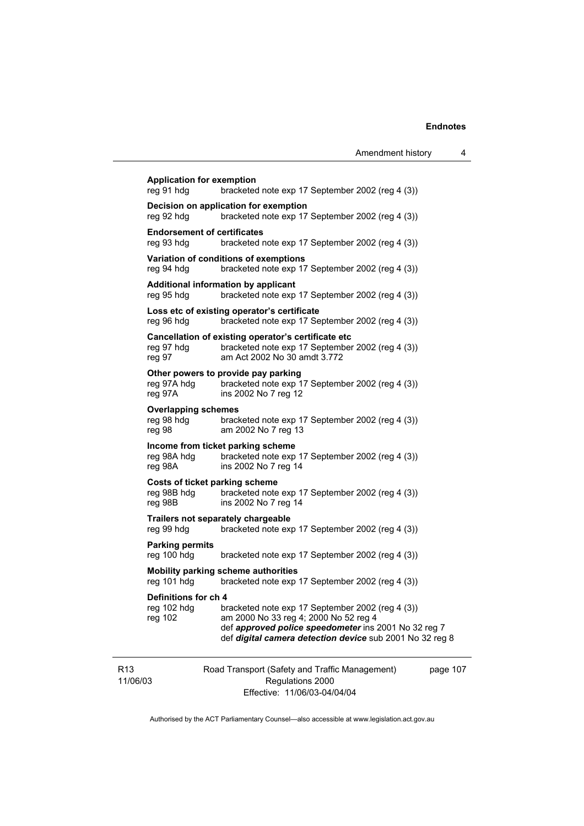| <b>Application for exemption</b><br>reg 91 hdg                  | bracketed note exp 17 September 2002 (reg 4 (3))                                                                                                                                                              |        |
|-----------------------------------------------------------------|---------------------------------------------------------------------------------------------------------------------------------------------------------------------------------------------------------------|--------|
| reg 92 hdg                                                      | Decision on application for exemption<br>bracketed note exp 17 September 2002 (reg 4 (3))                                                                                                                     |        |
| <b>Endorsement of certificates</b><br>reg 93 hdg                | bracketed note exp 17 September 2002 (reg 4 (3))                                                                                                                                                              |        |
| reg 94 hdg                                                      | Variation of conditions of exemptions<br>bracketed note exp 17 September 2002 (reg 4 (3))                                                                                                                     |        |
| reg 95 hdg                                                      | <b>Additional information by applicant</b><br>bracketed note exp 17 September 2002 (reg 4 (3))                                                                                                                |        |
| reg 96 hdg                                                      | Loss etc of existing operator's certificate<br>bracketed note exp 17 September 2002 (reg 4 (3))                                                                                                               |        |
| reg 97 hdg<br>reg 97                                            | Cancellation of existing operator's certificate etc<br>bracketed note exp 17 September 2002 (reg 4 (3))<br>am Act 2002 No 30 amdt 3.772                                                                       |        |
| reg 97A hdg<br>reg 97A                                          | Other powers to provide pay parking<br>bracketed note exp 17 September 2002 (reg 4 (3))<br>ins 2002 No 7 reg 12                                                                                               |        |
| <b>Overlapping schemes</b><br>reg 98 hdg<br>reg 98              | bracketed note exp 17 September 2002 (reg 4 (3))<br>am 2002 No 7 reg 13                                                                                                                                       |        |
| reg 98A hdg<br>reg 98A                                          | Income from ticket parking scheme<br>bracketed note exp 17 September 2002 (reg 4 (3))<br>ins 2002 No 7 reg 14                                                                                                 |        |
| <b>Costs of ticket parking scheme</b><br>reg 98B hdg<br>reg 98B | bracketed note exp 17 September 2002 (reg 4 (3))<br>ins 2002 No 7 reg 14                                                                                                                                      |        |
| reg 99 hdg                                                      | Trailers not separately chargeable<br>bracketed note exp 17 September 2002 (reg 4 (3))                                                                                                                        |        |
| <b>Parking permits</b><br>reg 100 hdg                           | bracketed note exp 17 September 2002 (reg 4 (3))                                                                                                                                                              |        |
| reg 101 hdg                                                     | <b>Mobility parking scheme authorities</b><br>bracketed note exp 17 September 2002 (reg 4 (3))                                                                                                                |        |
| Definitions for ch 4<br>reg 102 hdg<br>reg 102                  | bracketed note exp 17 September 2002 (reg 4 (3))<br>am 2000 No 33 reg 4; 2000 No 52 reg 4<br>def approved police speedometer ins 2001 No 32 reg 7<br>def digital camera detection device sub 2001 No 32 reg 8 |        |
|                                                                 | Road Transport (Safety and Traffic Management)                                                                                                                                                                | page 1 |

R13 11/06/03

Regulations 2000 Effective: 11/06/03-04/04/04 107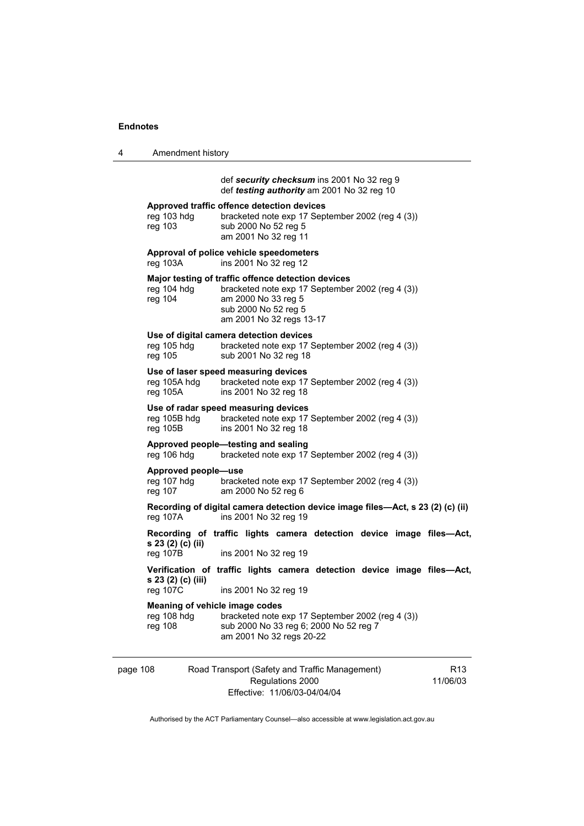|  | Amendment history |  |
|--|-------------------|--|
|--|-------------------|--|

#### def *security checksum* ins 2001 No 32 reg 9 def *testing authority* am 2001 No 32 reg 10

| reg 103  | reg 103 hdg                        | Approved traffic offence detection devices<br>bracketed note exp 17 September 2002 (reg 4 (3))<br>sub 2000 No 52 reg 5<br>am 2001 No 32 reg 11 |                                                                                            |  |                 |
|----------|------------------------------------|------------------------------------------------------------------------------------------------------------------------------------------------|--------------------------------------------------------------------------------------------|--|-----------------|
|          | reg 103A                           | Approval of police vehicle speedometers<br>ins 2001 No 32 reg 12                                                                               |                                                                                            |  |                 |
| reg 104  | reg 104 hdg                        | Major testing of traffic offence detection devices<br>am 2000 No 33 reg 5<br>sub 2000 No 52 reg 5<br>am 2001 No 32 regs 13-17                  | bracketed note exp 17 September 2002 (reg 4 (3))                                           |  |                 |
| reg 105  | reg 105 hdg                        | Use of digital camera detection devices<br>sub 2001 No 32 reg 18                                                                               | bracketed note exp 17 September 2002 (reg 4 (3))                                           |  |                 |
|          | reg 105A hdg<br>reg 105A           | Use of laser speed measuring devices<br>bracketed note exp 17 September 2002 (reg 4 (3))<br>ins 2001 No 32 reg 18                              |                                                                                            |  |                 |
|          | reg 105B hdg<br>reg 105B           | Use of radar speed measuring devices<br>ins 2001 No 32 reg 18                                                                                  | bracketed note exp 17 September 2002 (reg 4 (3))                                           |  |                 |
|          | reg 106 hdg                        | Approved people-testing and sealing                                                                                                            | bracketed note exp 17 September 2002 (reg 4 (3))                                           |  |                 |
| reg 107  | Approved people-use<br>reg 107 hdg | bracketed note exp 17 September 2002 (reg 4 (3))<br>am 2000 No 52 reg 6                                                                        |                                                                                            |  |                 |
|          | reg 107A                           | Recording of digital camera detection device image files-Act, s 23 (2) (c) (ii)<br>ins 2001 No 32 reg 19                                       |                                                                                            |  |                 |
|          | s 23 (2) (c) (ii)<br>reg 107B      | Recording of traffic lights camera detection device image files—Act,<br>ins 2001 No 32 reg 19                                                  |                                                                                            |  |                 |
|          | s 23 (2) (c) (iii)<br>reg 107C     | Verification of traffic lights camera detection device image files-Act,<br>ins 2001 No 32 reg 19                                               |                                                                                            |  |                 |
| reg 108  | reg 108 hdg                        | Meaning of vehicle image codes<br>am 2001 No 32 regs 20-22                                                                                     | bracketed note exp 17 September 2002 (reg 4 (3))<br>sub 2000 No 33 reg 6; 2000 No 52 reg 7 |  |                 |
| page 108 |                                    | Road Transport (Safety and Traffic Management)                                                                                                 |                                                                                            |  | R <sub>13</sub> |

Regulations 2000 Effective: 11/06/03-04/04/04 11/06/03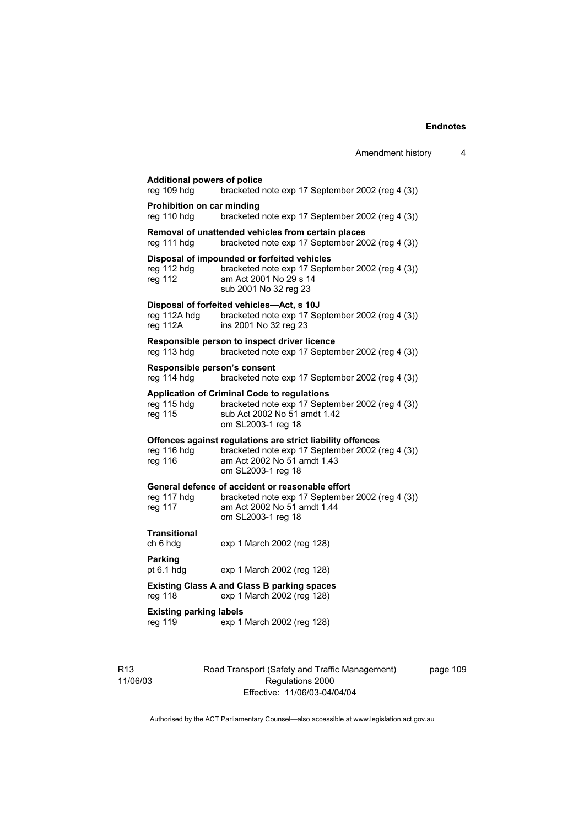page 109

|                                                   |                                                                                                                                                                     | Amendment history | 4 |
|---------------------------------------------------|---------------------------------------------------------------------------------------------------------------------------------------------------------------------|-------------------|---|
| <b>Additional powers of police</b><br>reg 109 hdg | bracketed note exp 17 September 2002 (reg 4 (3))                                                                                                                    |                   |   |
| Prohibition on car minding<br>reg 110 hdg         | bracketed note exp 17 September 2002 (reg 4 (3))                                                                                                                    |                   |   |
| reg 111 hdg                                       | Removal of unattended vehicles from certain places<br>bracketed note exp 17 September 2002 (reg 4 (3))                                                              |                   |   |
| reg 112 hdg<br>reg 112                            | Disposal of impounded or forfeited vehicles<br>bracketed note exp 17 September 2002 (reg 4 (3))<br>am Act 2001 No 29 s 14<br>sub 2001 No 32 reg 23                  |                   |   |
| reg 112A hdg<br>reg 112A                          | Disposal of forfeited vehicles-Act, s 10J<br>bracketed note exp 17 September 2002 (reg 4 (3))<br>ins 2001 No 32 reg 23                                              |                   |   |
| reg 113 hdg                                       | Responsible person to inspect driver licence<br>bracketed note exp 17 September 2002 (reg 4 (3))                                                                    |                   |   |
| Responsible person's consent<br>reg 114 hdg       | bracketed note exp 17 September 2002 (reg 4 (3))                                                                                                                    |                   |   |
| reg 115 hdg<br>reg 115                            | <b>Application of Criminal Code to regulations</b><br>bracketed note exp 17 September 2002 (reg 4 (3))<br>sub Act 2002 No 51 amdt 1.42<br>om SL2003-1 reg 18        |                   |   |
| reg 116 hdg<br>reg 116                            | Offences against regulations are strict liability offences<br>bracketed note exp 17 September 2002 (reg 4 (3))<br>am Act 2002 No 51 amdt 1.43<br>om SL2003-1 reg 18 |                   |   |
| reg 117 hdg<br>reg 117                            | General defence of accident or reasonable effort<br>bracketed note exp 17 September 2002 (reg 4 (3))<br>am Act 2002 No 51 amdt 1.44<br>om SL2003-1 reg 18           |                   |   |
| <b>Transitional</b><br>ch 6 hdg                   | exp 1 March 2002 (reg 128)                                                                                                                                          |                   |   |
| <b>Parking</b><br>pt $6.1$ hdg                    | exp 1 March 2002 (reg 128)                                                                                                                                          |                   |   |

11/06/03 Regulations 2000 Effective: 11/06/03-04/04/04

**Existing Class A and Class B parking spaces** 

reg 119 exp 1 March 2002 (reg 128)

exp 1 March 2002 (reg 128)

Road Transport (Safety and Traffic Management)

R13

**Existing parking labels**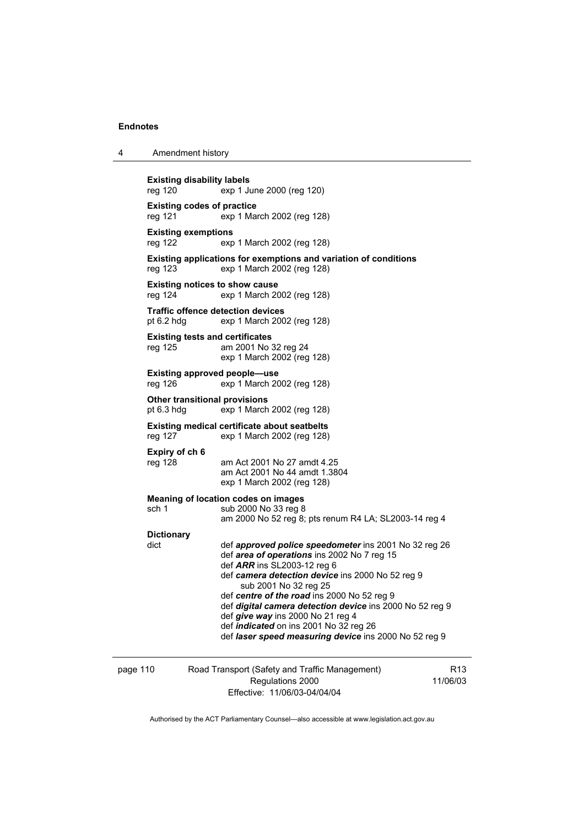| 4 | Amendment history |
|---|-------------------|
|---|-------------------|

page 110 Road Transport (Safety and Traffic Management) **Existing disability labels**  reg 120 exp 1 June 2000 (reg 120) **Existing codes of practice**  reg 121 exp 1 March 2002 (reg 128) **Existing exemptions**  reg 122 exp 1 March 2002 (reg 128) **Existing applications for exemptions and variation of conditions**  reg 123 exp 1 March 2002 (reg 128) **Existing notices to show cause**  reg 124 exp 1 March 2002 (reg 128) **Traffic offence detection devices**  pt 6.2 hdg exp 1 March 2002 (reg 128) **Existing tests and certificates**  reg 125 am 2001 No 32 reg 24 exp 1 March 2002 (reg 128) **Existing approved people—use**  reg 126 exp 1 March 2002 (reg 128) **Other transitional provisions**  pt 6.3 hdg exp 1 March 2002 (reg 128) **Existing medical certificate about seatbelts**  reg 127 exp 1 March 2002 (reg 128) **Expiry of ch 6**  reg 128 am Act 2001 No 27 amdt 4.25 am Act 2001 No 44 amdt 1.3804 exp 1 March 2002 (reg 128) **Meaning of location codes on images**  sch 1 sub 2000 No 33 reg 8 am 2000 No 52 reg 8; pts renum R4 LA; SL2003-14 reg 4 **Dictionary**  dict def *approved police speedometer* ins 2001 No 32 reg 26 def *area of operations* ins 2002 No 7 reg 15 def *ARR* ins SL2003-12 reg 6 def *camera detection device* ins 2000 No 52 reg 9 sub 2001 No 32 reg 25 def *centre of the road* ins 2000 No 52 reg 9 def *digital camera detection device* ins 2000 No 52 reg 9 def *give way* ins 2000 No 21 reg 4 def *indicated* on ins 2001 No 32 reg 26 def *laser speed measuring device* ins 2000 No 52 reg 9

Regulations 2000 Effective: 11/06/03-04/04/04

R13 11/06/03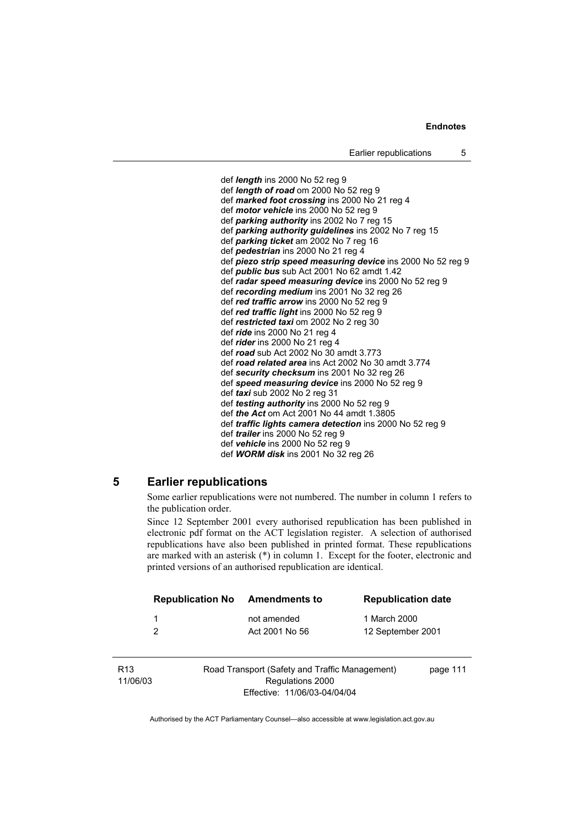def *length* ins 2000 No 52 reg 9 def *length of road* om 2000 No 52 reg 9 def *marked foot crossing* ins 2000 No 21 reg 4 def *motor vehicle* ins 2000 No 52 reg 9 def *parking authority* ins 2002 No 7 reg 15 def *parking authority guidelines* ins 2002 No 7 reg 15 def *parking ticket* am 2002 No 7 reg 16 def *pedestrian* ins 2000 No 21 reg 4 def *piezo strip speed measuring device* ins 2000 No 52 reg 9 def *public bus* sub Act 2001 No 62 amdt 1.42 def *radar speed measuring device* ins 2000 No 52 reg 9 def *recording medium* ins 2001 No 32 reg 26 def *red traffic arrow* ins 2000 No 52 reg 9 def *red traffic light* ins 2000 No 52 reg 9 def *restricted taxi* om 2002 No 2 reg 30 def *ride* ins 2000 No 21 reg 4 def *rider* ins 2000 No 21 reg 4 def *road* sub Act 2002 No 30 amdt 3.773 def *road related area* ins Act 2002 No 30 amdt 3.774 def *security checksum* ins 2001 No 32 reg 26 def *speed measuring device* ins 2000 No 52 reg 9 def *taxi* sub 2002 No 2 reg 31 def *testing authority* ins 2000 No 52 reg 9 def *the Act* om Act 2001 No 44 amdt 1.3805 def *traffic lights camera detection* ins 2000 No 52 reg 9 def *trailer* ins 2000 No 52 reg 9 def *vehicle* ins 2000 No 52 reg 9 def *WORM disk* ins 2001 No 32 reg 26

## **5 Earlier republications**

Some earlier republications were not numbered. The number in column 1 refers to the publication order.

Since 12 September 2001 every authorised republication has been published in electronic pdf format on the ACT legislation register. A selection of authorised republications have also been published in printed format. These republications are marked with an asterisk (\*) in column 1. Except for the footer, electronic and printed versions of an authorised republication are identical.

| <b>Republication No</b> | <b>Amendments to</b>                            | <b>Republication date</b> |
|-------------------------|-------------------------------------------------|---------------------------|
|                         | not amended                                     | 1 March 2000              |
| 2                       | Act 2001 No 56                                  | 12 September 2001         |
|                         |                                                 |                           |
|                         | Deed Transport (Cafety and Traffic Mensensorth) | $\ldots \ldots \ldots$    |

R13 11/06/03 Road Transport (Safety and Traffic Management) Regulations 2000 Effective: 11/06/03-04/04/04

page 111